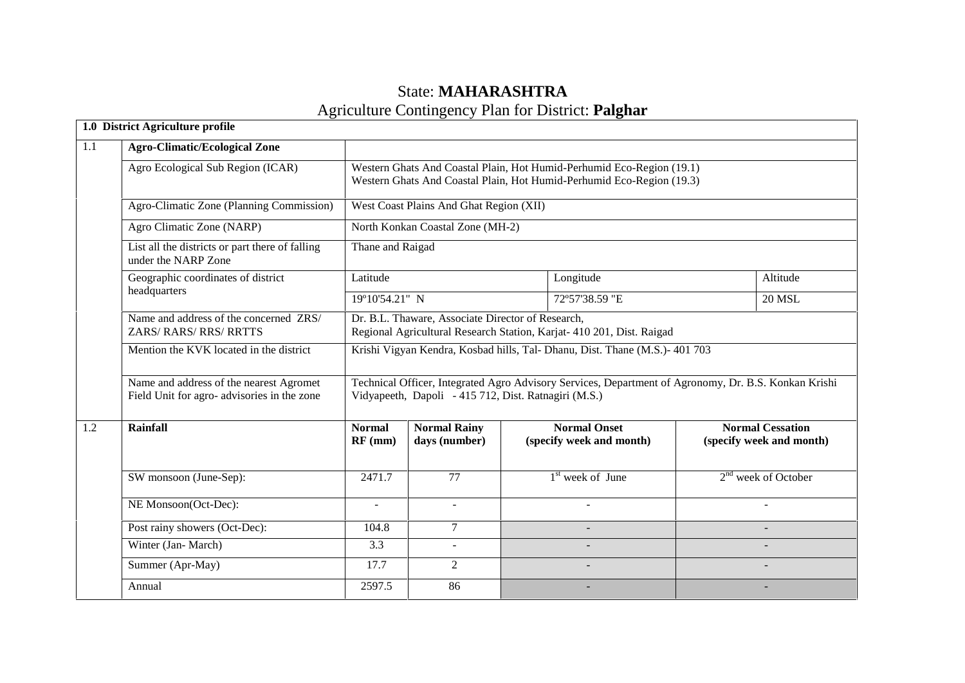# State: **MAHARASHTRA** Agriculture Contingency Plan for District: **Palghar**

|     | 1.0 District Agriculture profile                                                      |                                                                             |                                                      |  |                                                                                                                                                |          |                                                     |
|-----|---------------------------------------------------------------------------------------|-----------------------------------------------------------------------------|------------------------------------------------------|--|------------------------------------------------------------------------------------------------------------------------------------------------|----------|-----------------------------------------------------|
| 1.1 | <b>Agro-Climatic/Ecological Zone</b>                                                  |                                                                             |                                                      |  |                                                                                                                                                |          |                                                     |
|     | Agro Ecological Sub Region (ICAR)                                                     |                                                                             |                                                      |  | Western Ghats And Coastal Plain, Hot Humid-Perhumid Eco-Region (19.1)<br>Western Ghats And Coastal Plain, Hot Humid-Perhumid Eco-Region (19.3) |          |                                                     |
|     | Agro-Climatic Zone (Planning Commission)                                              |                                                                             | West Coast Plains And Ghat Region (XII)              |  |                                                                                                                                                |          |                                                     |
|     | Agro Climatic Zone (NARP)                                                             |                                                                             | North Konkan Coastal Zone (MH-2)                     |  |                                                                                                                                                |          |                                                     |
|     | List all the districts or part there of falling<br>under the NARP Zone                | Thane and Raigad                                                            |                                                      |  |                                                                                                                                                |          |                                                     |
|     | Geographic coordinates of district                                                    | Latitude                                                                    |                                                      |  | Longitude                                                                                                                                      | Altitude |                                                     |
|     | headquarters                                                                          | 19°10'54.21" N                                                              |                                                      |  | 72°57'38.59 "E                                                                                                                                 |          | <b>20 MSL</b>                                       |
|     | Name and address of the concerned ZRS/<br>ZARS/RARS/RRS/RRTTS                         |                                                                             | Dr. B.L. Thaware, Associate Director of Research,    |  | Regional Agricultural Research Station, Karjat- 410 201, Dist. Raigad                                                                          |          |                                                     |
|     | Mention the KVK located in the district                                               | Krishi Vigyan Kendra, Kosbad hills, Tal- Dhanu, Dist. Thane (M.S.)- 401 703 |                                                      |  |                                                                                                                                                |          |                                                     |
|     | Name and address of the nearest Agromet<br>Field Unit for agro-advisories in the zone |                                                                             | Vidyapeeth, Dapoli - 415 712, Dist. Ratnagiri (M.S.) |  | Technical Officer, Integrated Agro Advisory Services, Department of Agronomy, Dr. B.S. Konkan Krishi                                           |          |                                                     |
| 1.2 | <b>Rainfall</b>                                                                       | <b>Normal</b><br>$RF$ (mm)                                                  | <b>Normal Rainy</b><br>days (number)                 |  | <b>Normal Onset</b><br>(specify week and month)                                                                                                |          | <b>Normal Cessation</b><br>(specify week and month) |
|     | SW monsoon (June-Sep):                                                                | 2471.7                                                                      | 77                                                   |  | $1st$ week of June                                                                                                                             |          | $2nd$ week of October                               |
|     | NE Monsoon(Oct-Dec):                                                                  | $\overline{\phantom{a}}$                                                    | $\blacksquare$                                       |  | $\blacksquare$                                                                                                                                 |          | $\sim$                                              |
|     | Post rainy showers (Oct-Dec):                                                         | 104.8                                                                       | $\overline{7}$                                       |  |                                                                                                                                                |          |                                                     |
|     | Winter (Jan-March)                                                                    | 3.3                                                                         | $\sim$                                               |  |                                                                                                                                                |          |                                                     |
|     | Summer (Apr-May)                                                                      | 17.7                                                                        | 2                                                    |  | $\overline{a}$                                                                                                                                 |          |                                                     |
|     | Annual                                                                                | 2597.5                                                                      | 86                                                   |  |                                                                                                                                                |          |                                                     |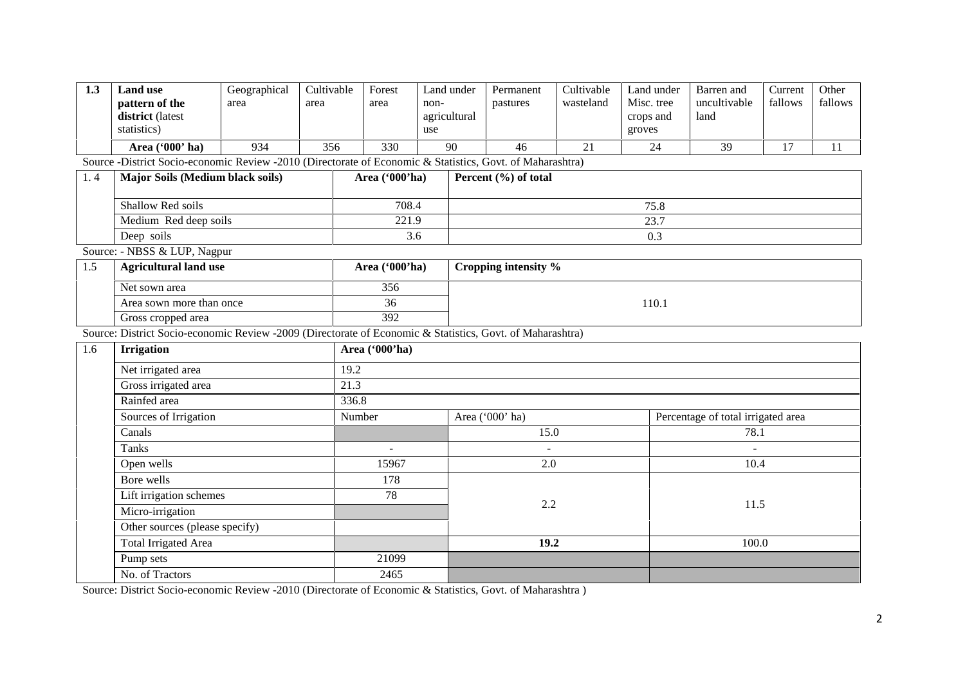| 1.3 | <b>Land use</b><br>pattern of the<br>district (latest<br>statistics)                                      | Geographical<br>area | Cultivable<br>area | Forest<br>area   | Land under<br>non-<br>agricultural<br>use | Permanent<br>pastures | Cultivable<br>wasteland | Land under<br>Misc. tree<br>crops and<br>groves | Barren and<br>uncultivable<br>land | Current<br>fallows | Other<br>fallows |  |
|-----|-----------------------------------------------------------------------------------------------------------|----------------------|--------------------|------------------|-------------------------------------------|-----------------------|-------------------------|-------------------------------------------------|------------------------------------|--------------------|------------------|--|
|     | Area ('000' ha)                                                                                           | 934                  | 356                | 330              | 90                                        | 46                    | 21                      | 24                                              | 39                                 | 17                 | 11               |  |
|     | Source -District Socio-economic Review -2010 (Directorate of Economic & Statistics, Govt. of Maharashtra) |                      |                    |                  |                                           |                       |                         |                                                 |                                    |                    |                  |  |
| 1.4 | Major Soils (Medium black soils)                                                                          |                      |                    | Area ('000'ha)   |                                           | Percent (%) of total  |                         |                                                 |                                    |                    |                  |  |
|     |                                                                                                           |                      |                    |                  |                                           |                       |                         |                                                 |                                    |                    |                  |  |
|     | Shallow Red soils                                                                                         |                      |                    | 708.4            |                                           | 75.8                  |                         |                                                 |                                    |                    |                  |  |
|     | Medium Red deep soils                                                                                     |                      |                    | 221.9            |                                           | 23.7                  |                         |                                                 |                                    |                    |                  |  |
|     | Deep soils                                                                                                |                      |                    |                  | 3.6                                       |                       |                         | 0.3                                             |                                    |                    |                  |  |
|     | Source: - NBSS & LUP, Nagpur                                                                              |                      |                    |                  |                                           |                       |                         |                                                 |                                    |                    |                  |  |
| 1.5 | <b>Agricultural land use</b>                                                                              |                      |                    | Area ('000'ha)   |                                           | Cropping intensity %  |                         |                                                 |                                    |                    |                  |  |
|     | Net sown area                                                                                             |                      |                    |                  |                                           |                       |                         |                                                 |                                    |                    |                  |  |
|     | Area sown more than once                                                                                  |                      |                    | 36               |                                           | 110.1                 |                         |                                                 |                                    |                    |                  |  |
|     | Gross cropped area                                                                                        |                      |                    | $\overline{392}$ |                                           |                       |                         |                                                 |                                    |                    |                  |  |
|     | Source: District Socio-economic Review -2009 (Directorate of Economic & Statistics, Govt. of Maharashtra) |                      |                    |                  |                                           |                       |                         |                                                 |                                    |                    |                  |  |
| 1.6 | <b>Irrigation</b>                                                                                         |                      |                    | Area ('000'ha)   |                                           |                       |                         |                                                 |                                    |                    |                  |  |
|     | Net irrigated area                                                                                        |                      |                    |                  | 19.2                                      |                       |                         |                                                 |                                    |                    |                  |  |
|     | Gross irrigated area                                                                                      |                      |                    | 21.3             |                                           |                       |                         |                                                 |                                    |                    |                  |  |
|     | Rainfed area                                                                                              |                      |                    | 336.8            |                                           |                       |                         |                                                 |                                    |                    |                  |  |
|     | Sources of Irrigation                                                                                     |                      |                    | Number           |                                           | Area ('000' ha)       |                         |                                                 | Percentage of total irrigated area |                    |                  |  |
|     | Canals                                                                                                    |                      |                    |                  |                                           | 15.0                  |                         |                                                 | 78.1                               |                    |                  |  |
|     | <b>Tanks</b>                                                                                              |                      |                    |                  |                                           |                       |                         |                                                 |                                    |                    |                  |  |
|     | Open wells                                                                                                |                      |                    | 15967            |                                           | 2.0                   |                         |                                                 | 10.4                               |                    |                  |  |
|     | Bore wells                                                                                                |                      |                    | 178              |                                           |                       |                         |                                                 |                                    |                    |                  |  |
|     | Lift irrigation schemes                                                                                   |                      |                    | 78               |                                           |                       |                         |                                                 |                                    |                    |                  |  |
|     | Micro-irrigation                                                                                          |                      |                    |                  |                                           | 2.2                   |                         |                                                 | 11.5                               |                    |                  |  |
|     | Other sources (please specify)                                                                            |                      |                    |                  |                                           |                       |                         |                                                 |                                    |                    |                  |  |
|     | <b>Total Irrigated Area</b>                                                                               |                      |                    |                  |                                           | 19.2                  |                         |                                                 | 100.0                              |                    |                  |  |
|     | Pump sets                                                                                                 |                      |                    | 21099            |                                           |                       |                         |                                                 |                                    |                    |                  |  |
|     | No. of Tractors                                                                                           |                      |                    | 2465             |                                           |                       |                         |                                                 |                                    |                    |                  |  |

Source: District Socio-economic Review -2010 (Directorate of Economic & Statistics, Govt. of Maharashtra )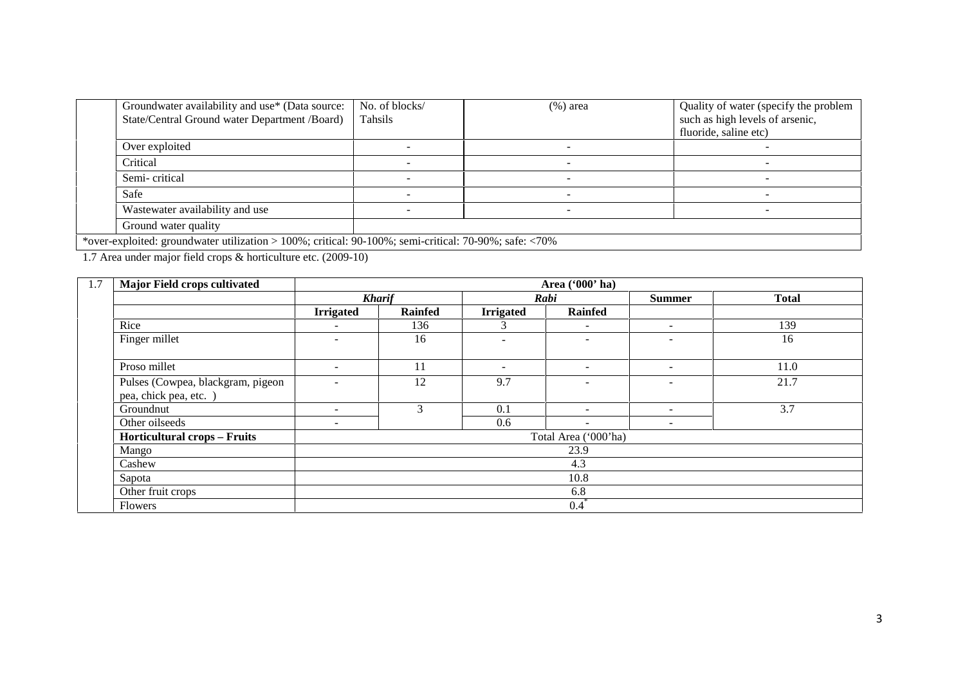| Groundwater availability and use* (Data source:<br>State/Central Ground water Department /Board)                | No. of blocks/<br>Tahsils | $(\%)$ area              | Quality of water (specify the problem<br>such as high levels of arsenic,<br>fluoride, saline etc) |
|-----------------------------------------------------------------------------------------------------------------|---------------------------|--------------------------|---------------------------------------------------------------------------------------------------|
| Over exploited                                                                                                  |                           |                          |                                                                                                   |
| Critical                                                                                                        |                           |                          |                                                                                                   |
| Semi-critical                                                                                                   |                           |                          |                                                                                                   |
| Safe                                                                                                            |                           |                          |                                                                                                   |
| Wastewater availability and use                                                                                 |                           | $\overline{\phantom{0}}$ | -                                                                                                 |
| Ground water quality                                                                                            |                           |                          |                                                                                                   |
| *over-exploited: groundwater utilization > 100%; critical: 90-100%; semi-critical: 70-90%; safe: $\langle 70\%$ |                           |                          |                                                                                                   |

1.7 Area under major field crops & horticulture etc. (2009-10)

| 1.7 | <b>Major Field crops cultivated</b>                         |                          |         | Area ('000' ha)          |                          |               |              |  |  |
|-----|-------------------------------------------------------------|--------------------------|---------|--------------------------|--------------------------|---------------|--------------|--|--|
|     |                                                             | <b>Kharif</b>            |         |                          | Rabi                     | <b>Summer</b> | <b>Total</b> |  |  |
|     |                                                             | <b>Irrigated</b>         | Rainfed | <b>Irrigated</b>         | <b>Rainfed</b>           |               |              |  |  |
|     | Rice                                                        | $\sim$                   | 136     | 3                        | $\sim$                   | $\sim$        | 139          |  |  |
|     | Finger millet                                               | $\overline{a}$           | 16      | $\sim$                   | $\sim$                   | $\sim$        | 16           |  |  |
|     | Proso millet                                                | $\overline{\phantom{a}}$ | 11      | $\overline{\phantom{a}}$ | $\overline{\phantom{a}}$ | $\sim$        | 11.0         |  |  |
|     | Pulses (Cowpea, blackgram, pigeon<br>pea, chick pea, etc. ) | $\overline{\phantom{a}}$ | 12      | 9.7                      | $\sim$                   | $\sim$        | 21.7         |  |  |
|     | Groundnut                                                   | $\overline{\phantom{a}}$ | 3       | 0.1                      | $\overline{\phantom{a}}$ | ۰.            | 3.7          |  |  |
|     | Other oilseeds                                              | $\overline{\phantom{a}}$ |         | 0.6                      | $\overline{\phantom{a}}$ | $\sim$        |              |  |  |
|     | <b>Horticultural crops - Fruits</b>                         |                          |         |                          | Total Area ('000'ha)     |               |              |  |  |
|     | Mango                                                       |                          |         |                          | 23.9                     |               |              |  |  |
|     | Cashew                                                      |                          |         |                          | 4.3                      |               |              |  |  |
|     | Sapota                                                      |                          |         |                          | 10.8                     |               |              |  |  |
|     | Other fruit crops                                           |                          |         |                          | 6.8                      |               |              |  |  |
|     | <b>Flowers</b>                                              |                          |         |                          | $0.4^{\degree}$          |               |              |  |  |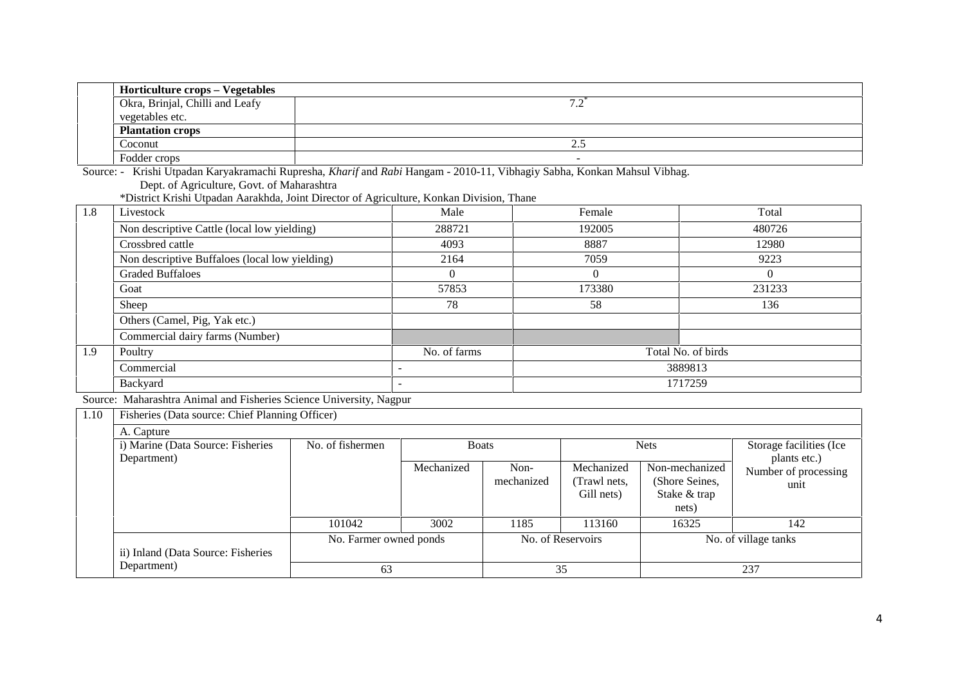| <b>Horticulture crops – Vegetables</b> |          |  |
|----------------------------------------|----------|--|
| Okra, Brinjal, Chilli and Leafy        | $\cdot$  |  |
| vegetables etc.                        |          |  |
| <b>Plantation crops</b>                |          |  |
| Coconut                                | <u>.</u> |  |
| Fodder crops                           | -        |  |

Source: - Krishi Utpadan Karyakramachi Rupresha, *Kharif* and *Rabi* Hangam - 2010-11, Vibhagiy Sabha, Konkan Mahsul Vibhag. Dept. of Agriculture, Govt. of Maharashtra

\*District Krishi Utpadan Aarakhda, Joint Director of Agriculture, Konkan Division, Thane

| 1.8 | Livestock                                      | Male         | Female | Total              |
|-----|------------------------------------------------|--------------|--------|--------------------|
|     | Non descriptive Cattle (local low yielding)    | 288721       | 192005 | 480726             |
|     | Crossbred cattle                               | 4093         | 8887   | 12980              |
|     | Non descriptive Buffaloes (local low yielding) | 2164         | 7059   | 9223               |
|     | <b>Graded Buffaloes</b>                        |              |        | $\theta$           |
|     | Goat                                           | 57853        | 173380 | 231233             |
|     | Sheep                                          | 78           | 58     | 136                |
|     | Others (Camel, Pig, Yak etc.)                  |              |        |                    |
|     | Commercial dairy farms (Number)                |              |        |                    |
| 1.9 | Poultry                                        | No. of farms |        | Total No. of birds |
|     | Commercial                                     |              |        | 3889813            |
|     | Backyard                                       |              |        | 1717259            |

Source: Maharashtra Animal and Fisheries Science University, Nagpur

| 1.10 | Fisheries (Data source: Chief Planning Officer) |                        |              |                    |                                          |                                                           |                                              |
|------|-------------------------------------------------|------------------------|--------------|--------------------|------------------------------------------|-----------------------------------------------------------|----------------------------------------------|
|      | A. Capture                                      |                        |              |                    |                                          |                                                           |                                              |
|      | i) Marine (Data Source: Fisheries               | No. of fishermen       | <b>Boats</b> |                    |                                          | <b>Nets</b>                                               | Storage facilities (Ice                      |
|      | Department)                                     |                        | Mechanized   | Non-<br>mechanized | Mechanized<br>(Trawl nets,<br>Gill nets) | Non-mechanized<br>(Shore Seines,<br>Stake & trap<br>nets) | plants etc.)<br>Number of processing<br>unit |
|      |                                                 | 101042                 | 3002         | 1185               | 113160                                   | 16325                                                     | 142                                          |
|      | ii) Inland (Data Source: Fisheries              | No. Farmer owned ponds |              |                    | No. of Reservoirs                        | No. of village tanks                                      |                                              |
|      | Department)                                     | 63                     |              |                    | 35                                       |                                                           | 237                                          |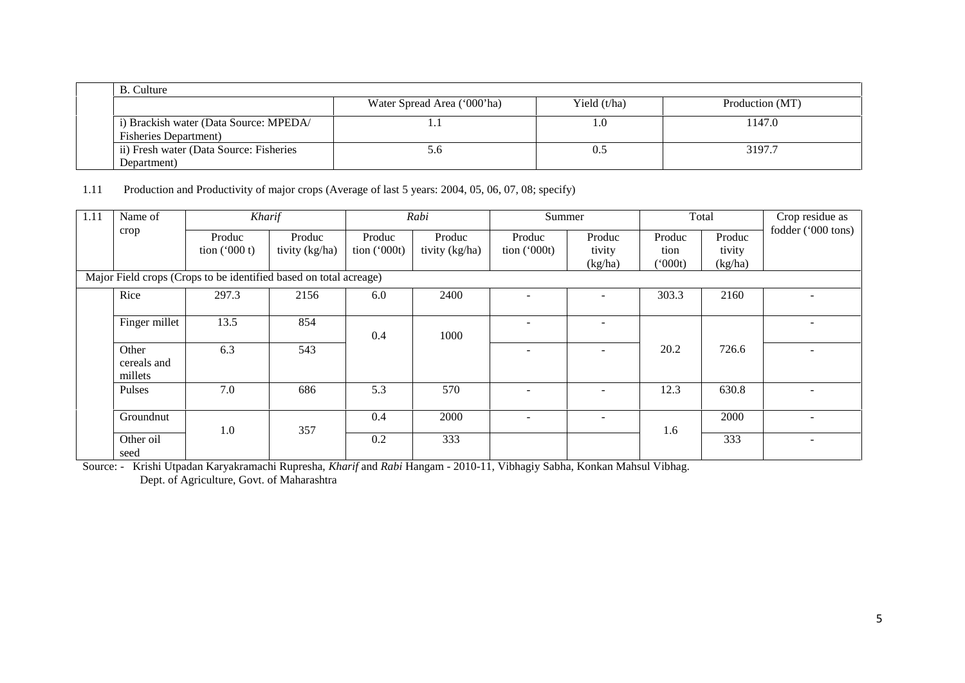|                                                                          | Water Spread Area ('000'ha) | Yield $(t/ha)$ | Production (MT) |
|--------------------------------------------------------------------------|-----------------------------|----------------|-----------------|
| i) Brackish water (Data Source: MPEDA/                                   |                             | 1.0            | 1147.0          |
| <b>Fisheries Department</b> )<br>ii) Fresh water (Data Source: Fisheries | 0.6 <sub>2</sub>            | 0.5            | 3197.7          |

1.11 Production and Productivity of major crops (Average of last 5 years: 2004, 05, 06, 07, 08; specify)

| 1.11 | Name of                         | Kharif                                                                                         |                          |                         | Rabi                     | Summer                  |                             |                          | Total                       | Crop residue as    |
|------|---------------------------------|------------------------------------------------------------------------------------------------|--------------------------|-------------------------|--------------------------|-------------------------|-----------------------------|--------------------------|-----------------------------|--------------------|
|      | crop                            | Produc<br>tion $('000 t)$<br>Major Field crops (Crops to be identified based on total acreage) | Produc<br>tivity (kg/ha) | Produc<br>tion $(000t)$ | Produc<br>tivity (kg/ha) | Produc<br>tion $(000t)$ | Produc<br>tivity<br>(kg/ha) | Produc<br>tion<br>(000t) | Produc<br>tivity<br>(kg/ha) | fodder ('000 tons) |
|      | Rice                            | 297.3                                                                                          | 2156                     | 6.0                     | 2400                     |                         |                             | 303.3                    | 2160                        |                    |
|      | Finger millet                   | 13.5                                                                                           | 854                      | 0.4                     | 1000                     |                         |                             |                          |                             |                    |
|      | Other<br>cereals and<br>millets | 6.3                                                                                            | 543                      |                         |                          |                         |                             | 20.2                     | 726.6                       |                    |
|      | Pulses                          | 7.0                                                                                            | 686                      | 5.3                     | 570                      |                         |                             | 12.3                     | 630.8                       |                    |
|      | Groundnut                       |                                                                                                |                          | 0.4                     | 2000                     |                         |                             |                          | 2000                        |                    |
|      | Other oil<br>seed               | 1.0                                                                                            | 357                      | 0.2                     | 333                      |                         |                             | 1.6                      | 333                         |                    |

Source: - Krishi Utpadan Karyakramachi Rupresha, *Kharif* and *Rabi* Hangam - 2010-11, Vibhagiy Sabha, Konkan Mahsul Vibhag.

Dept. of Agriculture, Govt. of Maharashtra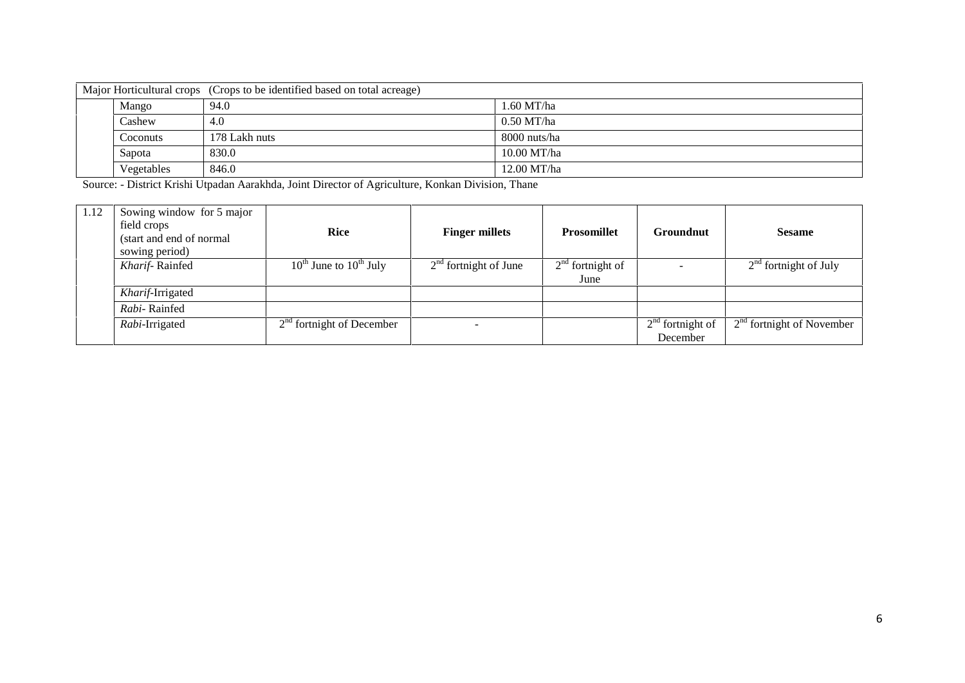| Major Horticultural crops (Crops to be identified based on total acreage) |               |               |  |  |  |
|---------------------------------------------------------------------------|---------------|---------------|--|--|--|
| Mango                                                                     | 94.0          | $1.60$ MT/ha  |  |  |  |
| Cashew                                                                    | 4.0           | $0.50$ MT/ha  |  |  |  |
| Coconuts                                                                  | 178 Lakh nuts | 8000 nuts/ha  |  |  |  |
| Sapota                                                                    | 830.0         | $10.00$ MT/ha |  |  |  |
| Vegetables                                                                | 846.0         | 12.00 MT/ha   |  |  |  |

Source: - District Krishi Utpadan Aarakhda, Joint Director of Agriculture, Konkan Division, Thane

| 1.12 | Sowing window for 5 major<br>field crops<br>(start and end of normal)<br>sowing period) | <b>Rice</b>                      | <b>Finger millets</b>   | <b>Prosomillet</b>         | Groundnut                      | <b>Sesame</b>               |
|------|-----------------------------------------------------------------------------------------|----------------------------------|-------------------------|----------------------------|--------------------------------|-----------------------------|
|      | Kharif-Rainfed                                                                          | $10^{th}$ June to $10^{th}$ July | $2nd$ fortnight of June | $2nd$ fortnight of<br>June |                                | $2nd$ fortnight of July     |
|      | Kharif-Irrigated                                                                        |                                  |                         |                            |                                |                             |
|      | Rabi-Rainfed                                                                            |                                  |                         |                            |                                |                             |
|      | Rabi-Irrigated                                                                          | $2nd$ fortnight of December      |                         |                            | $2nd$ fortnight of<br>December | $2nd$ fortnight of November |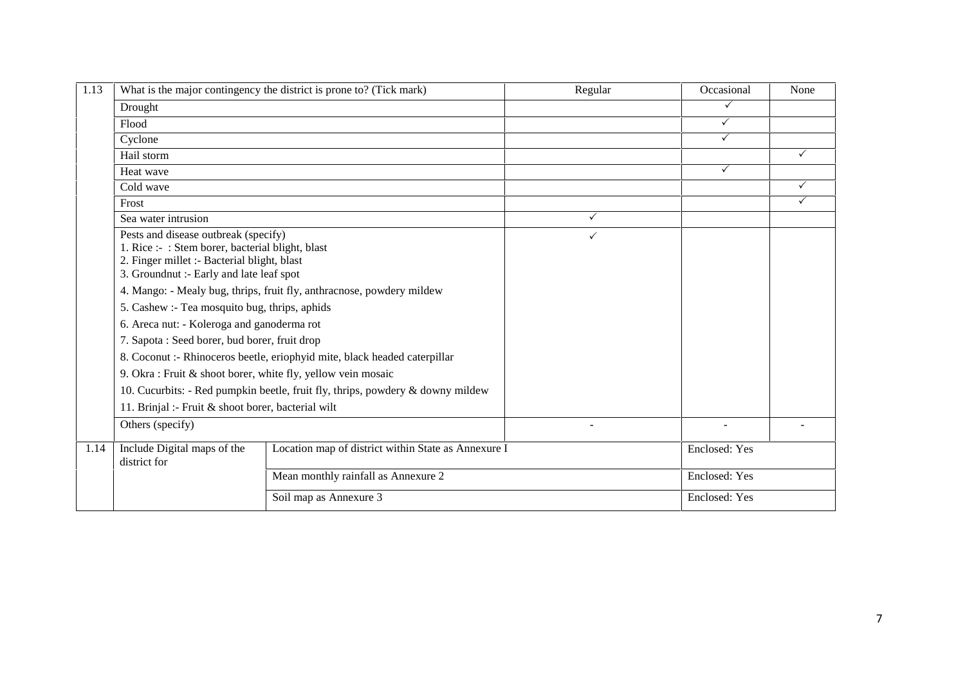| 1.13 |                                                                                                                                                                                                                                      | What is the major contingency the district is prone to? (Tick mark)            | Regular      | Occasional    | None |
|------|--------------------------------------------------------------------------------------------------------------------------------------------------------------------------------------------------------------------------------------|--------------------------------------------------------------------------------|--------------|---------------|------|
|      | Drought                                                                                                                                                                                                                              |                                                                                |              | ✓             |      |
|      | Flood                                                                                                                                                                                                                                |                                                                                |              | $\checkmark$  |      |
|      | Cyclone                                                                                                                                                                                                                              |                                                                                |              | $\checkmark$  |      |
|      | Hail storm                                                                                                                                                                                                                           |                                                                                |              |               | ✓    |
|      | Heat wave                                                                                                                                                                                                                            |                                                                                |              | ✓             |      |
|      | Cold wave                                                                                                                                                                                                                            |                                                                                |              |               | ✓    |
|      | Frost                                                                                                                                                                                                                                |                                                                                |              |               | ✓    |
|      | Sea water intrusion                                                                                                                                                                                                                  |                                                                                | ✓            |               |      |
|      | Pests and disease outbreak (specify)<br>1. Rice :- : Stem borer, bacterial blight, blast<br>2. Finger millet :- Bacterial blight, blast<br>3. Groundnut :- Early and late leaf spot<br>5. Cashew :- Tea mosquito bug, thrips, aphids | 4. Mango: - Mealy bug, thrips, fruit fly, anthracnose, powdery mildew          | $\checkmark$ |               |      |
|      | 6. Areca nut: - Koleroga and ganoderma rot                                                                                                                                                                                           |                                                                                |              |               |      |
|      | 7. Sapota : Seed borer, bud borer, fruit drop                                                                                                                                                                                        |                                                                                |              |               |      |
|      |                                                                                                                                                                                                                                      | 8. Coconut :- Rhinoceros beetle, eriophyid mite, black headed caterpillar      |              |               |      |
|      | 9. Okra : Fruit & shoot borer, white fly, yellow vein mosaic                                                                                                                                                                         |                                                                                |              |               |      |
|      |                                                                                                                                                                                                                                      | 10. Cucurbits: - Red pumpkin beetle, fruit fly, thrips, powdery & downy mildew |              |               |      |
|      | 11. Brinjal :- Fruit & shoot borer, bacterial wilt                                                                                                                                                                                   |                                                                                |              |               |      |
|      | Others (specify)                                                                                                                                                                                                                     |                                                                                |              |               |      |
| 1.14 | Include Digital maps of the<br>district for                                                                                                                                                                                          | Location map of district within State as Annexure I                            |              | Enclosed: Yes |      |
|      |                                                                                                                                                                                                                                      | Mean monthly rainfall as Annexure 2                                            |              | Enclosed: Yes |      |
|      |                                                                                                                                                                                                                                      | Soil map as Annexure 3                                                         |              | Enclosed: Yes |      |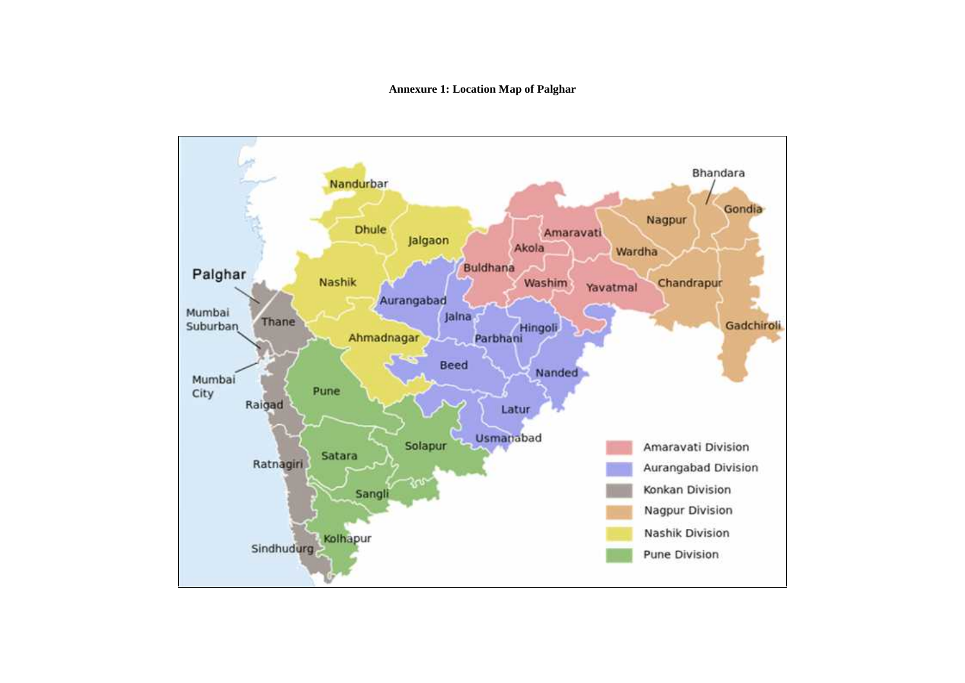#### **Annexure 1: Location Map of Palghar**

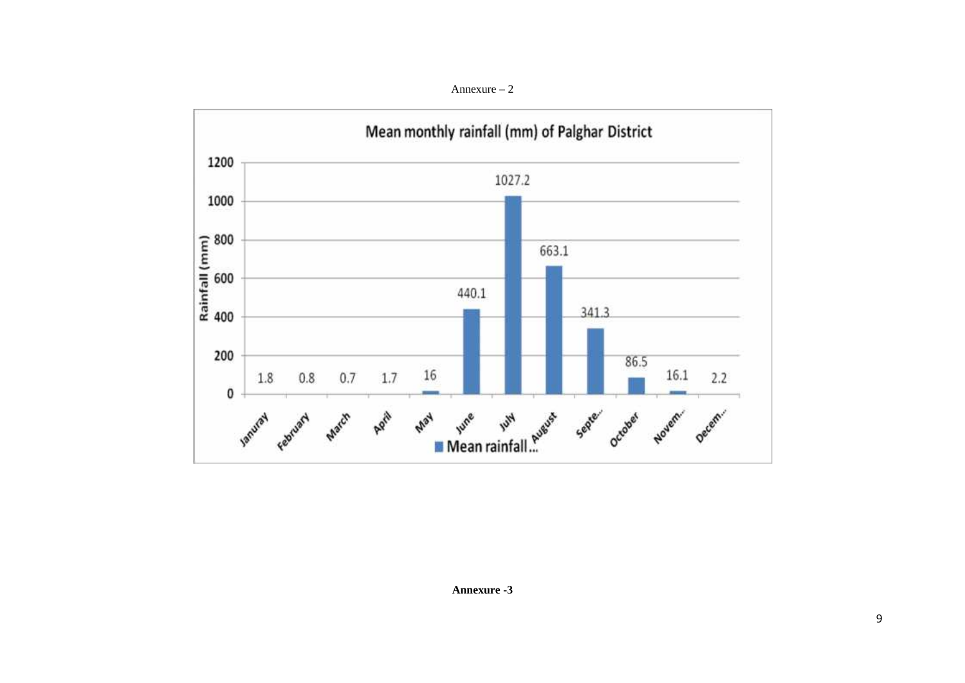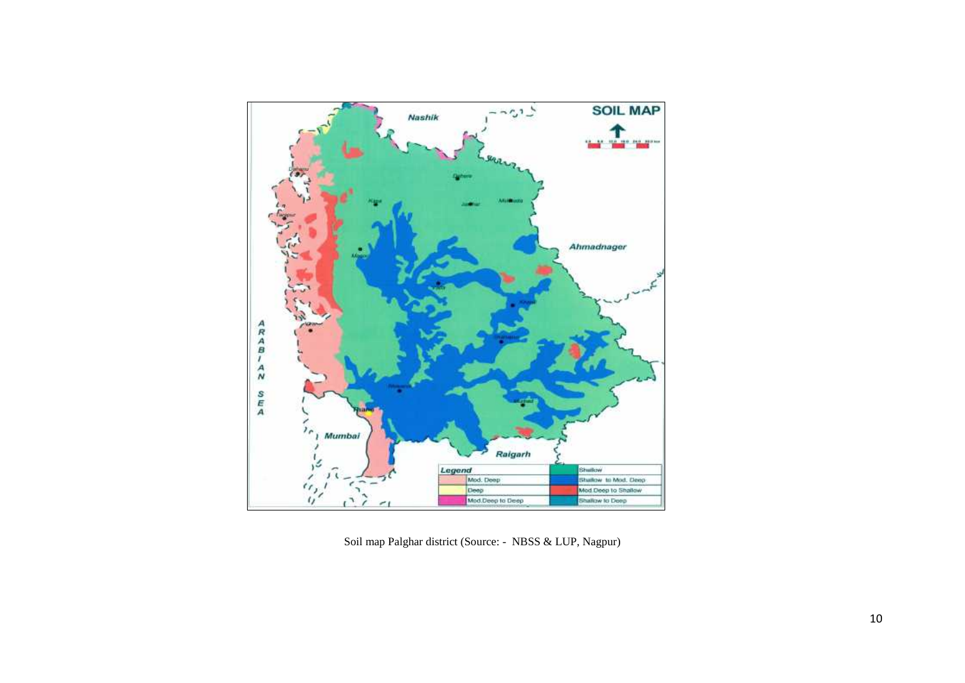

Soil map Palghar district (Source: - NBSS & LUP, Nagpur)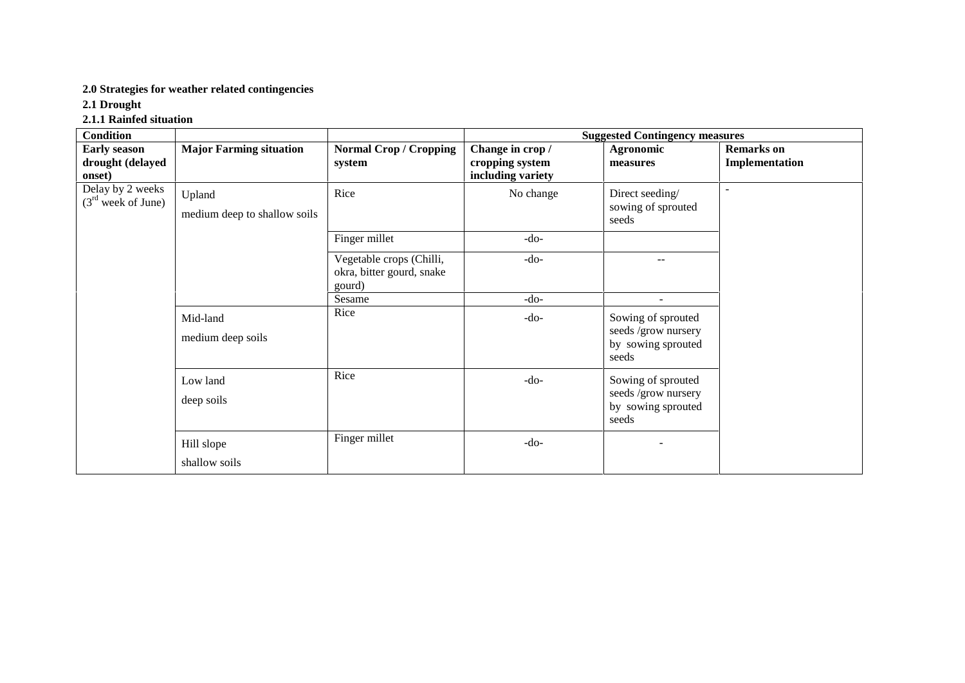### **2.0 Strategies for weather related contingencies**

**2.1 Drought**

### **2.1.1 Rainfed situation**

| <b>Condition</b>                                  |                                        |                                                                 | <b>Suggested Contingency measures</b>                    |                                                                          |                                     |  |  |
|---------------------------------------------------|----------------------------------------|-----------------------------------------------------------------|----------------------------------------------------------|--------------------------------------------------------------------------|-------------------------------------|--|--|
| <b>Early season</b><br>drought (delayed<br>onset) | <b>Major Farming situation</b>         | <b>Normal Crop / Cropping</b><br>system                         | Change in crop /<br>cropping system<br>including variety | <b>Agronomic</b><br>measures                                             | <b>Remarks</b> on<br>Implementation |  |  |
| Delay by 2 weeks<br>$(3rd$ week of June)          | Upland<br>medium deep to shallow soils | Rice                                                            | No change                                                | Direct seeding/<br>sowing of sprouted<br>seeds                           | $\overline{\phantom{a}}$            |  |  |
|                                                   |                                        | Finger millet                                                   | $-do-$                                                   |                                                                          |                                     |  |  |
|                                                   |                                        | Vegetable crops (Chilli,<br>okra, bitter gourd, snake<br>gourd) | $-do-$                                                   | $\overline{\phantom{m}}$                                                 |                                     |  |  |
|                                                   |                                        | Sesame                                                          | $-do-$                                                   |                                                                          |                                     |  |  |
|                                                   | Mid-land<br>medium deep soils          | Rice                                                            | $-do-$                                                   | Sowing of sprouted<br>seeds /grow nursery<br>by sowing sprouted<br>seeds |                                     |  |  |
|                                                   | Low land<br>deep soils                 | Rice                                                            | $-do-$                                                   | Sowing of sprouted<br>seeds /grow nursery<br>by sowing sprouted<br>seeds |                                     |  |  |
|                                                   | Hill slope<br>shallow soils            | Finger millet                                                   | $-do-$                                                   |                                                                          |                                     |  |  |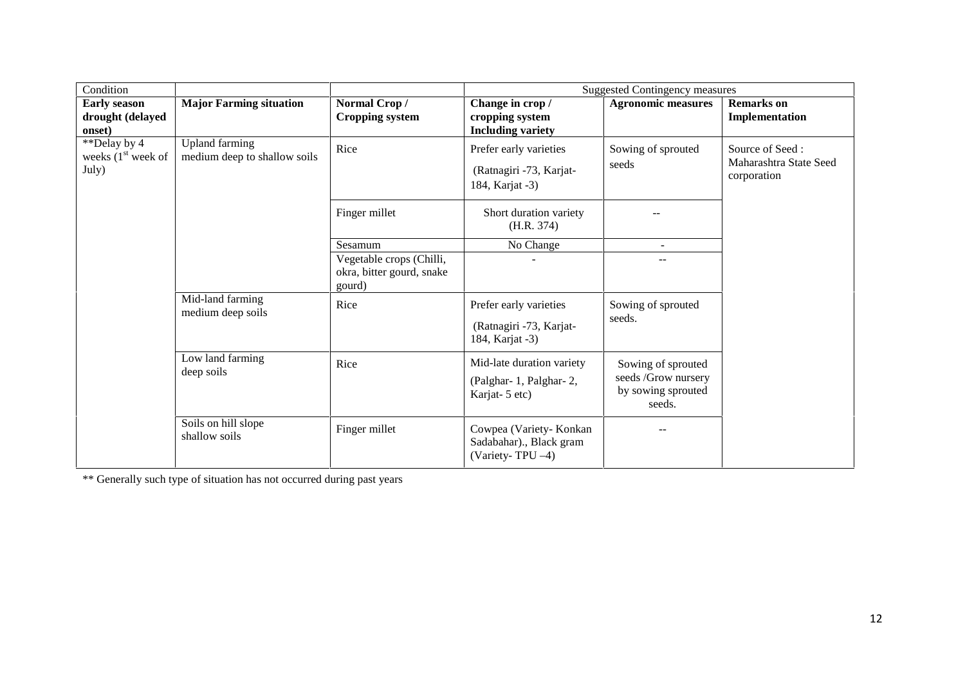| Condition                                         |                                                       |                                                                 |                                                                      | <b>Suggested Contingency measures</b>                                     |                                                          |  |  |
|---------------------------------------------------|-------------------------------------------------------|-----------------------------------------------------------------|----------------------------------------------------------------------|---------------------------------------------------------------------------|----------------------------------------------------------|--|--|
| <b>Early season</b><br>drought (delayed<br>onset) | <b>Major Farming situation</b>                        | Normal Crop/<br><b>Cropping system</b>                          | Change in crop /<br>cropping system<br><b>Including variety</b>      | <b>Agronomic measures</b>                                                 | <b>Remarks</b> on<br>Implementation                      |  |  |
| **Delay by 4<br>weeks $(1st$ week of<br>July)     | <b>Upland</b> farming<br>medium deep to shallow soils | Rice                                                            | Prefer early varieties<br>(Ratnagiri -73, Karjat-<br>184, Karjat -3) | Sowing of sprouted<br>seeds                                               | Source of Seed:<br>Maharashtra State Seed<br>corporation |  |  |
|                                                   |                                                       | Finger millet                                                   | Short duration variety<br>(H.R. 374)                                 |                                                                           |                                                          |  |  |
|                                                   |                                                       | Sesamum                                                         | No Change                                                            |                                                                           |                                                          |  |  |
|                                                   |                                                       | Vegetable crops (Chilli,<br>okra, bitter gourd, snake<br>gourd) |                                                                      |                                                                           |                                                          |  |  |
|                                                   | Mid-land farming<br>medium deep soils                 | Rice                                                            | Prefer early varieties<br>(Ratnagiri -73, Karjat-<br>184, Karjat -3) | Sowing of sprouted<br>seeds.                                              |                                                          |  |  |
|                                                   | Low land farming<br>deep soils                        | Rice                                                            | Mid-late duration variety<br>(Palghar-1, Palghar-2,<br>Karjat-5 etc) | Sowing of sprouted<br>seeds /Grow nursery<br>by sowing sprouted<br>seeds. |                                                          |  |  |
|                                                   | Soils on hill slope<br>shallow soils                  | Finger millet                                                   | Cowpea (Variety-Konkan<br>Sadabahar)., Black gram<br>(Variety-TPU-4) |                                                                           |                                                          |  |  |

\*\* Generally such type of situation has not occurred during past years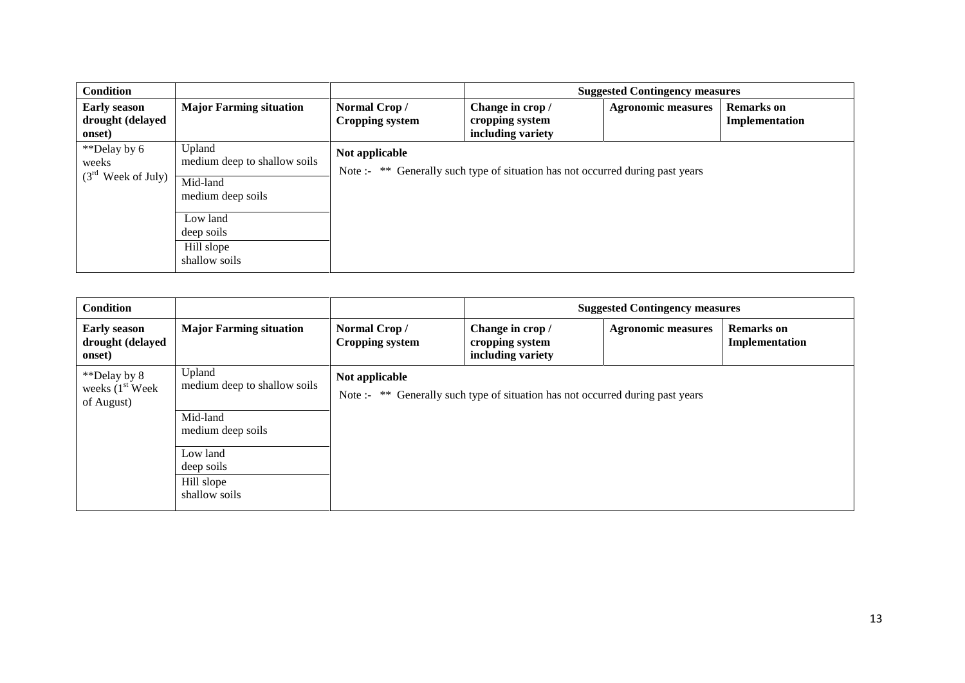| <b>Condition</b>                                  |                                                                         |                                        |                                                                                | <b>Suggested Contingency measures</b> |                                     |
|---------------------------------------------------|-------------------------------------------------------------------------|----------------------------------------|--------------------------------------------------------------------------------|---------------------------------------|-------------------------------------|
| <b>Early season</b><br>drought (delayed<br>onset) | <b>Major Farming situation</b>                                          | Normal Crop/<br><b>Cropping system</b> | Change in crop /<br>cropping system<br>including variety                       | <b>Agronomic measures</b>             | <b>Remarks</b> on<br>Implementation |
| **Delay by 6<br>weeks<br>$(3rd$ Week of July)     | Upland<br>medium deep to shallow soils<br>Mid-land<br>medium deep soils | Not applicable                         | Note :- ** Generally such type of situation has not occurred during past years |                                       |                                     |
|                                                   | Low land<br>deep soils<br>Hill slope<br>shallow soils                   |                                        |                                                                                |                                       |                                     |

| <b>Condition</b>                                         |                                                                                                                                  |                                        | <b>Suggested Contingency measures</b>                                          |                           |                                     |  |
|----------------------------------------------------------|----------------------------------------------------------------------------------------------------------------------------------|----------------------------------------|--------------------------------------------------------------------------------|---------------------------|-------------------------------------|--|
| <b>Early season</b><br>drought (delayed<br>onset)        | <b>Major Farming situation</b>                                                                                                   | Normal Crop/<br><b>Cropping system</b> | Change in crop /<br>cropping system<br>including variety                       | <b>Agronomic measures</b> | <b>Remarks</b> on<br>Implementation |  |
| **Delay by 8<br>weeks $(1st \text{ week})$<br>of August) | Upland<br>medium deep to shallow soils<br>Mid-land<br>medium deep soils<br>Low land<br>deep soils<br>Hill slope<br>shallow soils | Not applicable                         | Note :- ** Generally such type of situation has not occurred during past years |                           |                                     |  |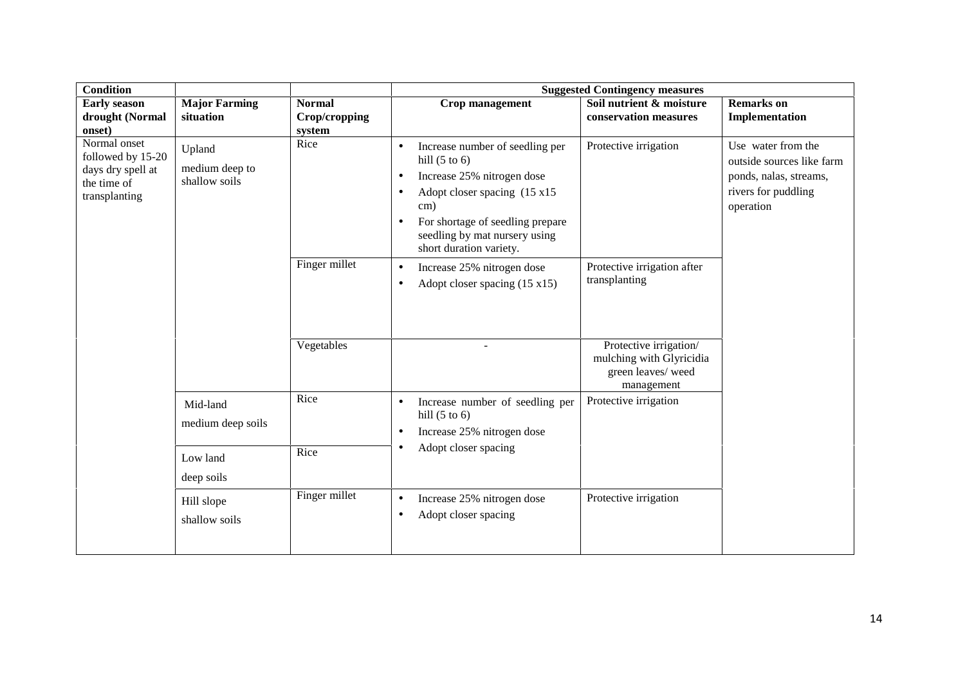| <b>Condition</b>                                                                                                                                                                               |                                   |                                                                                                                     | <b>Suggested Contingency measures</b>                                                                                                                                                                                                                                                 |                                                                                       |                                                                                                               |  |  |  |
|------------------------------------------------------------------------------------------------------------------------------------------------------------------------------------------------|-----------------------------------|---------------------------------------------------------------------------------------------------------------------|---------------------------------------------------------------------------------------------------------------------------------------------------------------------------------------------------------------------------------------------------------------------------------------|---------------------------------------------------------------------------------------|---------------------------------------------------------------------------------------------------------------|--|--|--|
| <b>Early season</b><br>drought (Normal<br>onset)                                                                                                                                               | <b>Major Farming</b><br>situation | <b>Normal</b><br>Crop/cropping<br>system                                                                            | Crop management                                                                                                                                                                                                                                                                       | Soil nutrient & moisture<br>conservation measures                                     | <b>Remarks</b> on<br>Implementation                                                                           |  |  |  |
| Normal onset<br>Upland<br>followed by 15-20<br>medium deep to<br>days dry spell at<br>shallow soils<br>the time of<br>transplanting<br>Mid-land<br>medium deep soils<br>Low land<br>deep soils |                                   | Rice                                                                                                                | Increase number of seedling per<br>$\bullet$<br>hill $(5 \text{ to } 6)$<br>Increase 25% nitrogen dose<br>$\bullet$<br>Adopt closer spacing (15 x15)<br>$\bullet$<br>cm)<br>For shortage of seedling prepare<br>$\bullet$<br>seedling by mat nursery using<br>short duration variety. | Protective irrigation                                                                 | Use water from the<br>outside sources like farm<br>ponds, nalas, streams,<br>rivers for puddling<br>operation |  |  |  |
|                                                                                                                                                                                                |                                   | Finger millet                                                                                                       | Increase 25% nitrogen dose<br>$\bullet$<br>Adopt closer spacing $(15 \times 15)$<br>$\bullet$                                                                                                                                                                                         | Protective irrigation after<br>transplanting                                          |                                                                                                               |  |  |  |
|                                                                                                                                                                                                |                                   | Vegetables                                                                                                          |                                                                                                                                                                                                                                                                                       | Protective irrigation/<br>mulching with Glyricidia<br>green leaves/weed<br>management |                                                                                                               |  |  |  |
|                                                                                                                                                                                                | Rice                              | Increase number of seedling per<br>$\bullet$<br>hill $(5 \text{ to } 6)$<br>Increase 25% nitrogen dose<br>$\bullet$ | Protective irrigation                                                                                                                                                                                                                                                                 |                                                                                       |                                                                                                               |  |  |  |
|                                                                                                                                                                                                |                                   | Rice                                                                                                                | Adopt closer spacing<br>٠                                                                                                                                                                                                                                                             |                                                                                       |                                                                                                               |  |  |  |
|                                                                                                                                                                                                | Hill slope<br>shallow soils       | Finger millet                                                                                                       | Increase 25% nitrogen dose<br>$\bullet$<br>Adopt closer spacing<br>$\bullet$                                                                                                                                                                                                          | Protective irrigation                                                                 |                                                                                                               |  |  |  |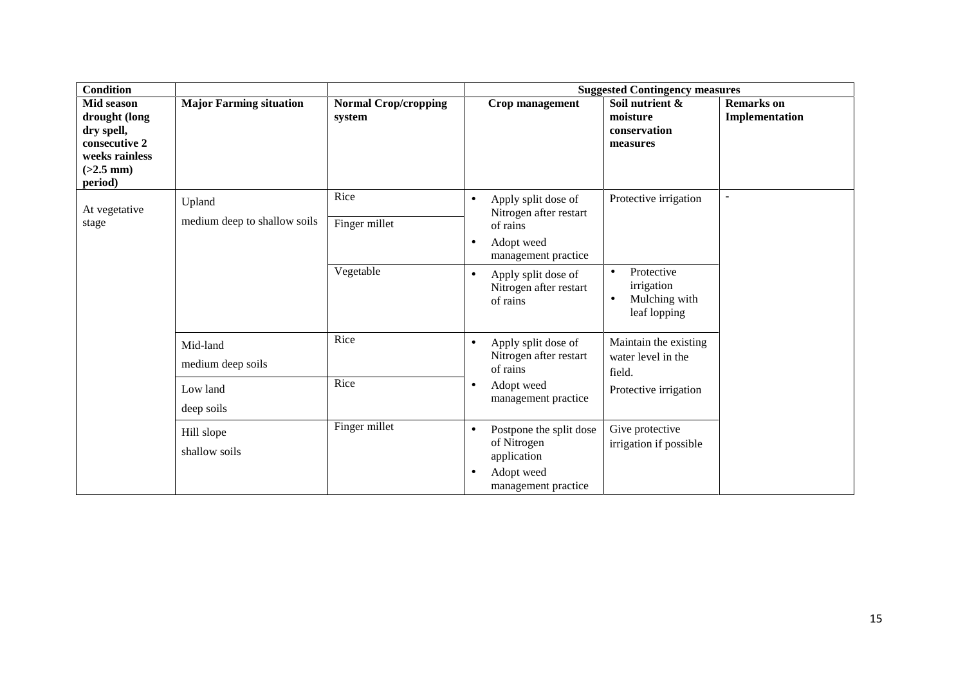| <b>Condition</b>                                                                                       |                                        |                                       | <b>Suggested Contingency measures</b>                                                                                |                                                                                     |                                     |  |
|--------------------------------------------------------------------------------------------------------|----------------------------------------|---------------------------------------|----------------------------------------------------------------------------------------------------------------------|-------------------------------------------------------------------------------------|-------------------------------------|--|
| Mid season<br>drought (long<br>dry spell,<br>consecutive 2<br>weeks rainless<br>$(>2.5$ mm)<br>period) | <b>Major Farming situation</b>         | <b>Normal Crop/cropping</b><br>system | Crop management                                                                                                      | Soil nutrient &<br>moisture<br>conservation<br>measures                             | <b>Remarks</b> on<br>Implementation |  |
| At vegetative<br>stage                                                                                 | Upland<br>medium deep to shallow soils | Rice<br>Finger millet                 | Apply split dose of<br>$\bullet$<br>Nitrogen after restart<br>of rains<br>Adopt weed<br>$\bullet$                    | Protective irrigation                                                               |                                     |  |
|                                                                                                        |                                        | Vegetable                             | management practice<br>Apply split dose of<br>$\bullet$<br>Nitrogen after restart<br>of rains                        | Protective<br>$\bullet$<br>irrigation<br>Mulching with<br>$\bullet$<br>leaf lopping |                                     |  |
|                                                                                                        | Mid-land<br>medium deep soils          | Rice                                  | Apply split dose of<br>$\bullet$<br>Nitrogen after restart<br>of rains                                               | Maintain the existing<br>water level in the<br>field.                               |                                     |  |
|                                                                                                        | Low land<br>deep soils                 | Rice                                  | Adopt weed<br>$\bullet$<br>management practice                                                                       | Protective irrigation                                                               |                                     |  |
|                                                                                                        | Hill slope<br>shallow soils            | Finger millet                         | Postpone the split dose<br>$\bullet$<br>of Nitrogen<br>application<br>Adopt weed<br>$\bullet$<br>management practice | Give protective<br>irrigation if possible                                           |                                     |  |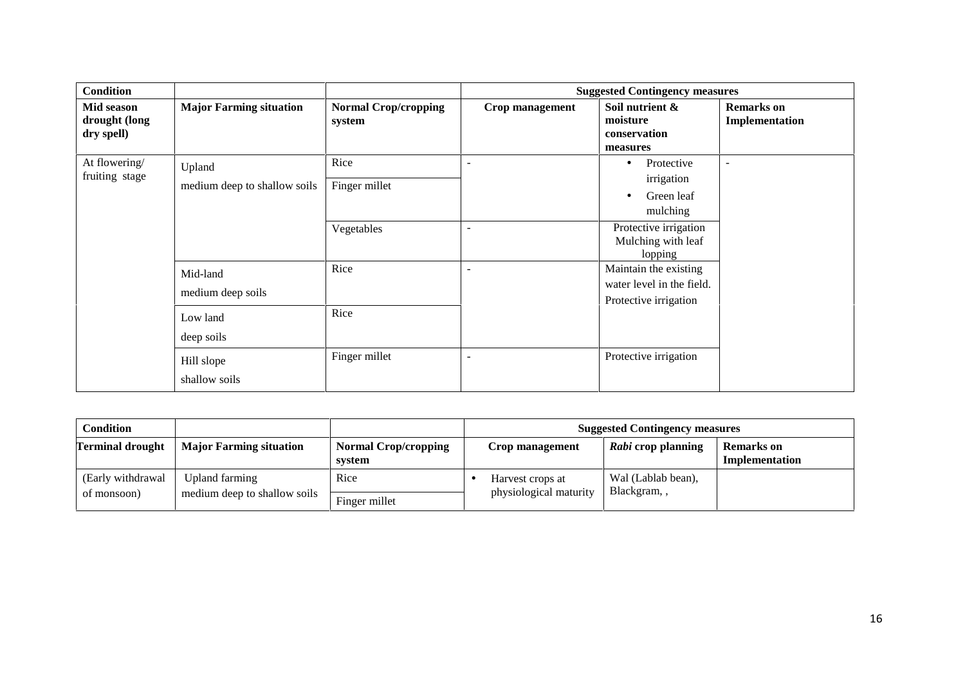| <b>Condition</b>                          |                                                                                     |                                                     | <b>Suggested Contingency measures</b>                                  |                                                                                                                                                                                                          |                                     |  |
|-------------------------------------------|-------------------------------------------------------------------------------------|-----------------------------------------------------|------------------------------------------------------------------------|----------------------------------------------------------------------------------------------------------------------------------------------------------------------------------------------------------|-------------------------------------|--|
| Mid season<br>drought (long<br>dry spell) | <b>Major Farming situation</b>                                                      | <b>Normal Crop/cropping</b><br>system               | Crop management                                                        | Soil nutrient &<br>moisture<br>conservation<br>measures                                                                                                                                                  | <b>Remarks</b> on<br>Implementation |  |
| At flowering/<br>fruiting stage           | Upland<br>medium deep to shallow soils<br>Mid-land<br>medium deep soils<br>Low land | Rice<br>Finger millet<br>Vegetables<br>Rice<br>Rice | $\overline{\phantom{0}}$<br>$\overline{\phantom{a}}$<br>$\overline{a}$ | Protective<br>$\bullet$<br>irrigation<br>Green leaf<br>mulching<br>Protective irrigation<br>Mulching with leaf<br>lopping<br>Maintain the existing<br>water level in the field.<br>Protective irrigation | $\overline{\phantom{a}}$            |  |
|                                           | deep soils<br>Hill slope<br>shallow soils                                           | Finger millet                                       | $\overline{\phantom{a}}$                                               | Protective irrigation                                                                                                                                                                                    |                                     |  |

| <b>Condition</b>                  |                                                |                                       | <b>Suggested Contingency measures</b> |                                            |                                   |                                     |
|-----------------------------------|------------------------------------------------|---------------------------------------|---------------------------------------|--------------------------------------------|-----------------------------------|-------------------------------------|
| <b>Terminal drought</b>           | <b>Major Farming situation</b>                 | <b>Normal Crop/cropping</b><br>system |                                       | Crop management                            | Rabi crop planning                | <b>Remarks</b> on<br>Implementation |
| (Early withdrawal)<br>of monsoon) | Upland farming<br>medium deep to shallow soils | Rice<br>Finger millet                 |                                       | Harvest crops at<br>physiological maturity | Wal (Lablab bean),<br>Blackgram,, |                                     |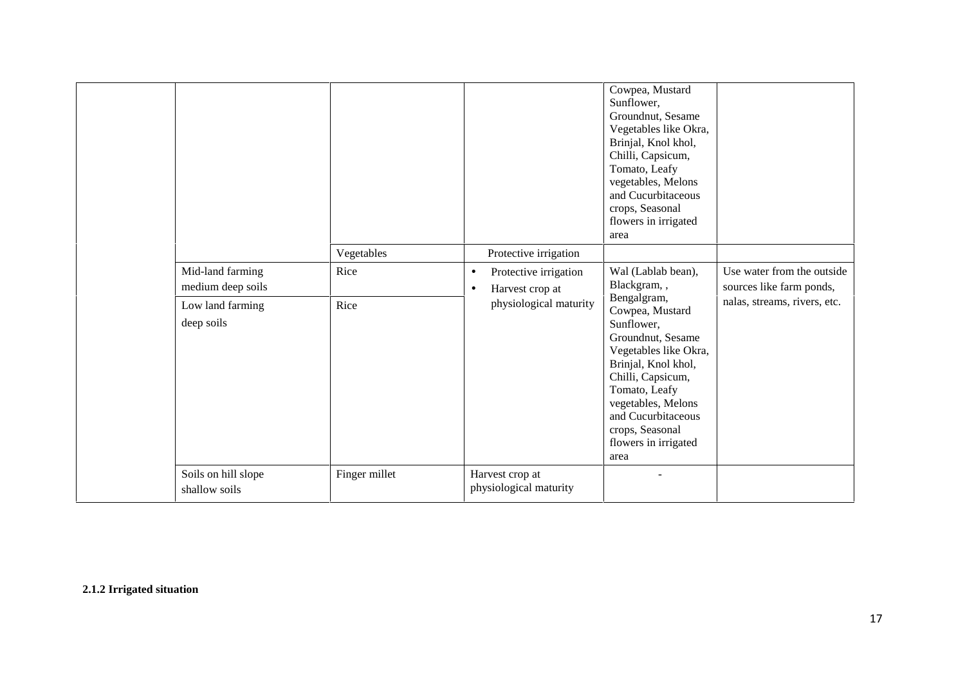|                                                                         | Vegetables    | Protective irrigation                                                                        | Cowpea, Mustard<br>Sunflower,<br>Groundnut, Sesame<br>Vegetables like Okra,<br>Brinjal, Knol khol,<br>Chilli, Capsicum,<br>Tomato, Leafy<br>vegetables, Melons<br>and Cucurbitaceous<br>crops, Seasonal<br>flowers in irrigated<br>area                                                     |                                                                                        |
|-------------------------------------------------------------------------|---------------|----------------------------------------------------------------------------------------------|---------------------------------------------------------------------------------------------------------------------------------------------------------------------------------------------------------------------------------------------------------------------------------------------|----------------------------------------------------------------------------------------|
| Mid-land farming<br>medium deep soils<br>Low land farming<br>deep soils | Rice<br>Rice  | Protective irrigation<br>$\bullet$<br>Harvest crop at<br>$\bullet$<br>physiological maturity | Wal (Lablab bean),<br>Blackgram,,<br>Bengalgram,<br>Cowpea, Mustard<br>Sunflower,<br>Groundnut, Sesame<br>Vegetables like Okra,<br>Brinjal, Knol khol,<br>Chilli, Capsicum,<br>Tomato, Leafy<br>vegetables, Melons<br>and Cucurbitaceous<br>crops, Seasonal<br>flowers in irrigated<br>area | Use water from the outside<br>sources like farm ponds,<br>nalas, streams, rivers, etc. |
| Soils on hill slope<br>shallow soils                                    | Finger millet | Harvest crop at<br>physiological maturity                                                    |                                                                                                                                                                                                                                                                                             |                                                                                        |

**2.1.2 Irrigated situation**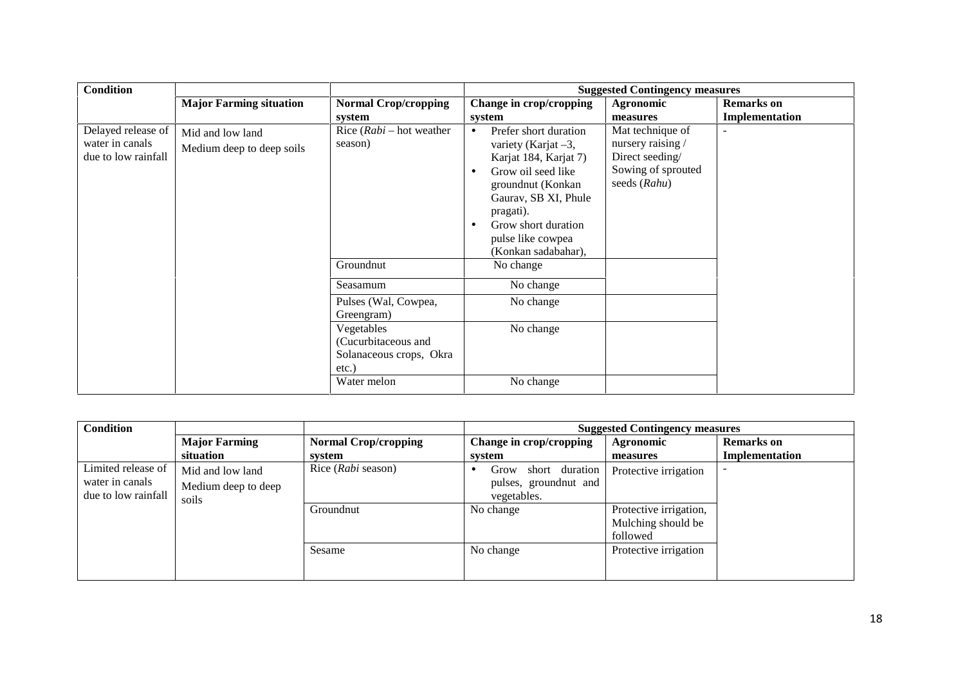| <b>Condition</b>                                             |                                               |                                                                          | <b>Suggested Contingency measures</b>                                                                                                                                                                                                    |                                                                                                |                   |  |
|--------------------------------------------------------------|-----------------------------------------------|--------------------------------------------------------------------------|------------------------------------------------------------------------------------------------------------------------------------------------------------------------------------------------------------------------------------------|------------------------------------------------------------------------------------------------|-------------------|--|
|                                                              | <b>Major Farming situation</b>                | <b>Normal Crop/cropping</b>                                              | Change in crop/cropping                                                                                                                                                                                                                  | Agronomic                                                                                      | <b>Remarks</b> on |  |
|                                                              |                                               | system                                                                   | system                                                                                                                                                                                                                                   | measures                                                                                       | Implementation    |  |
| Delayed release of<br>water in canals<br>due to low rainfall | Mid and low land<br>Medium deep to deep soils | Rice $(Rabi - hot weather)$<br>season)                                   | Prefer short duration<br>$\bullet$<br>variety (Karjat $-3$ ,<br>Karjat 184, Karjat 7)<br>Grow oil seed like<br>groundnut (Konkan<br>Gauray, SB XI, Phule<br>pragati).<br>Grow short duration<br>pulse like cowpea<br>(Konkan sadabahar), | Mat technique of<br>nursery raising /<br>Direct seeding/<br>Sowing of sprouted<br>seeds (Rahu) | $\blacksquare$    |  |
|                                                              |                                               | Groundnut                                                                | No change                                                                                                                                                                                                                                |                                                                                                |                   |  |
|                                                              |                                               | Seasamum                                                                 | No change                                                                                                                                                                                                                                |                                                                                                |                   |  |
|                                                              |                                               | Pulses (Wal, Cowpea,<br>Greengram)                                       | No change                                                                                                                                                                                                                                |                                                                                                |                   |  |
|                                                              |                                               | Vegetables<br>(Cucurbitaceous and<br>Solanaceous crops, Okra<br>$etc.$ ) | No change                                                                                                                                                                                                                                |                                                                                                |                   |  |
|                                                              |                                               | Water melon                                                              | No change                                                                                                                                                                                                                                |                                                                                                |                   |  |

| <b>Condition</b>    |                      |                             | <b>Suggested Contingency measures</b> |                        |                   |  |
|---------------------|----------------------|-----------------------------|---------------------------------------|------------------------|-------------------|--|
|                     | <b>Major Farming</b> | <b>Normal Crop/cropping</b> | Change in crop/cropping               | Agronomic              | <b>Remarks</b> on |  |
|                     | situation            | system                      | system                                | measures               | Implementation    |  |
| Limited release of  | Mid and low land     | Rice (Rabi season)          | Grow<br>short duration                | Protective irrigation  |                   |  |
| water in canals     | Medium deep to deep  |                             | pulses, groundnut and                 |                        |                   |  |
| due to low rainfall | soils                |                             | vegetables.                           |                        |                   |  |
|                     |                      | Groundnut                   | No change                             | Protective irrigation, |                   |  |
|                     |                      |                             |                                       | Mulching should be     |                   |  |
|                     |                      |                             |                                       | followed               |                   |  |
|                     |                      | Sesame                      | No change                             | Protective irrigation  |                   |  |
|                     |                      |                             |                                       |                        |                   |  |
|                     |                      |                             |                                       |                        |                   |  |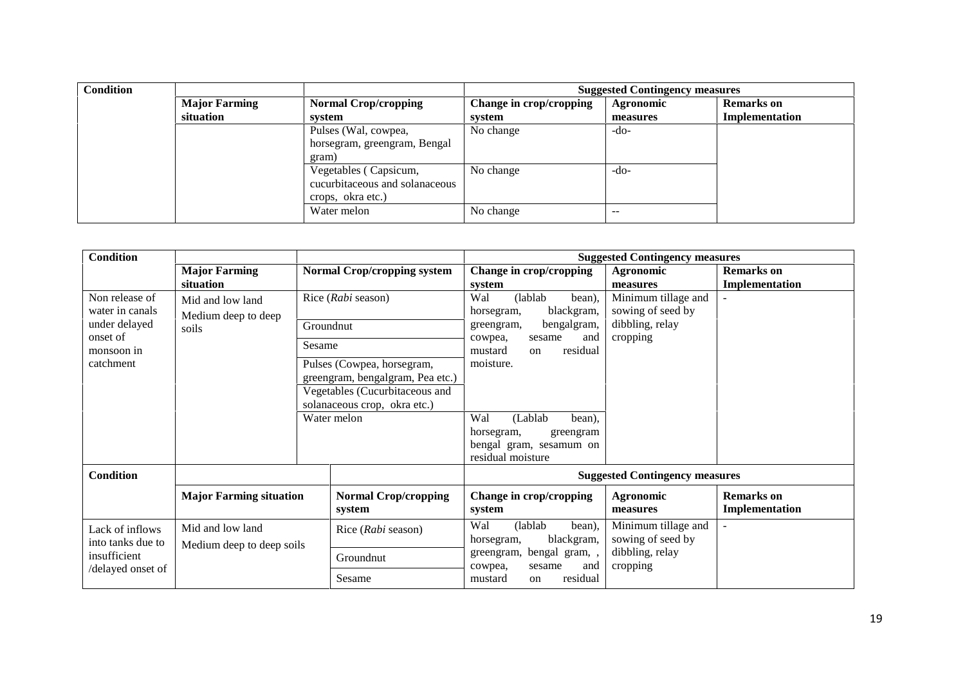| <b>Condition</b> |                                                     |                                | <b>Suggested Contingency measures</b> |           |                   |  |  |
|------------------|-----------------------------------------------------|--------------------------------|---------------------------------------|-----------|-------------------|--|--|
|                  | <b>Major Farming</b><br><b>Normal Crop/cropping</b> |                                | Change in crop/cropping               | Agronomic | <b>Remarks</b> on |  |  |
|                  | situation                                           | system                         | system                                | measures  | Implementation    |  |  |
|                  |                                                     | Pulses (Wal, cowpea,           | No change                             | -do-      |                   |  |  |
|                  |                                                     | horsegram, greengram, Bengal   |                                       |           |                   |  |  |
|                  |                                                     | gram)                          |                                       |           |                   |  |  |
|                  |                                                     | Vegetables (Capsicum,          | No change                             | $-do-$    |                   |  |  |
|                  |                                                     | cucurbitaceous and solanaceous |                                       |           |                   |  |  |
|                  |                                                     | crops, okra etc.)              |                                       |           |                   |  |  |
|                  |                                                     | Water melon                    | No change                             | $- -$     |                   |  |  |

| Implementation |
|----------------|
|                |
|                |
|                |
|                |
|                |
| Implementation |
|                |
|                |
|                |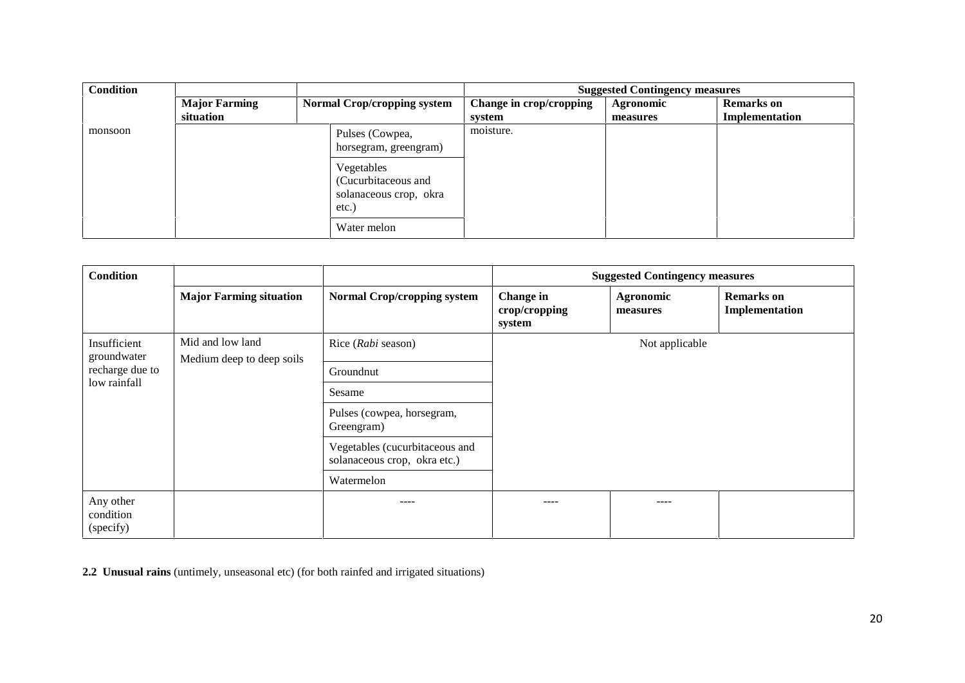| <b>Condition</b> |                                   |                                                                         | <b>Suggested Contingency measures</b> |                       |                                     |  |
|------------------|-----------------------------------|-------------------------------------------------------------------------|---------------------------------------|-----------------------|-------------------------------------|--|
|                  | <b>Major Farming</b><br>situation | <b>Normal Crop/cropping system</b>                                      | Change in crop/cropping<br>system     | Agronomic<br>measures | <b>Remarks</b> on<br>Implementation |  |
| monsoon          |                                   | Pulses (Cowpea,<br>horsegram, greengram)                                | moisture.                             |                       |                                     |  |
|                  |                                   | Vegetables<br>(Cucurbitaceous and<br>solanaceous crop, okra<br>$etc.$ ) |                                       |                       |                                     |  |
|                  |                                   | Water melon                                                             |                                       |                       |                                     |  |

| <b>Condition</b>                                                             |                                |                                                                | <b>Suggested Contingency measures</b> |                       |                                     |  |
|------------------------------------------------------------------------------|--------------------------------|----------------------------------------------------------------|---------------------------------------|-----------------------|-------------------------------------|--|
|                                                                              | <b>Major Farming situation</b> | <b>Normal Crop/cropping system</b>                             | Change in<br>crop/cropping<br>system  | Agronomic<br>measures | <b>Remarks</b> on<br>Implementation |  |
| Mid and low land<br>Insufficient<br>groundwater<br>Medium deep to deep soils |                                | Rice (Rabi season)                                             | Not applicable                        |                       |                                     |  |
| recharge due to<br>low rainfall                                              |                                | Groundnut                                                      |                                       |                       |                                     |  |
|                                                                              |                                | Sesame                                                         |                                       |                       |                                     |  |
|                                                                              |                                | Pulses (cowpea, horsegram,<br>Greengram)                       |                                       |                       |                                     |  |
|                                                                              |                                | Vegetables (cucurbitaceous and<br>solanaceous crop, okra etc.) |                                       |                       |                                     |  |
|                                                                              |                                | Watermelon                                                     |                                       |                       |                                     |  |
| Any other<br>condition<br>(specify)                                          |                                | ----                                                           | ----                                  | ----                  |                                     |  |

**2.2 Unusual rains** (untimely, unseasonal etc) (for both rainfed and irrigated situations)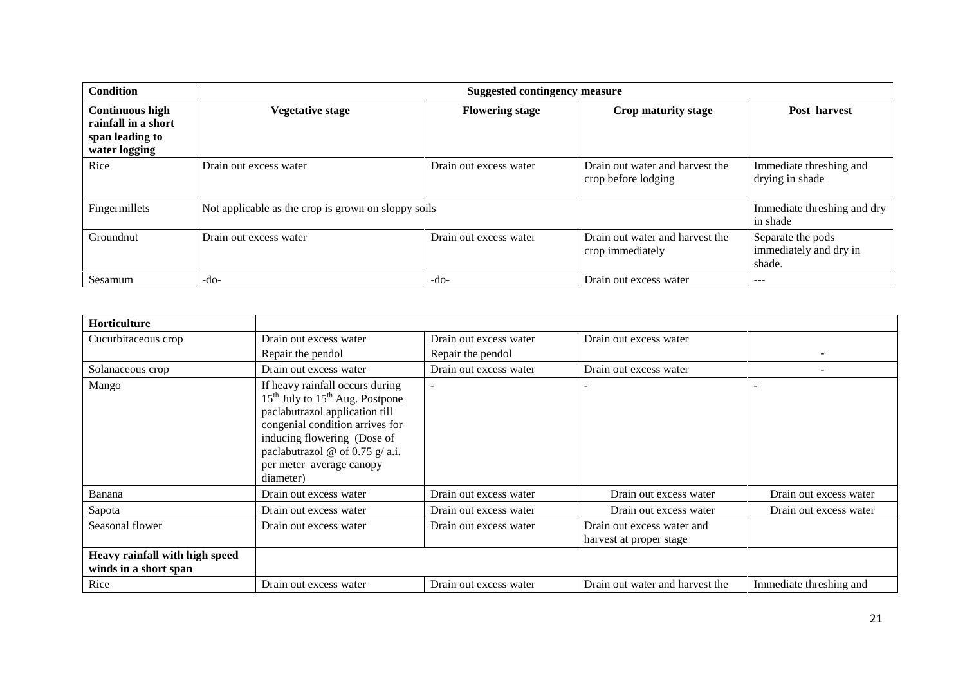| <b>Condition</b>                                                                  | <b>Suggested contingency measure</b> |                                                     |                                                        |                                                       |  |
|-----------------------------------------------------------------------------------|--------------------------------------|-----------------------------------------------------|--------------------------------------------------------|-------------------------------------------------------|--|
| <b>Continuous high</b><br>rainfall in a short<br>span leading to<br>water logging | <b>Vegetative stage</b>              | <b>Flowering stage</b>                              | Crop maturity stage                                    | Post harvest                                          |  |
| Rice                                                                              | Drain out excess water               | Drain out excess water                              | Drain out water and harvest the<br>crop before lodging | Immediate threshing and<br>drying in shade            |  |
| Fingermillets                                                                     |                                      | Not applicable as the crop is grown on sloppy soils |                                                        |                                                       |  |
| Groundnut                                                                         | Drain out excess water               | Drain out excess water                              | Drain out water and harvest the<br>crop immediately    | Separate the pods<br>immediately and dry in<br>shade. |  |
| Sesamum                                                                           | $-do-$                               | $-do-$                                              | Drain out excess water                                 | $- - -$                                               |  |

| <b>Horticulture</b>                                     |                                                                                                                                                                                                                                                           |                        |                                                       |                         |
|---------------------------------------------------------|-----------------------------------------------------------------------------------------------------------------------------------------------------------------------------------------------------------------------------------------------------------|------------------------|-------------------------------------------------------|-------------------------|
| Cucurbitaceous crop                                     | Drain out excess water                                                                                                                                                                                                                                    | Drain out excess water | Drain out excess water                                |                         |
|                                                         | Repair the pendol                                                                                                                                                                                                                                         | Repair the pendol      |                                                       |                         |
| Solanaceous crop                                        | Drain out excess water                                                                                                                                                                                                                                    | Drain out excess water | Drain out excess water                                |                         |
| Mango                                                   | If heavy rainfall occurs during<br>$15th$ July to $15th$ Aug. Postpone<br>paclabutrazol application till<br>congenial condition arrives for<br>inducing flowering (Dose of<br>paclabutrazol @ of 0.75 $g$ / a.i.<br>per meter average canopy<br>diameter) | $\blacksquare$         |                                                       |                         |
| Banana                                                  | Drain out excess water                                                                                                                                                                                                                                    | Drain out excess water | Drain out excess water                                | Drain out excess water  |
| Sapota                                                  | Drain out excess water                                                                                                                                                                                                                                    | Drain out excess water | Drain out excess water                                | Drain out excess water  |
| Seasonal flower                                         | Drain out excess water                                                                                                                                                                                                                                    | Drain out excess water | Drain out excess water and<br>harvest at proper stage |                         |
| Heavy rainfall with high speed<br>winds in a short span |                                                                                                                                                                                                                                                           |                        |                                                       |                         |
| Rice                                                    | Drain out excess water                                                                                                                                                                                                                                    | Drain out excess water | Drain out water and harvest the                       | Immediate threshing and |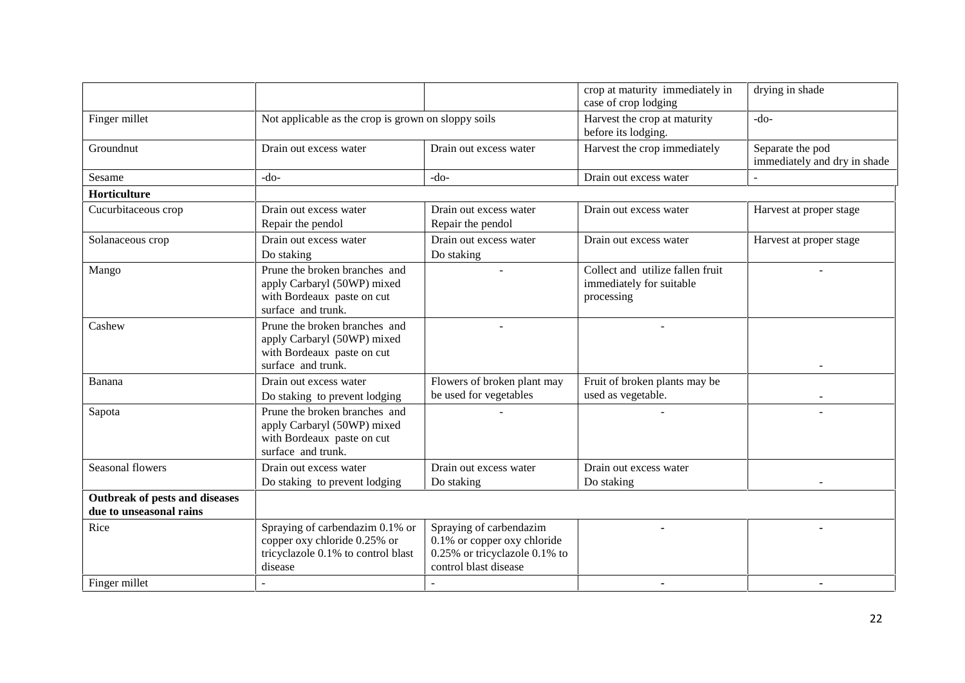|                                                           |                                                                                                                  |                                                                                                                  | crop at maturity immediately in<br>case of crop lodging                    | drying in shade                                  |
|-----------------------------------------------------------|------------------------------------------------------------------------------------------------------------------|------------------------------------------------------------------------------------------------------------------|----------------------------------------------------------------------------|--------------------------------------------------|
| Finger millet                                             | Not applicable as the crop is grown on sloppy soils                                                              |                                                                                                                  | Harvest the crop at maturity<br>before its lodging.                        | $-do-$                                           |
| Groundnut                                                 | Drain out excess water                                                                                           | Drain out excess water                                                                                           | Harvest the crop immediately                                               | Separate the pod<br>immediately and dry in shade |
| Sesame                                                    | $-do-$                                                                                                           | $-do-$                                                                                                           | Drain out excess water                                                     |                                                  |
| Horticulture                                              |                                                                                                                  |                                                                                                                  |                                                                            |                                                  |
| Cucurbitaceous crop                                       | Drain out excess water<br>Repair the pendol                                                                      | Drain out excess water<br>Repair the pendol                                                                      | Drain out excess water                                                     | Harvest at proper stage                          |
| Solanaceous crop                                          | Drain out excess water<br>Do staking                                                                             | Drain out excess water<br>Do staking                                                                             | Drain out excess water                                                     | Harvest at proper stage                          |
| Mango                                                     | Prune the broken branches and<br>apply Carbaryl (50WP) mixed<br>with Bordeaux paste on cut<br>surface and trunk. |                                                                                                                  | Collect and utilize fallen fruit<br>immediately for suitable<br>processing |                                                  |
| Cashew                                                    | Prune the broken branches and<br>apply Carbaryl (50WP) mixed<br>with Bordeaux paste on cut<br>surface and trunk. |                                                                                                                  |                                                                            |                                                  |
| Banana                                                    | Drain out excess water<br>Do staking to prevent lodging                                                          | Flowers of broken plant may<br>be used for vegetables                                                            | Fruit of broken plants may be<br>used as vegetable.                        |                                                  |
| Sapota                                                    | Prune the broken branches and<br>apply Carbaryl (50WP) mixed<br>with Bordeaux paste on cut<br>surface and trunk. |                                                                                                                  |                                                                            |                                                  |
| Seasonal flowers                                          | Drain out excess water<br>Do staking to prevent lodging                                                          | Drain out excess water<br>Do staking                                                                             | Drain out excess water<br>Do staking                                       |                                                  |
| Outbreak of pests and diseases<br>due to unseasonal rains |                                                                                                                  |                                                                                                                  |                                                                            |                                                  |
| Rice                                                      | Spraying of carbendazim 0.1% or<br>copper oxy chloride 0.25% or<br>tricyclazole 0.1% to control blast<br>disease | Spraying of carbendazim<br>0.1% or copper oxy chloride<br>0.25% or tricyclazole 0.1% to<br>control blast disease |                                                                            |                                                  |
| Finger millet                                             |                                                                                                                  |                                                                                                                  | ٠                                                                          |                                                  |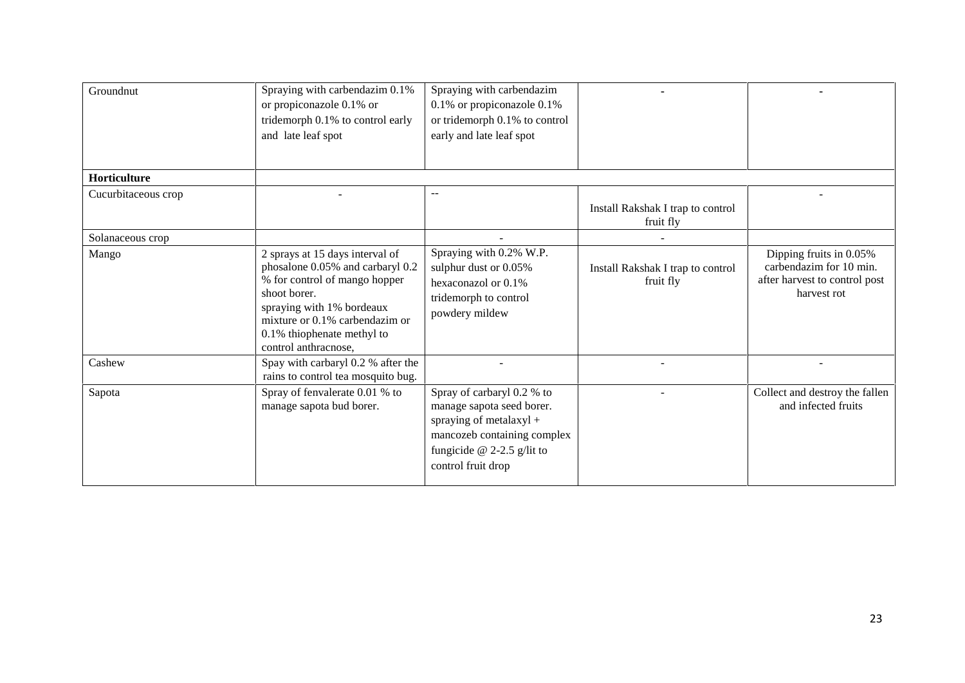| Spraying with carbendazim 0.1%<br>or propiconazole 0.1% or<br>tridemorph 0.1% to control early                                                                                                                                            | Spraying with carbendazim<br>0.1% or propiconazole 0.1%<br>or tridemorph 0.1% to control                                                                              |                                                |                                                                                                    |
|-------------------------------------------------------------------------------------------------------------------------------------------------------------------------------------------------------------------------------------------|-----------------------------------------------------------------------------------------------------------------------------------------------------------------------|------------------------------------------------|----------------------------------------------------------------------------------------------------|
|                                                                                                                                                                                                                                           |                                                                                                                                                                       |                                                |                                                                                                    |
|                                                                                                                                                                                                                                           |                                                                                                                                                                       |                                                |                                                                                                    |
|                                                                                                                                                                                                                                           | $-$                                                                                                                                                                   | Install Rakshak I trap to control<br>fruit fly |                                                                                                    |
|                                                                                                                                                                                                                                           |                                                                                                                                                                       |                                                |                                                                                                    |
| 2 sprays at 15 days interval of<br>phosalone 0.05% and carbaryl 0.2<br>% for control of mango hopper<br>shoot borer.<br>spraying with 1% bordeaux<br>mixture or 0.1% carbendazim or<br>0.1% thiophenate methyl to<br>control anthracnose, | Spraying with 0.2% W.P.<br>sulphur dust or 0.05%<br>hexaconazol or 0.1%<br>tridemorph to control<br>powdery mildew                                                    | Install Rakshak I trap to control<br>fruit fly | Dipping fruits in 0.05%<br>carbendazim for 10 min.<br>after harvest to control post<br>harvest rot |
| Spay with carbaryl 0.2 % after the<br>rains to control tea mosquito bug.                                                                                                                                                                  |                                                                                                                                                                       |                                                |                                                                                                    |
| Spray of fenvalerate 0.01 % to<br>manage sapota bud borer.                                                                                                                                                                                | Spray of carbaryl 0.2 % to<br>manage sapota seed borer.<br>spraying of metalaxyl +<br>mancozeb containing complex<br>fungicide @ 2-2.5 g/lit to<br>control fruit drop |                                                | Collect and destroy the fallen<br>and infected fruits                                              |
|                                                                                                                                                                                                                                           | and late leaf spot                                                                                                                                                    | early and late leaf spot                       |                                                                                                    |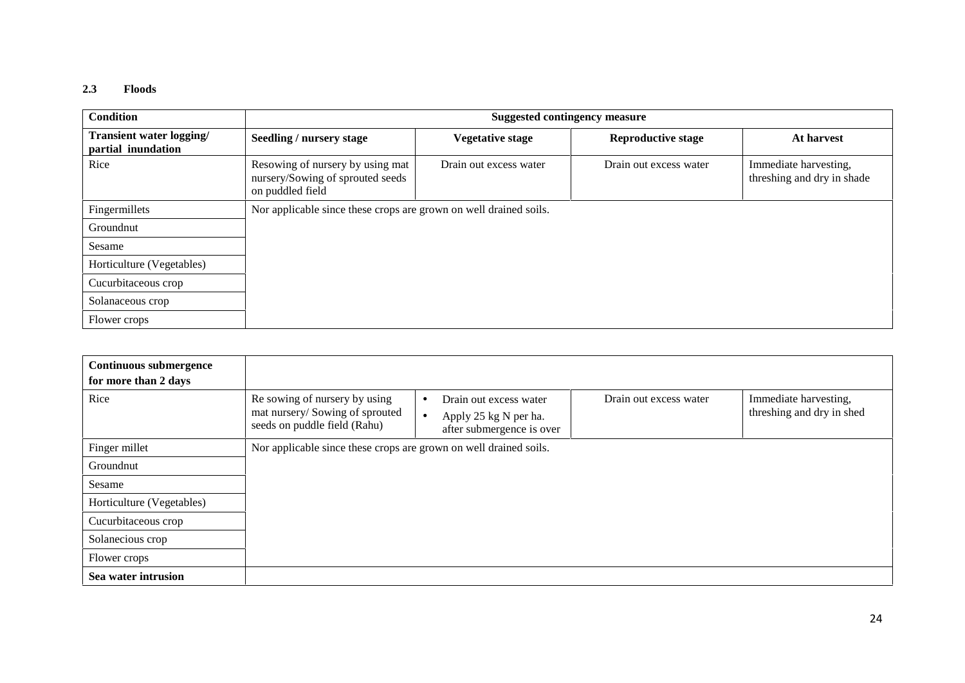#### **2.3 Floods**

| Condition                                      | <b>Suggested contingency measure</b>                                                     |                         |                           |                                                     |  |  |
|------------------------------------------------|------------------------------------------------------------------------------------------|-------------------------|---------------------------|-----------------------------------------------------|--|--|
| Transient water logging/<br>partial inundation | Seedling / nursery stage                                                                 | <b>Vegetative stage</b> | <b>Reproductive stage</b> | At harvest                                          |  |  |
| Rice                                           | Resowing of nursery by using mat<br>nursery/Sowing of sprouted seeds<br>on puddled field | Drain out excess water  | Drain out excess water    | Immediate harvesting,<br>threshing and dry in shade |  |  |
| Fingermillets                                  | Nor applicable since these crops are grown on well drained soils.                        |                         |                           |                                                     |  |  |
| Groundnut                                      |                                                                                          |                         |                           |                                                     |  |  |
| Sesame                                         |                                                                                          |                         |                           |                                                     |  |  |
| Horticulture (Vegetables)                      |                                                                                          |                         |                           |                                                     |  |  |
| Cucurbitaceous crop                            |                                                                                          |                         |                           |                                                     |  |  |
| Solanaceous crop                               |                                                                                          |                         |                           |                                                     |  |  |
| Flower crops                                   |                                                                                          |                         |                           |                                                     |  |  |

| Continuous submergence<br>for more than 2 days |                                                                                                 |                                                                                                        |                        |                                                    |
|------------------------------------------------|-------------------------------------------------------------------------------------------------|--------------------------------------------------------------------------------------------------------|------------------------|----------------------------------------------------|
| Rice                                           | Re sowing of nursery by using<br>mat nursery/Sowing of sprouted<br>seeds on puddle field (Rahu) | Drain out excess water<br>$\bullet$<br>Apply 25 kg N per ha.<br>$\bullet$<br>after submergence is over | Drain out excess water | Immediate harvesting,<br>threshing and dry in shed |
| Finger millet                                  | Nor applicable since these crops are grown on well drained soils.                               |                                                                                                        |                        |                                                    |
| Groundnut                                      |                                                                                                 |                                                                                                        |                        |                                                    |
| Sesame                                         |                                                                                                 |                                                                                                        |                        |                                                    |
| Horticulture (Vegetables)                      |                                                                                                 |                                                                                                        |                        |                                                    |
| Cucurbitaceous crop                            |                                                                                                 |                                                                                                        |                        |                                                    |
| Solanecious crop                               |                                                                                                 |                                                                                                        |                        |                                                    |
| Flower crops                                   |                                                                                                 |                                                                                                        |                        |                                                    |
| Sea water intrusion                            |                                                                                                 |                                                                                                        |                        |                                                    |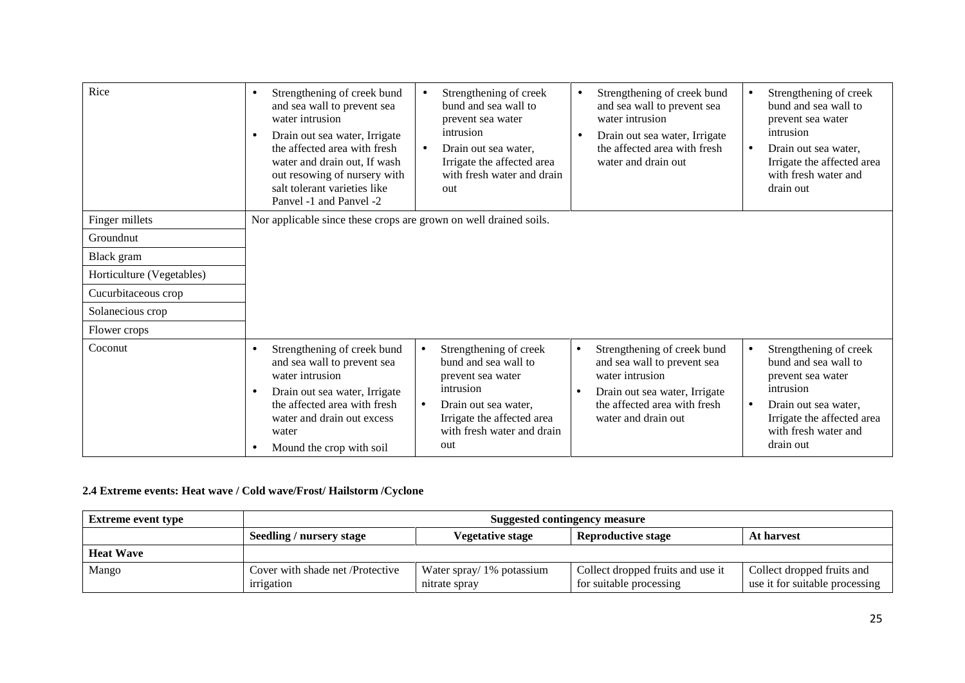| Rice                      | Strengthening of creek bund<br>Strengthening of creek<br>Strengthening of creek bund<br>Strengthening of creek<br>$\bullet$<br>$\bullet$<br>bund and sea wall to<br>bund and sea wall to<br>and sea wall to prevent sea<br>and sea wall to prevent sea<br>water intrusion<br>water intrusion<br>prevent sea water<br>prevent sea water<br>intrusion<br>intrusion<br>Drain out sea water, Irrigate<br>Drain out sea water, Irrigate<br>$\bullet$<br>$\bullet$<br>the affected area with fresh<br>the affected area with fresh<br>Drain out sea water,<br>Drain out sea water.<br>$\bullet$<br>$\bullet$<br>water and drain out, If wash<br>Irrigate the affected area<br>water and drain out<br>Irrigate the affected area<br>with fresh water and drain<br>with fresh water and<br>out resowing of nursery with<br>salt tolerant varieties like<br>drain out<br>out<br>Panvel -1 and Panvel -2 |
|---------------------------|------------------------------------------------------------------------------------------------------------------------------------------------------------------------------------------------------------------------------------------------------------------------------------------------------------------------------------------------------------------------------------------------------------------------------------------------------------------------------------------------------------------------------------------------------------------------------------------------------------------------------------------------------------------------------------------------------------------------------------------------------------------------------------------------------------------------------------------------------------------------------------------------|
| Finger millets            | Nor applicable since these crops are grown on well drained soils.                                                                                                                                                                                                                                                                                                                                                                                                                                                                                                                                                                                                                                                                                                                                                                                                                              |
| Groundnut                 |                                                                                                                                                                                                                                                                                                                                                                                                                                                                                                                                                                                                                                                                                                                                                                                                                                                                                                |
| Black gram                |                                                                                                                                                                                                                                                                                                                                                                                                                                                                                                                                                                                                                                                                                                                                                                                                                                                                                                |
| Horticulture (Vegetables) |                                                                                                                                                                                                                                                                                                                                                                                                                                                                                                                                                                                                                                                                                                                                                                                                                                                                                                |
| Cucurbitaceous crop       |                                                                                                                                                                                                                                                                                                                                                                                                                                                                                                                                                                                                                                                                                                                                                                                                                                                                                                |
| Solanecious crop          |                                                                                                                                                                                                                                                                                                                                                                                                                                                                                                                                                                                                                                                                                                                                                                                                                                                                                                |
| Flower crops              |                                                                                                                                                                                                                                                                                                                                                                                                                                                                                                                                                                                                                                                                                                                                                                                                                                                                                                |
| Coconut                   | Strengthening of creek bund<br>Strengthening of creek<br>Strengthening of creek bund<br>Strengthening of creek<br>$\bullet$<br>$\bullet$<br>$\bullet$<br>$\bullet$<br>bund and sea wall to<br>bund and sea wall to<br>and sea wall to prevent sea<br>and sea wall to prevent sea<br>water intrusion<br>water intrusion<br>prevent sea water<br>prevent sea water<br>intrusion<br>intrusion<br>Drain out sea water, Irrigate<br>Drain out sea water, Irrigate<br>$\bullet$<br>the affected area with fresh<br>the affected area with fresh<br>Drain out sea water,<br>Drain out sea water,<br>$\bullet$<br>$\bullet$<br>Irrigate the affected area<br>water and drain out<br>Irrigate the affected area<br>water and drain out excess<br>with fresh water and drain<br>with fresh water and<br>water<br>drain out<br>out<br>Mound the crop with soil<br>$\bullet$                               |

## **2.4 Extreme events: Heat wave / Cold wave/Frost/ Hailstorm /Cyclone**

| <b>Extreme event type</b> | Suggested contingency measure                                                                  |                                            |                                                              |                                                              |  |
|---------------------------|------------------------------------------------------------------------------------------------|--------------------------------------------|--------------------------------------------------------------|--------------------------------------------------------------|--|
|                           | <b>Reproductive stage</b><br><b>Vegetative stage</b><br>Seedling / nursery stage<br>At harvest |                                            |                                                              |                                                              |  |
| <b>Heat Wave</b>          |                                                                                                |                                            |                                                              |                                                              |  |
| Mango                     | Cover with shade net /Protective<br>irrigation                                                 | Water spray/ 1% potassium<br>nitrate spray | Collect dropped fruits and use it<br>for suitable processing | Collect dropped fruits and<br>use it for suitable processing |  |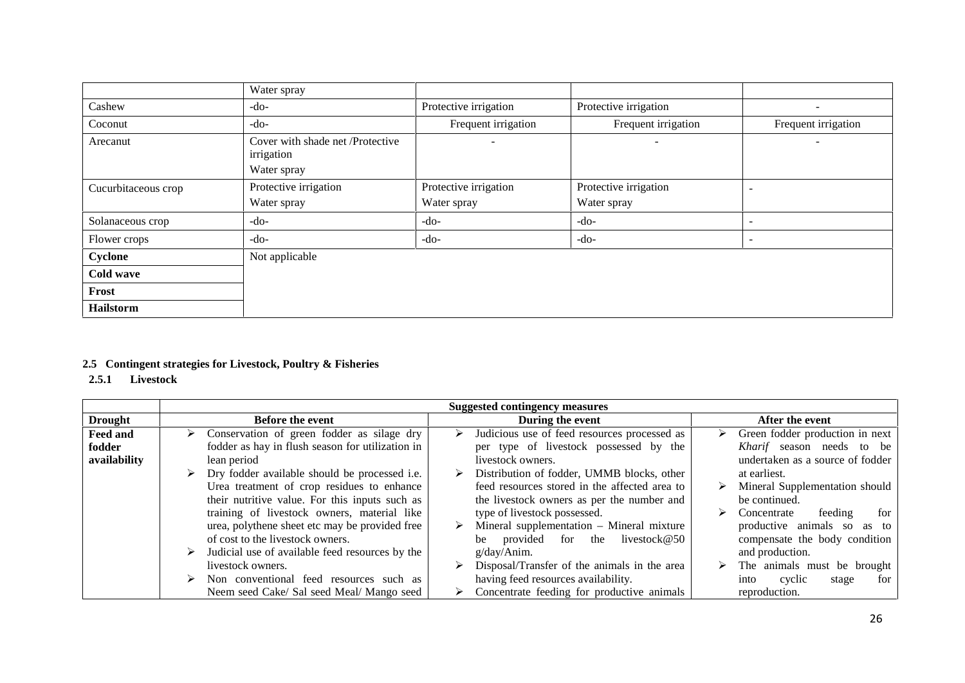|                     | Water spray                                                   |                                      |                                      |                          |
|---------------------|---------------------------------------------------------------|--------------------------------------|--------------------------------------|--------------------------|
| Cashew              | -do-                                                          | Protective irrigation                | Protective irrigation                | $\overline{\phantom{a}}$ |
| Coconut             | $-do-$                                                        | Frequent irrigation                  | Frequent irrigation                  | Frequent irrigation      |
| Arecanut            | Cover with shade net /Protective<br>irrigation<br>Water spray |                                      |                                      | $\overline{\phantom{a}}$ |
| Cucurbitaceous crop | Protective irrigation<br>Water spray                          | Protective irrigation<br>Water spray | Protective irrigation<br>Water spray |                          |
| Solanaceous crop    | $-do-$                                                        | $-do-$                               | $-do-$                               |                          |
| Flower crops        | -do-                                                          | -do-                                 | -do-                                 |                          |
| Cyclone             | Not applicable                                                |                                      |                                      |                          |
| Cold wave           |                                                               |                                      |                                      |                          |
| Frost               |                                                               |                                      |                                      |                          |
| <b>Hailstorm</b>    |                                                               |                                      |                                      |                          |

## **2.5 Contingent strategies for Livestock, Poultry & Fisheries**

**2.5.1 Livestock**

|                 | <b>Suggested contingency measures</b>            |                                                   |                                    |  |  |
|-----------------|--------------------------------------------------|---------------------------------------------------|------------------------------------|--|--|
| <b>Drought</b>  | <b>Before the event</b>                          | During the event                                  | After the event                    |  |  |
| <b>Feed and</b> | Conservation of green fodder as silage dry<br>➤  | Judicious use of feed resources processed as<br>⋗ | Green fodder production in next    |  |  |
| fodder          | fodder as hay in flush season for utilization in | per type of livestock possessed by the            | <i>Kharif</i> season needs to be   |  |  |
| availability    | lean period                                      | livestock owners.                                 | undertaken as a source of fodder   |  |  |
|                 | Dry fodder available should be processed i.e.    | Distribution of fodder, UMMB blocks, other        | at earliest.                       |  |  |
|                 | Urea treatment of crop residues to enhance       | feed resources stored in the affected area to     | Mineral Supplementation should     |  |  |
|                 | their nutritive value. For this inputs such as   | the livestock owners as per the number and        | be continued.                      |  |  |
|                 | training of livestock owners, material like      | type of livestock possessed.                      | feeding<br>⋗<br>Concentrate<br>for |  |  |
|                 | urea, polythene sheet etc may be provided free   | Mineral supplementation – Mineral mixture         | productive animals so as to        |  |  |
|                 | of cost to the livestock owners.                 | provided for the livestock $@50$<br>be            | compensate the body condition      |  |  |
|                 | Judicial use of available feed resources by the  | g/day/Anim.                                       | and production.                    |  |  |
|                 | livestock owners.                                | Disposal/Transfer of the animals in the area      | The animals must be brought        |  |  |
|                 | Non conventional feed resources such as          | having feed resources availability.               | cyclic<br>into<br>for<br>stage     |  |  |
|                 | Neem seed Cake/ Sal seed Meal/ Mango seed        | Concentrate feeding for productive animals        | reproduction.                      |  |  |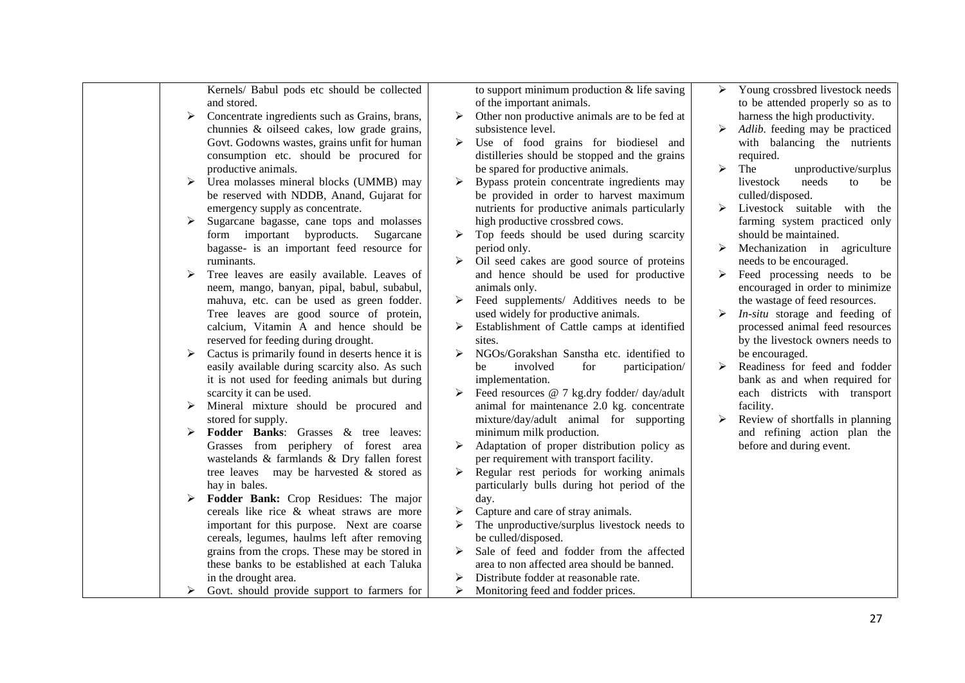|   | Kernels/ Babul pods etc should be collected           |   | to support minimum production $&$ life saving | ➤ | Young crossbred livestock needs       |
|---|-------------------------------------------------------|---|-----------------------------------------------|---|---------------------------------------|
|   | and stored.                                           |   | of the important animals.                     |   | to be attended properly so as to      |
|   | ➤<br>Concentrate ingredients such as Grains, brans,   | ➤ | Other non productive animals are to be fed at |   | harness the high productivity.        |
|   | chunnies & oilseed cakes, low grade grains,           |   | subsistence level.                            |   | Adlib. feeding may be practiced       |
|   | Govt. Godowns wastes, grains unfit for human          | ➤ | Use of food grains for biodiesel and          |   | with balancing the nutrients          |
|   | consumption etc. should be procured for               |   | distilleries should be stopped and the grains |   | required.                             |
|   | productive animals.                                   |   | be spared for productive animals.             | ➤ | The<br>unproductive/surplus           |
|   | Urea molasses mineral blocks (UMMB) may<br>➤          | ➤ | Bypass protein concentrate ingredients may    |   | livestock<br>needs<br>to<br>be        |
|   | be reserved with NDDB, Anand, Gujarat for             |   | be provided in order to harvest maximum       |   | culled/disposed.                      |
|   | emergency supply as concentrate.                      |   | nutrients for productive animals particularly | ➤ | Livestock suitable with<br>the        |
|   | Sugarcane bagasse, cane tops and molasses<br>≻        |   | high productive crossbred cows.               |   | farming system practiced only         |
|   | form important byproducts. Sugarcane                  | ➤ | Top feeds should be used during scarcity      |   | should be maintained.                 |
|   | bagasse- is an important feed resource for            |   | period only.                                  | ➤ | Mechanization in agriculture          |
|   | ruminants.                                            |   | Oil seed cakes are good source of proteins    |   | needs to be encouraged.               |
| ➤ | Tree leaves are easily available. Leaves of           |   | and hence should be used for productive       | ➤ | Feed processing needs to be           |
|   | neem, mango, banyan, pipal, babul, subabul,           |   | animals only.                                 |   | encouraged in order to minimize       |
|   | mahuva, etc. can be used as green fodder.             | ≻ | Feed supplements/ Additives needs to be       |   | the wastage of feed resources.        |
|   | Tree leaves are good source of protein,               |   | used widely for productive animals.           | ➤ | <i>In-situ</i> storage and feeding of |
|   | calcium, Vitamin A and hence should be                | ➤ | Establishment of Cattle camps at identified   |   | processed animal feed resources       |
|   | reserved for feeding during drought.                  |   | sites.                                        |   | by the livestock owners needs to      |
|   | Cactus is primarily found in deserts hence it is<br>➤ | ➤ | NGOs/Gorakshan Sanstha etc. identified to     |   | be encouraged.                        |
|   | easily available during scarcity also. As such        |   | involved<br>for<br>participation/<br>be       | ➤ | Readiness for feed and fodder         |
|   | it is not used for feeding animals but during         |   | implementation.                               |   | bank as and when required for         |
|   | scarcity it can be used.                              |   | Feed resources @ 7 kg.dry fodder/ day/adult   |   | each districts with transport         |
|   | Mineral mixture should be procured and<br>➤           |   | animal for maintenance 2.0 kg. concentrate    |   | facility.                             |
|   | stored for supply.                                    |   | mixture/day/adult animal for supporting       | ➤ | Review of shortfalls in planning      |
|   | Fodder Banks: Grasses & tree leaves:<br>➤             |   | minimum milk production.                      |   | and refining action plan the          |
|   | Grasses from periphery of forest area                 | ≻ | Adaptation of proper distribution policy as   |   | before and during event.              |
|   | wastelands & farmlands & Dry fallen forest            |   | per requirement with transport facility.      |   |                                       |
|   | tree leaves may be harvested & stored as              | ➤ | Regular rest periods for working animals      |   |                                       |
|   | hay in bales.                                         |   | particularly bulls during hot period of the   |   |                                       |
|   | Fodder Bank: Crop Residues: The major<br>➤            |   | day.                                          |   |                                       |
|   | cereals like rice & wheat straws are more             | ➤ | Capture and care of stray animals.            |   |                                       |
|   | important for this purpose. Next are coarse           |   | The unproductive/surplus livestock needs to   |   |                                       |
|   | cereals, legumes, haulms left after removing          |   | be culled/disposed.                           |   |                                       |
|   | grains from the crops. These may be stored in         | ➤ | Sale of feed and fodder from the affected     |   |                                       |
|   | these banks to be established at each Taluka          |   | area to non affected area should be banned.   |   |                                       |
|   | in the drought area.                                  |   | Distribute fodder at reasonable rate.         |   |                                       |
|   | Govt. should provide support to farmers for<br>➤      | ➤ | Monitoring feed and fodder prices.            |   |                                       |
|   |                                                       |   |                                               |   |                                       |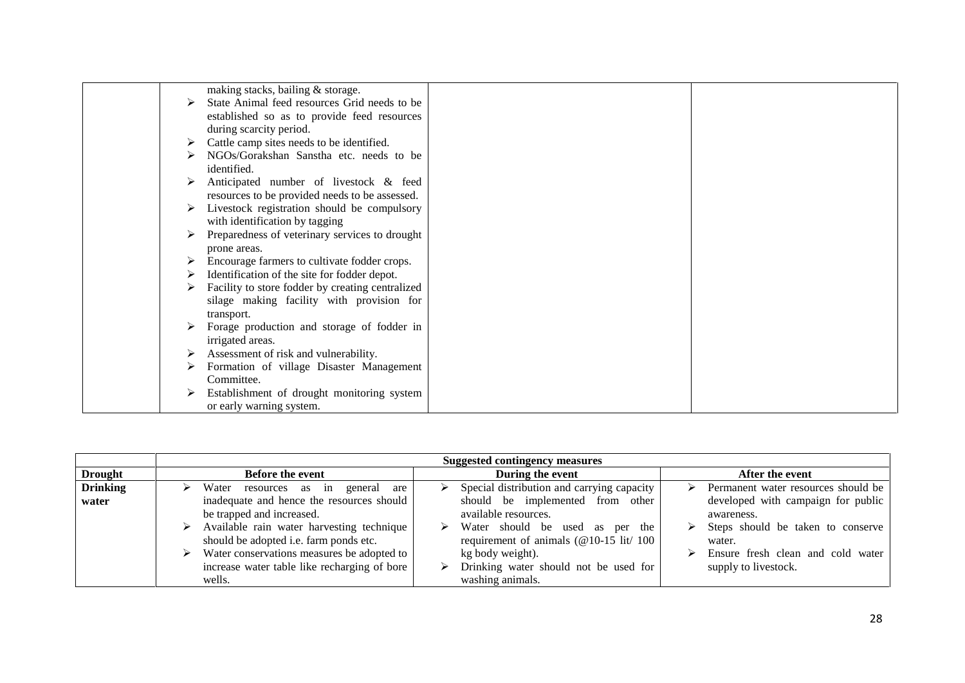| making stacks, bailing & storage.                |  |
|--------------------------------------------------|--|
| State Animal feed resources Grid needs to be     |  |
|                                                  |  |
| established so as to provide feed resources      |  |
| during scarcity period.                          |  |
| Cattle camp sites needs to be identified.        |  |
| NGOs/Gorakshan Sanstha etc. needs to be          |  |
| identified.                                      |  |
| Anticipated number of livestock & feed           |  |
| resources to be provided needs to be assessed.   |  |
| Livestock registration should be compulsory      |  |
| with identification by tagging                   |  |
| Preparedness of veterinary services to drought   |  |
| prone areas.                                     |  |
| Encourage farmers to cultivate fodder crops.     |  |
|                                                  |  |
| Identification of the site for fodder depot.     |  |
| Facility to store fodder by creating centralized |  |
| silage making facility with provision for        |  |
| transport.                                       |  |
| Forage production and storage of fodder in       |  |
| irrigated areas.                                 |  |
| Assessment of risk and vulnerability.            |  |
| Formation of village Disaster Management         |  |
| Committee.                                       |  |
| Establishment of drought monitoring system       |  |
| or early warning system.                         |  |
|                                                  |  |

|                 | <b>Suggested contingency measures</b>                                                                     |                                                                                                |                                                              |  |  |  |  |  |
|-----------------|-----------------------------------------------------------------------------------------------------------|------------------------------------------------------------------------------------------------|--------------------------------------------------------------|--|--|--|--|--|
| <b>Drought</b>  | <b>Before the event</b>                                                                                   | During the event                                                                               | After the event                                              |  |  |  |  |  |
| <b>Drinking</b> | Water resources as in<br>general are<br>⋗                                                                 | Special distribution and carrying capacity                                                     | Permanent water resources should be<br>➤                     |  |  |  |  |  |
| water           | inadequate and hence the resources should<br>be trapped and increased.                                    | should be implemented from other<br>available resources.                                       | developed with campaign for public<br>awareness.             |  |  |  |  |  |
|                 | $\triangleright$ Available rain water harvesting technique<br>should be adopted i.e. farm ponds etc.      | $\triangleright$ Water should be used as per the<br>requirement of animals ( $@10-15$ lit/ 100 | $\triangleright$ Steps should be taken to conserve<br>water. |  |  |  |  |  |
|                 | Water conservations measures be adopted to<br>⋗<br>increase water table like recharging of bore<br>wells. | kg body weight).<br>Drinking water should not be used for<br>washing animals.                  | Ensure fresh clean and cold water<br>supply to livestock.    |  |  |  |  |  |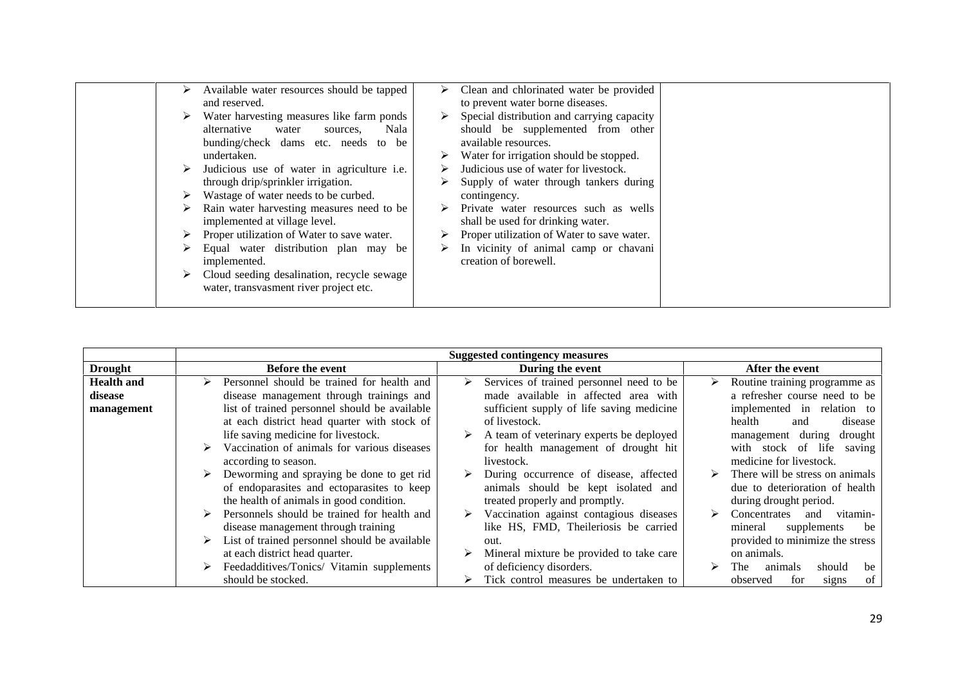| ➤ | Available water resources should be tapped<br>and reserved.                                                                                                                                                                                                                                                          | ➤ | Clean and chlorinated water be provided<br>to prevent water borne diseases.                                                                                                                                                                                                                    |  |
|---|----------------------------------------------------------------------------------------------------------------------------------------------------------------------------------------------------------------------------------------------------------------------------------------------------------------------|---|------------------------------------------------------------------------------------------------------------------------------------------------------------------------------------------------------------------------------------------------------------------------------------------------|--|
|   | Water harvesting measures like farm ponds<br>alternative<br>Nala<br>water<br>sources.<br>bunding/check dams etc. needs to be<br>undertaken.<br>Judicious use of water in agriculture i.e.<br>through drip/sprinkler irrigation.<br>Wastage of water needs to be curbed.<br>Rain water harvesting measures need to be | ➤ | Special distribution and carrying capacity<br>should be supplemented from other<br>available resources.<br>Water for irrigation should be stopped.<br>Judicious use of water for livestock.<br>Supply of water through tankers during<br>contingency.<br>Private water resources such as wells |  |
|   | implemented at village level.<br>Proper utilization of Water to save water.<br>Equal water distribution plan may be<br>implemented.<br>Cloud seeding desalination, recycle sewage<br>water, transvasment river project etc.                                                                                          |   | shall be used for drinking water.<br>Proper utilization of Water to save water.<br>In vicinity of animal camp or chavani<br>creation of borewell.                                                                                                                                              |  |

|                   |                                               | <b>Suggested contingency measures</b>         |                                 |
|-------------------|-----------------------------------------------|-----------------------------------------------|---------------------------------|
| <b>Drought</b>    | Before the event                              | During the event                              | After the event                 |
| <b>Health and</b> | Personnel should be trained for health and    | Services of trained personnel need to be<br>➤ | Routine training programme as   |
| disease           | disease management through trainings and      | made available in affected area with          | a refresher course need to be   |
| management        | list of trained personnel should be available | sufficient supply of life saving medicine     | implemented in relation to      |
|                   | at each district head quarter with stock of   | of livestock.                                 | health<br>disease<br>and        |
|                   | life saving medicine for livestock.           | A team of veterinary experts be deployed<br>➤ | management during<br>drought    |
|                   | Vaccination of animals for various diseases   | for health management of drought hit          | with stock of life saving       |
|                   | according to season.                          | livestock.                                    | medicine for livestock.         |
|                   | Deworming and spraying be done to get rid     | During occurrence of disease, affected        | There will be stress on animals |
|                   | of endoparasites and ectoparasites to keep    | animals should be kept isolated and           | due to deterioration of health  |
|                   | the health of animals in good condition.      | treated properly and promptly.                | during drought period.          |
|                   | Personnels should be trained for health and   | Vaccination against contagious diseases       | Concentrates<br>vitamin-<br>and |
|                   | disease management through training           | like HS, FMD, Theileriosis be carried         | mineral<br>supplements<br>be    |
|                   | List of trained personnel should be available | out.                                          | provided to minimize the stress |
|                   | at each district head quarter.                | Mineral mixture be provided to take care      | on animals.                     |
|                   | Feedadditives/Tonics/ Vitamin supplements     | of deficiency disorders.                      | should<br>be<br>animals<br>The  |
|                   | should be stocked.                            | Tick control measures be undertaken to<br>➤   | of<br>observed<br>for<br>signs  |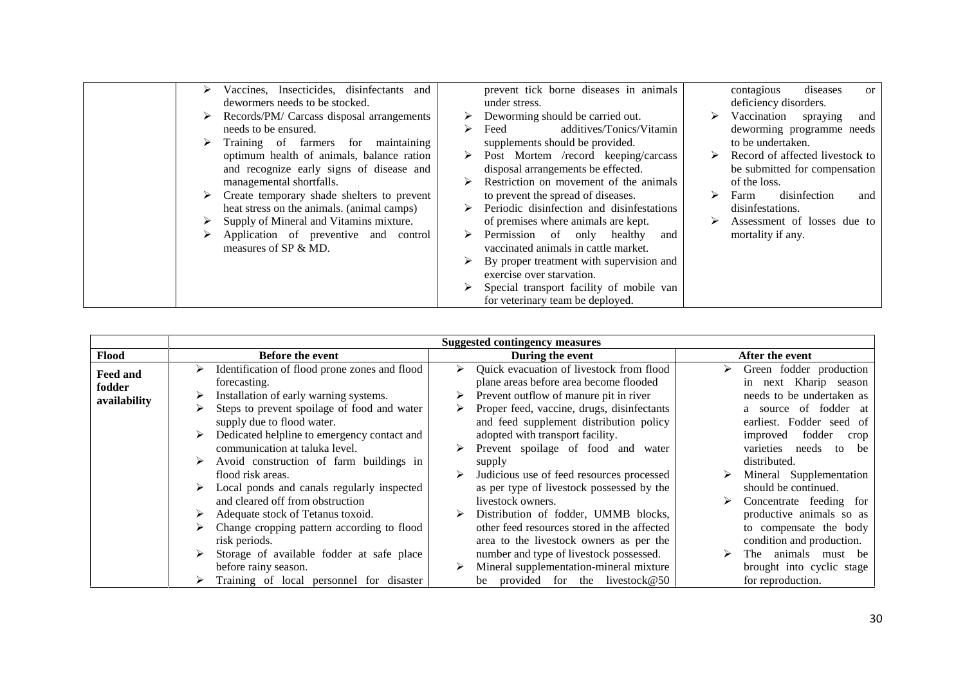| Vaccines, Insecticides, disinfectants and  |   | prevent tick borne diseases in animals    |   | diseases<br>contagious<br><sub>or</sub> |
|--------------------------------------------|---|-------------------------------------------|---|-----------------------------------------|
| dewormers needs to be stocked.             |   | under stress.                             |   | deficiency disorders.                   |
| Records/PM/ Carcass disposal arrangements  |   | Deworming should be carried out.          | ➤ | Vaccination spraying<br>and             |
| needs to be ensured.                       | ↘ | additives/Tonics/Vitamin<br>Feed          |   | deworming programme needs               |
| Training of farmers for maintaining        |   | supplements should be provided.           |   | to be undertaken.                       |
| optimum health of animals, balance ration  |   | Post Mortem /record keeping/carcass       |   | Record of affected livestock to         |
| and recognize early signs of disease and   |   | disposal arrangements be effected.        |   | be submitted for compensation           |
| managemental shortfalls.                   |   | Restriction on movement of the animals    |   | of the loss.                            |
| Create temporary shade shelters to prevent |   | to prevent the spread of diseases.        |   | disinfection<br>Farm<br>and             |
| heat stress on the animals. (animal camps) |   | Periodic disinfection and disinfestations |   | disinfestations.                        |
| Supply of Mineral and Vitamins mixture.    |   | of premises where animals are kept.       |   | Assessment of losses due to             |
|                                            |   |                                           |   |                                         |
| Application of preventive and control      |   | Permission of only healthy<br>and         |   | mortality if any.                       |
| measures of SP & MD.                       |   | vaccinated animals in cattle market.      |   |                                         |
|                                            |   | By proper treatment with supervision and  |   |                                         |
|                                            |   | exercise over starvation.                 |   |                                         |
|                                            |   | Special transport facility of mobile van  |   |                                         |
|                                            |   | for veterinary team be deployed.          |   |                                         |

|                    |   |                                                                                |   | <b>Suggested contingency measures</b>                                                  |                                                        |
|--------------------|---|--------------------------------------------------------------------------------|---|----------------------------------------------------------------------------------------|--------------------------------------------------------|
| <b>Flood</b>       |   | <b>Before the event</b>                                                        |   | During the event                                                                       | After the event                                        |
| Feed and<br>fodder |   | Identification of flood prone zones and flood<br>forecasting.                  | ≻ | Quick evacuation of livestock from flood<br>plane areas before area become flooded     | Green fodder production<br>next Kharip season<br>in    |
| availability       |   | Installation of early warning systems.                                         |   | Prevent outflow of manure pit in river                                                 | needs to be undertaken as                              |
|                    | ⋗ | Steps to prevent spoilage of food and water<br>supply due to flood water.      |   | Proper feed, vaccine, drugs, disinfectants<br>and feed supplement distribution policy  | a source of fodder at<br>earliest. Fodder seed of      |
|                    |   | Dedicated helpline to emergency contact and<br>communication at taluka level.  |   | adopted with transport facility.<br>Prevent spoilage of food and water                 | fodder<br>improved<br>crop<br>varieties needs to<br>be |
|                    |   | Avoid construction of farm buildings in<br>flood risk areas.                   |   | supply<br>Judicious use of feed resources processed                                    | distributed.<br>Mineral Supplementation                |
|                    |   | Local ponds and canals regularly inspected<br>and cleared off from obstruction |   | as per type of livestock possessed by the<br>livestock owners.                         | should be continued.<br>Concentrate feeding for        |
|                    |   | Adequate stock of Tetanus toxoid.                                              |   | Distribution of fodder, UMMB blocks,                                                   | productive animals so as                               |
|                    |   | Change cropping pattern according to flood<br>risk periods.                    |   | other feed resources stored in the affected<br>area to the livestock owners as per the | to compensate the body<br>condition and production.    |
|                    |   | Storage of available fodder at safe place<br>before rainy season.              |   | number and type of livestock possessed.<br>Mineral supplementation-mineral mixture     | The animals must be<br>brought into cyclic stage       |
|                    |   | Training of local personnel for disaster                                       |   | be provided for the livestock $@50$                                                    | for reproduction.                                      |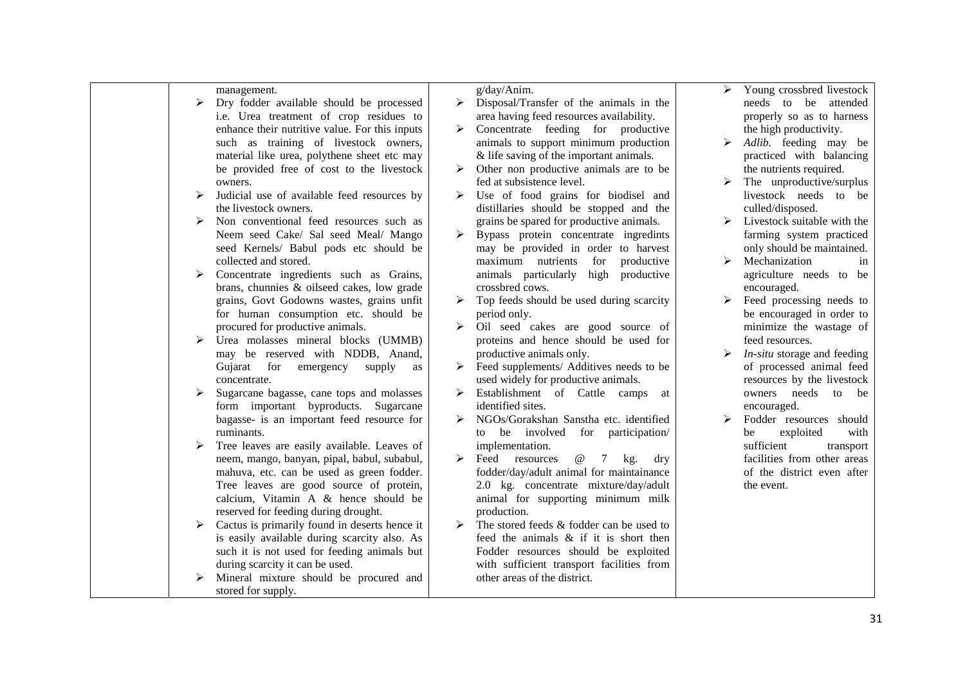| ➤ | management.<br>Dry fodder available should be processed   | g/day/Anim.<br>$\triangleright$ Disposal/Transfer of the animals in the | ➤ | Young crossbred livestock<br>needs to be attended      |
|---|-----------------------------------------------------------|-------------------------------------------------------------------------|---|--------------------------------------------------------|
|   | i.e. Urea treatment of crop residues to                   | area having feed resources availability.                                |   | properly so as to harness                              |
|   | enhance their nutritive value. For this inputs            | Concentrate feeding for productive                                      |   | the high productivity.                                 |
|   | such as training of livestock owners,                     | animals to support minimum production                                   |   | Adlib. feeding may be                                  |
|   | material like urea, polythene sheet etc may               | & life saving of the important animals.                                 |   | practiced with balancing                               |
|   | be provided free of cost to the livestock                 | Other non productive animals are to be                                  |   | the nutrients required.                                |
|   | owners.                                                   | fed at subsistence level.                                               |   | The unproductive/surplus                               |
| ➤ | Judicial use of available feed resources by               | Use of food grains for biodisel and                                     |   | livestock needs to be                                  |
|   | the livestock owners.                                     | distillaries should be stopped and the                                  |   | culled/disposed.                                       |
| ➤ | Non conventional feed resources such as                   | grains be spared for productive animals.                                | ➤ | Livestock suitable with the                            |
|   | Neem seed Cake/ Sal seed Meal/ Mango                      | $\triangleright$ Bypass protein concentrate ingredints                  |   | farming system practiced                               |
|   | seed Kernels/ Babul pods etc should be                    | may be provided in order to harvest                                     |   | only should be maintained.                             |
|   | collected and stored.                                     | maximum nutrients<br>productive<br>for                                  | ➤ | Mechanization<br>in                                    |
| ➤ | Concentrate ingredients such as Grains,                   | animals particularly<br>high productive                                 |   | agriculture needs to be                                |
|   | brans, chunnies & oilseed cakes, low grade                | crossbred cows.                                                         |   | encouraged.                                            |
|   | grains, Govt Godowns wastes, grains unfit                 | Top feeds should be used during scarcity                                | ➤ | Feed processing needs to                               |
|   | for human consumption etc. should be                      | period only.                                                            |   | be encouraged in order to                              |
|   | procured for productive animals.                          | Oil seed cakes are good source of                                       |   | minimize the wastage of                                |
| ➤ | Urea molasses mineral blocks (UMMB)                       | proteins and hence should be used for                                   |   | feed resources.                                        |
|   | may be reserved with NDDB, Anand,                         | productive animals only.                                                | ➤ | <i>In-situ</i> storage and feeding                     |
|   | Gujarat for emergency supply<br>as                        | Feed supplements/ Additives needs to be                                 |   | of processed animal feed<br>resources by the livestock |
| ➤ | concentrate.<br>Sugarcane bagasse, cane tops and molasses | used widely for productive animals.<br>Establishment of Cattle camps at |   | owners needs to<br>be                                  |
|   | form important byproducts. Sugarcane                      | identified sites.                                                       |   | encouraged.                                            |
|   | bagasse- is an important feed resource for                | NGOs/Gorakshan Sanstha etc. identified                                  | ➤ | Fodder resources should                                |
|   | ruminants.                                                | to be involved for participation/                                       |   | exploited<br>with<br>be                                |
| ➤ | Tree leaves are easily available. Leaves of               | implementation.                                                         |   | sufficient<br>transport                                |
|   | neem, mango, banyan, pipal, babul, subabul,               | Feed resources<br>$\omega$ 7<br>kg.<br>dry                              |   | facilities from other areas                            |
|   | mahuva, etc. can be used as green fodder.                 | fodder/day/adult animal for maintainance                                |   | of the district even after                             |
|   | Tree leaves are good source of protein,                   | 2.0 kg. concentrate mixture/day/adult                                   |   | the event.                                             |
|   | calcium, Vitamin A & hence should be                      | animal for supporting minimum milk                                      |   |                                                        |
|   | reserved for feeding during drought.                      | production.                                                             |   |                                                        |
| ➤ | Cactus is primarily found in deserts hence it             | The stored feeds & fodder can be used to                                |   |                                                        |
|   | is easily available during scarcity also. As              | feed the animals & if it is short then                                  |   |                                                        |
|   | such it is not used for feeding animals but               | Fodder resources should be exploited                                    |   |                                                        |
|   | during scarcity it can be used.                           | with sufficient transport facilities from                               |   |                                                        |
|   | Mineral mixture should be procured and                    | other areas of the district.                                            |   |                                                        |
|   | stored for supply.                                        |                                                                         |   |                                                        |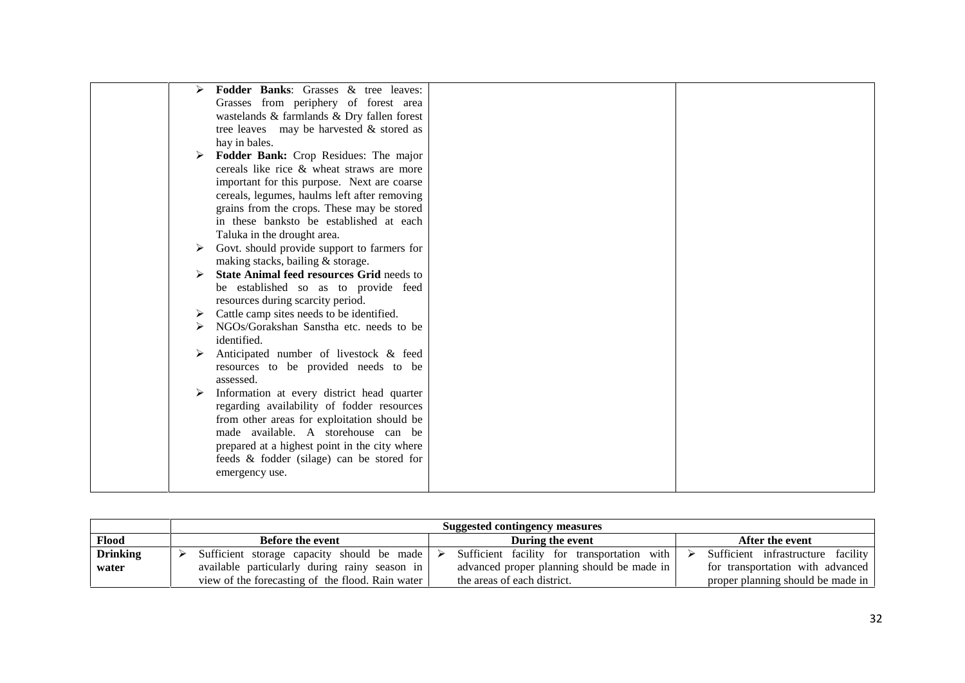|   | Fodder Banks: Grasses & tree leaves:          |  |
|---|-----------------------------------------------|--|
|   | Grasses from periphery of forest area         |  |
|   | wastelands & farmlands & Dry fallen forest    |  |
|   | tree leaves may be harvested & stored as      |  |
|   | hay in bales.                                 |  |
|   | Fodder Bank: Crop Residues: The major         |  |
|   | cereals like rice & wheat straws are more     |  |
|   | important for this purpose. Next are coarse   |  |
|   | cereals, legumes, haulms left after removing  |  |
|   | grains from the crops. These may be stored    |  |
|   | in these banksto be established at each       |  |
|   | Taluka in the drought area.                   |  |
|   | Govt. should provide support to farmers for   |  |
|   | making stacks, bailing & storage.             |  |
|   | State Animal feed resources Grid needs to     |  |
|   | be established so as to provide feed          |  |
|   | resources during scarcity period.             |  |
| ➤ | Cattle camp sites needs to be identified.     |  |
|   | NGOs/Gorakshan Sanstha etc. needs to be       |  |
|   | identified.                                   |  |
|   | Anticipated number of livestock & feed        |  |
|   | resources to be provided needs to be          |  |
|   | assessed.                                     |  |
|   | Information at every district head quarter    |  |
|   | regarding availability of fodder resources    |  |
|   | from other areas for exploitation should be   |  |
|   | made available. A storehouse can be           |  |
|   | prepared at a highest point in the city where |  |
|   | feeds & fodder (silage) can be stored for     |  |
|   | emergency use.                                |  |
|   |                                               |  |

|                 | <b>Suggested contingency measures</b>            |                                             |                                    |  |  |  |  |
|-----------------|--------------------------------------------------|---------------------------------------------|------------------------------------|--|--|--|--|
| Flood           | <b>Before the event</b>                          | During the event                            | After the event                    |  |  |  |  |
| <b>Drinking</b> | Sufficient storage capacity should be made       | Sufficient facility for transportation with | Sufficient infrastructure facility |  |  |  |  |
| water           | available particularly during rainy season in    | advanced proper planning should be made in  | for transportation with advanced   |  |  |  |  |
|                 | view of the forecasting of the flood. Rain water | the areas of each district.                 | proper planning should be made in  |  |  |  |  |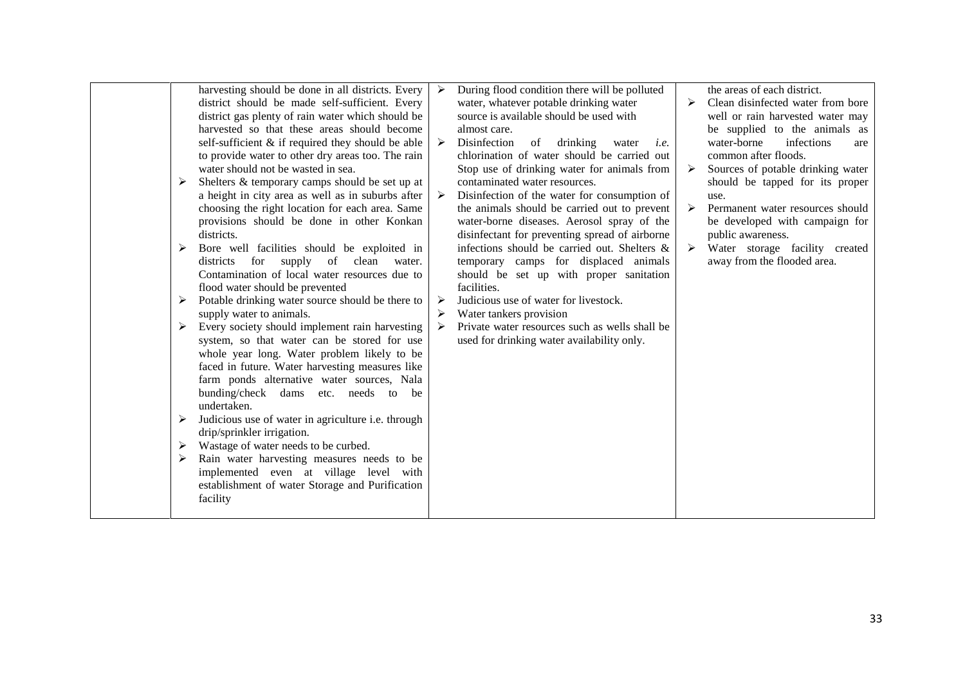| harvesting should be done in all districts. Every<br>district should be made self-sufficient. Every                                                                                                                                                                                                      | During flood condition there will be polluted<br>water, whatever potable drinking water                                                    | $\triangleright$ | the areas of each district.<br>Clean disinfected water from bore                          |
|----------------------------------------------------------------------------------------------------------------------------------------------------------------------------------------------------------------------------------------------------------------------------------------------------------|--------------------------------------------------------------------------------------------------------------------------------------------|------------------|-------------------------------------------------------------------------------------------|
| district gas plenty of rain water which should be                                                                                                                                                                                                                                                        | source is available should be used with                                                                                                    |                  | well or rain harvested water may                                                          |
| harvested so that these areas should become<br>self-sufficient $\&$ if required they should be able<br>to provide water to other dry areas too. The rain                                                                                                                                                 | almost care.<br>Disinfection<br>of<br>drinking<br>water<br>i.e.<br>chlorination of water should be carried out                             |                  | be supplied to the animals as<br>water-borne<br>infections<br>are<br>common after floods. |
| water should not be wasted in sea.<br>Shelters & temporary camps should be set up at<br>➤                                                                                                                                                                                                                | Stop use of drinking water for animals from<br>contaminated water resources.                                                               |                  | Sources of potable drinking water<br>should be tapped for its proper                      |
| a height in city area as well as in suburbs after<br>choosing the right location for each area. Same<br>provisions should be done in other Konkan                                                                                                                                                        | Disinfection of the water for consumption of<br>the animals should be carried out to prevent<br>water-borne diseases. Aerosol spray of the |                  | use.<br>Permanent water resources should<br>be developed with campaign for                |
| districts.<br>Bore well facilities should be exploited in<br>➤                                                                                                                                                                                                                                           | disinfectant for preventing spread of airborne<br>infections should be carried out. Shelters &                                             |                  | public awareness.<br>Water storage facility created                                       |
| districts for supply<br>of clean water.<br>Contamination of local water resources due to<br>flood water should be prevented                                                                                                                                                                              | temporary camps for displaced animals<br>should be set up with proper sanitation<br>facilities.                                            |                  | away from the flooded area.                                                               |
| Potable drinking water source should be there to<br>➤<br>supply water to animals.                                                                                                                                                                                                                        | Judicious use of water for livestock.<br>Water tankers provision                                                                           |                  |                                                                                           |
| Every society should implement rain harvesting<br>➤<br>system, so that water can be stored for use<br>whole year long. Water problem likely to be<br>faced in future. Water harvesting measures like<br>farm ponds alternative water sources, Nala<br>bunding/check dams etc. needs to be<br>undertaken. | Private water resources such as wells shall be<br>used for drinking water availability only.                                               |                  |                                                                                           |
| Judicious use of water in agriculture i.e. through<br>➤<br>drip/sprinkler irrigation.                                                                                                                                                                                                                    |                                                                                                                                            |                  |                                                                                           |
| Wastage of water needs to be curbed.<br>➤                                                                                                                                                                                                                                                                |                                                                                                                                            |                  |                                                                                           |
| Rain water harvesting measures needs to be<br>➤<br>implemented even at village level with<br>establishment of water Storage and Purification<br>facility                                                                                                                                                 |                                                                                                                                            |                  |                                                                                           |
|                                                                                                                                                                                                                                                                                                          |                                                                                                                                            |                  |                                                                                           |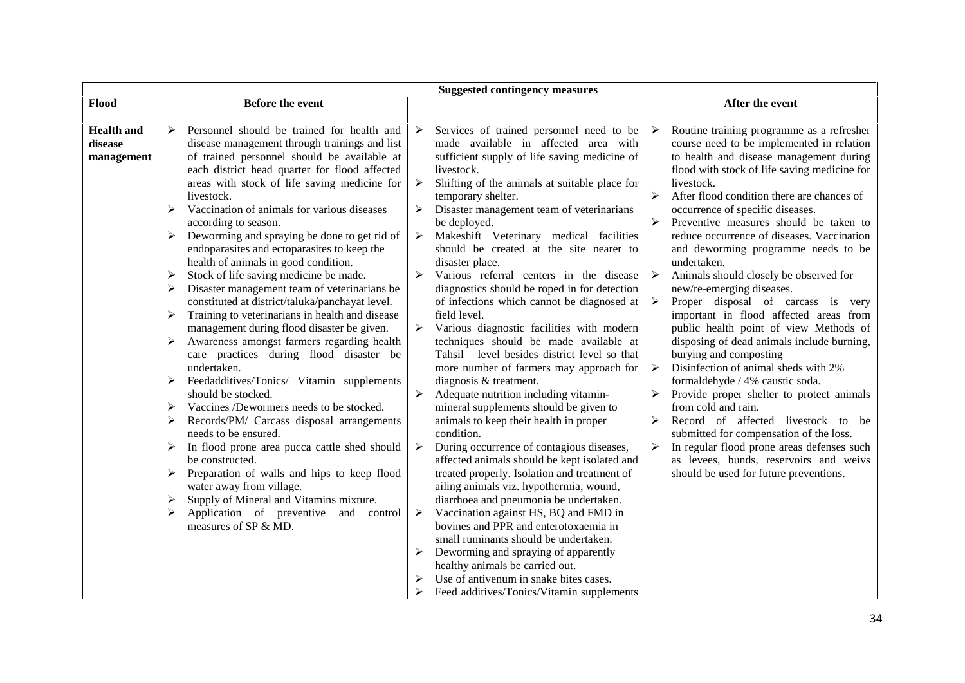|                                            |                                                                                                                                                                                                                                                                                                                                                                                                                                                                                                                                                                                                                                                                                                                                                                                                                                                                                                                                                                                                                                                                                                                          | <b>Suggested contingency measures</b>               |                                                                                                                                                                                                                                                                                                                                                                                                                                                                                                                                                                                                                                                                                                                                                                                                                                                                                                                                                         |                                                                                                                                                                   |                                                                                                                                                                                                                                                                                                                                                                                                                                                                                                                                                                                                                                                                                                                                                                                                                                                                                                                                                                                           |
|--------------------------------------------|--------------------------------------------------------------------------------------------------------------------------------------------------------------------------------------------------------------------------------------------------------------------------------------------------------------------------------------------------------------------------------------------------------------------------------------------------------------------------------------------------------------------------------------------------------------------------------------------------------------------------------------------------------------------------------------------------------------------------------------------------------------------------------------------------------------------------------------------------------------------------------------------------------------------------------------------------------------------------------------------------------------------------------------------------------------------------------------------------------------------------|-----------------------------------------------------|---------------------------------------------------------------------------------------------------------------------------------------------------------------------------------------------------------------------------------------------------------------------------------------------------------------------------------------------------------------------------------------------------------------------------------------------------------------------------------------------------------------------------------------------------------------------------------------------------------------------------------------------------------------------------------------------------------------------------------------------------------------------------------------------------------------------------------------------------------------------------------------------------------------------------------------------------------|-------------------------------------------------------------------------------------------------------------------------------------------------------------------|-------------------------------------------------------------------------------------------------------------------------------------------------------------------------------------------------------------------------------------------------------------------------------------------------------------------------------------------------------------------------------------------------------------------------------------------------------------------------------------------------------------------------------------------------------------------------------------------------------------------------------------------------------------------------------------------------------------------------------------------------------------------------------------------------------------------------------------------------------------------------------------------------------------------------------------------------------------------------------------------|
| Flood                                      | <b>Before the event</b>                                                                                                                                                                                                                                                                                                                                                                                                                                                                                                                                                                                                                                                                                                                                                                                                                                                                                                                                                                                                                                                                                                  |                                                     |                                                                                                                                                                                                                                                                                                                                                                                                                                                                                                                                                                                                                                                                                                                                                                                                                                                                                                                                                         |                                                                                                                                                                   | After the event                                                                                                                                                                                                                                                                                                                                                                                                                                                                                                                                                                                                                                                                                                                                                                                                                                                                                                                                                                           |
| <b>Health</b> and<br>disease<br>management | Personnel should be trained for health and<br>➤<br>disease management through trainings and list<br>of trained personnel should be available at<br>each district head quarter for flood affected<br>areas with stock of life saving medicine for<br>livestock.<br>Vaccination of animals for various diseases<br>≻<br>according to season.<br>Deworming and spraying be done to get rid of<br>➤<br>endoparasites and ectoparasites to keep the<br>health of animals in good condition.<br>Stock of life saving medicine be made.<br>➤<br>Disaster management team of veterinarians be<br>➤<br>constituted at district/taluka/panchayat level.<br>Training to veterinarians in health and disease<br>≻<br>management during flood disaster be given.<br>Awareness amongst farmers regarding health<br>➤<br>care practices during flood disaster be<br>undertaken.<br>Feedadditives/Tonics/ Vitamin supplements<br>➤<br>should be stocked.<br>Vaccines /Dewormers needs to be stocked.<br>➤<br>Records/PM/ Carcass disposal arrangements<br>⋗<br>needs to be ensured.<br>In flood prone area pucca cattle shed should<br>➤ | $\blacktriangleright$<br>➤<br>$\blacktriangleright$ | Services of trained personnel need to be<br>made available in affected area with<br>sufficient supply of life saving medicine of<br>livestock.<br>Shifting of the animals at suitable place for<br>temporary shelter.<br>Disaster management team of veterinarians<br>be deployed.<br>Makeshift Veterinary medical facilities<br>should be created at the site nearer to<br>disaster place.<br>Various referral centers in the disease<br>diagnostics should be roped in for detection<br>of infections which cannot be diagnosed at<br>field level.<br>Various diagnostic facilities with modern<br>techniques should be made available at<br>Tahsil level besides district level so that<br>more number of farmers may approach for<br>diagnosis & treatment.<br>Adequate nutrition including vitamin-<br>mineral supplements should be given to<br>animals to keep their health in proper<br>condition.<br>During occurrence of contagious diseases, | $\blacktriangleright$<br>$\blacktriangleright$<br>➤<br>$\blacktriangleright$<br>$\blacktriangleright$<br>$\blacktriangleright$<br>➤<br>➤<br>$\blacktriangleright$ | Routine training programme as a refresher<br>course need to be implemented in relation<br>to health and disease management during<br>flood with stock of life saving medicine for<br>livestock.<br>After flood condition there are chances of<br>occurrence of specific diseases.<br>Preventive measures should be taken to<br>reduce occurrence of diseases. Vaccination<br>and deworming programme needs to be<br>undertaken.<br>Animals should closely be observed for<br>new/re-emerging diseases.<br>Proper disposal of carcass is very<br>important in flood affected areas from<br>public health point of view Methods of<br>disposing of dead animals include burning,<br>burying and composting<br>Disinfection of animal sheds with 2%<br>formaldehyde / 4% caustic soda.<br>Provide proper shelter to protect animals<br>from cold and rain.<br>Record of affected livestock to<br>be<br>submitted for compensation of the loss.<br>In regular flood prone areas defenses such |
|                                            | be constructed.<br>Preparation of walls and hips to keep flood<br>➤<br>water away from village.<br>Supply of Mineral and Vitamins mixture.<br>➤                                                                                                                                                                                                                                                                                                                                                                                                                                                                                                                                                                                                                                                                                                                                                                                                                                                                                                                                                                          |                                                     | affected animals should be kept isolated and<br>treated properly. Isolation and treatment of<br>ailing animals viz. hypothermia, wound,<br>diarrhoea and pneumonia be undertaken.                                                                                                                                                                                                                                                                                                                                                                                                                                                                                                                                                                                                                                                                                                                                                                       |                                                                                                                                                                   | as levees, bunds, reservoirs and weivs<br>should be used for future preventions.                                                                                                                                                                                                                                                                                                                                                                                                                                                                                                                                                                                                                                                                                                                                                                                                                                                                                                          |
|                                            | Application of preventive and control<br>➤<br>measures of SP & MD.                                                                                                                                                                                                                                                                                                                                                                                                                                                                                                                                                                                                                                                                                                                                                                                                                                                                                                                                                                                                                                                       | ➤                                                   | Vaccination against HS, BQ and FMD in<br>bovines and PPR and enterotoxaemia in<br>small ruminants should be undertaken.                                                                                                                                                                                                                                                                                                                                                                                                                                                                                                                                                                                                                                                                                                                                                                                                                                 |                                                                                                                                                                   |                                                                                                                                                                                                                                                                                                                                                                                                                                                                                                                                                                                                                                                                                                                                                                                                                                                                                                                                                                                           |
|                                            |                                                                                                                                                                                                                                                                                                                                                                                                                                                                                                                                                                                                                                                                                                                                                                                                                                                                                                                                                                                                                                                                                                                          |                                                     | Deworming and spraying of apparently<br>healthy animals be carried out.<br>Use of antivenum in snake bites cases.                                                                                                                                                                                                                                                                                                                                                                                                                                                                                                                                                                                                                                                                                                                                                                                                                                       |                                                                                                                                                                   |                                                                                                                                                                                                                                                                                                                                                                                                                                                                                                                                                                                                                                                                                                                                                                                                                                                                                                                                                                                           |
|                                            |                                                                                                                                                                                                                                                                                                                                                                                                                                                                                                                                                                                                                                                                                                                                                                                                                                                                                                                                                                                                                                                                                                                          |                                                     | Feed additives/Tonics/Vitamin supplements                                                                                                                                                                                                                                                                                                                                                                                                                                                                                                                                                                                                                                                                                                                                                                                                                                                                                                               |                                                                                                                                                                   |                                                                                                                                                                                                                                                                                                                                                                                                                                                                                                                                                                                                                                                                                                                                                                                                                                                                                                                                                                                           |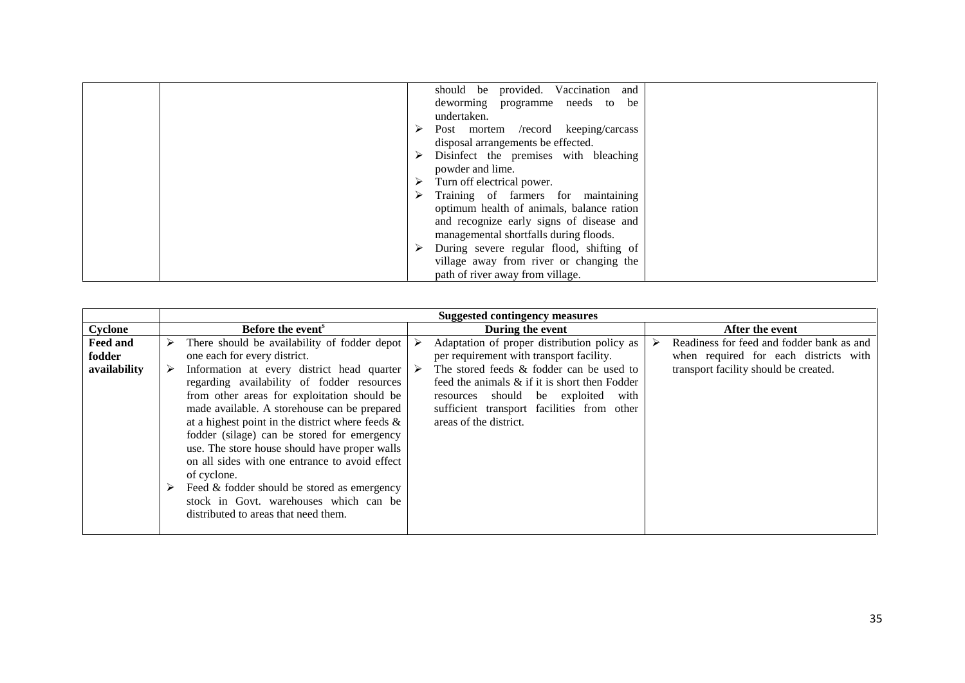| should be provided. Vaccination and       |
|-------------------------------------------|
| deworming programme needs to be           |
| undertaken.                               |
| Post mortem /record keeping/carcass<br>➤  |
| disposal arrangements be effected.        |
| Disinfect the premises with bleaching     |
| powder and lime.                          |
| Turn off electrical power.                |
| Training of farmers for maintaining       |
| optimum health of animals, balance ration |
| and recognize early signs of disease and  |
| managemental shortfalls during floods.    |
| During severe regular flood, shifting of  |
| village away from river or changing the   |
| path of river away from village.          |

|                                    |                                                                                                                                                                                                                                                                                                                                                                                                                                                                                                                                                               | <b>Suggested contingency measures</b>                                                                                                                                                                                                                                                                    |                                                                                                                             |
|------------------------------------|---------------------------------------------------------------------------------------------------------------------------------------------------------------------------------------------------------------------------------------------------------------------------------------------------------------------------------------------------------------------------------------------------------------------------------------------------------------------------------------------------------------------------------------------------------------|----------------------------------------------------------------------------------------------------------------------------------------------------------------------------------------------------------------------------------------------------------------------------------------------------------|-----------------------------------------------------------------------------------------------------------------------------|
| Cyclone                            | <b>Before the event</b> <sup>s</sup>                                                                                                                                                                                                                                                                                                                                                                                                                                                                                                                          | During the event                                                                                                                                                                                                                                                                                         | After the event                                                                                                             |
| Feed and<br>fodder<br>availability | There should be availability of fodder depot<br>➤<br>one each for every district.<br>Information at every district head quarter<br>➤<br>regarding availability of fodder resources<br>from other areas for exploitation should be<br>made available. A storehouse can be prepared<br>at a highest point in the district where feeds $\&$<br>fodder (silage) can be stored for emergency<br>use. The store house should have proper walls<br>on all sides with one entrance to avoid effect<br>of cyclone.<br>Feed & fodder should be stored as emergency<br>➤ | Adaptation of proper distribution policy as<br>per requirement with transport facility.<br>The stored feeds & fodder can be used to<br>feed the animals $\&$ if it is short then Fodder<br>resources should be exploited<br>with<br>sufficient transport facilities from other<br>areas of the district. | Readiness for feed and fodder bank as and<br>when required for each districts with<br>transport facility should be created. |
|                                    | stock in Govt. warehouses which can be<br>distributed to areas that need them.                                                                                                                                                                                                                                                                                                                                                                                                                                                                                |                                                                                                                                                                                                                                                                                                          |                                                                                                                             |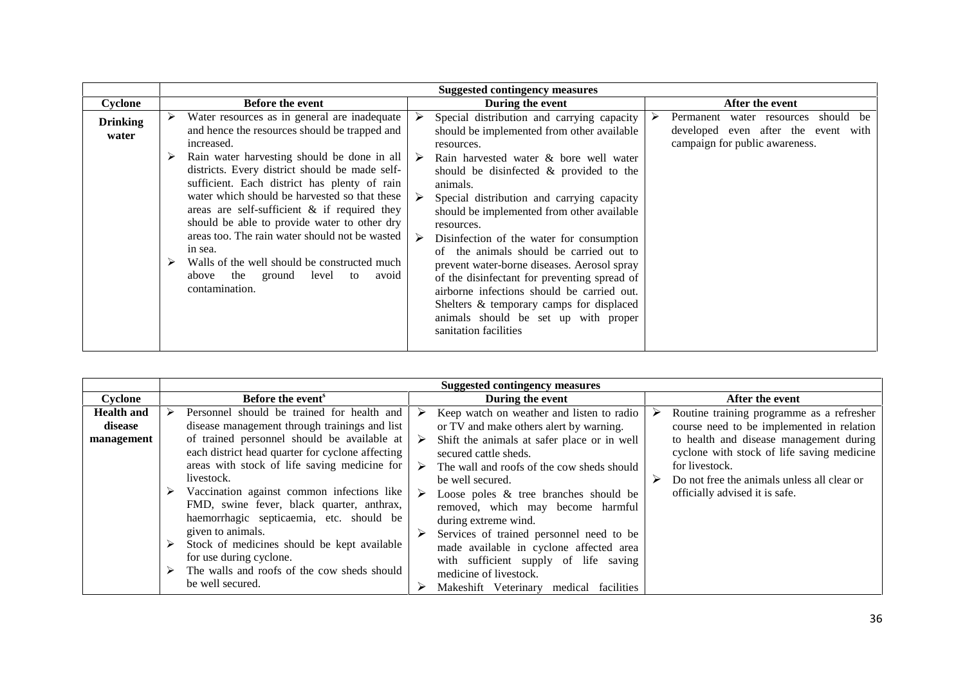|                          |                                                                                                                                                                                                                                                                                                                                                                                                                                                                                                                                                                                               | <b>Suggested contingency measures</b>                                                                                                                                                                                                                                                                                                                                                                                                                                                                                                                                                                                                                                                 |                                                                                                                      |
|--------------------------|-----------------------------------------------------------------------------------------------------------------------------------------------------------------------------------------------------------------------------------------------------------------------------------------------------------------------------------------------------------------------------------------------------------------------------------------------------------------------------------------------------------------------------------------------------------------------------------------------|---------------------------------------------------------------------------------------------------------------------------------------------------------------------------------------------------------------------------------------------------------------------------------------------------------------------------------------------------------------------------------------------------------------------------------------------------------------------------------------------------------------------------------------------------------------------------------------------------------------------------------------------------------------------------------------|----------------------------------------------------------------------------------------------------------------------|
| Cyclone                  | <b>Before the event</b>                                                                                                                                                                                                                                                                                                                                                                                                                                                                                                                                                                       | During the event                                                                                                                                                                                                                                                                                                                                                                                                                                                                                                                                                                                                                                                                      | After the event                                                                                                      |
| <b>Drinking</b><br>water | Water resources as in general are inadequate<br>➤<br>and hence the resources should be trapped and<br>increased.<br>Rain water harvesting should be done in all<br>districts. Every district should be made self-<br>sufficient. Each district has plenty of rain<br>water which should be harvested so that these<br>areas are self-sufficient $\&$ if required they<br>should be able to provide water to other dry<br>areas too. The rain water should not be wasted<br>in sea.<br>Walls of the well should be constructed much<br>above the ground level<br>to<br>avoid<br>contamination. | Special distribution and carrying capacity<br>➤<br>should be implemented from other available<br>resources.<br>Rain harvested water & bore well water<br>➤<br>should be disinfected & provided to the<br>animals.<br>Special distribution and carrying capacity<br>should be implemented from other available<br>resources.<br>➤<br>Disinfection of the water for consumption<br>the animals should be carried out to<br>of<br>prevent water-borne diseases. Aerosol spray<br>of the disinfectant for preventing spread of<br>airborne infections should be carried out.<br>Shelters & temporary camps for displaced<br>animals should be set up with proper<br>sanitation facilities | should be<br>➤<br>Permanent water resources<br>developed even after the event with<br>campaign for public awareness. |

|                                            |                                                                                                                                                                                                                                                                                                                                                                                                                                                                                                                                                                                 | <b>Suggested contingency measures</b>                                                                                                                                                                                                                                                                                                                                                                                                                                                                                                                         |                                                                                                                                                                                                                                                                                    |
|--------------------------------------------|---------------------------------------------------------------------------------------------------------------------------------------------------------------------------------------------------------------------------------------------------------------------------------------------------------------------------------------------------------------------------------------------------------------------------------------------------------------------------------------------------------------------------------------------------------------------------------|---------------------------------------------------------------------------------------------------------------------------------------------------------------------------------------------------------------------------------------------------------------------------------------------------------------------------------------------------------------------------------------------------------------------------------------------------------------------------------------------------------------------------------------------------------------|------------------------------------------------------------------------------------------------------------------------------------------------------------------------------------------------------------------------------------------------------------------------------------|
| Cyclone                                    | Before the event <sup>s</sup>                                                                                                                                                                                                                                                                                                                                                                                                                                                                                                                                                   | During the event                                                                                                                                                                                                                                                                                                                                                                                                                                                                                                                                              | After the event                                                                                                                                                                                                                                                                    |
| <b>Health and</b><br>disease<br>management | Personnel should be trained for health and<br>➤<br>disease management through trainings and list<br>of trained personnel should be available at<br>each district head quarter for cyclone affecting<br>areas with stock of life saving medicine for<br>livestock.<br>Vaccination against common infections like<br>FMD, swine fever, black quarter, anthrax,<br>haemorrhagic septicaemia, etc. should be<br>given to animals.<br>Stock of medicines should be kept available<br>➤<br>for use during cyclone.<br>The walls and roofs of the cow sheds should<br>be well secured. | Keep watch on weather and listen to radio<br>⋗<br>or TV and make others alert by warning.<br>Shift the animals at safer place or in well<br>➤<br>secured cattle sheds.<br>The wall and roofs of the cow sheds should<br>➤<br>be well secured.<br>Loose poles & tree branches should be<br>➤<br>removed, which may become harmful<br>during extreme wind.<br>Services of trained personnel need to be<br>made available in cyclone affected area<br>with sufficient supply of life saving<br>medicine of livestock.<br>Makeshift Veterinary medical facilities | Routine training programme as a refresher<br>course need to be implemented in relation<br>to health and disease management during<br>cyclone with stock of life saving medicine<br>for livestock.<br>Do not free the animals unless all clear or<br>officially advised it is safe. |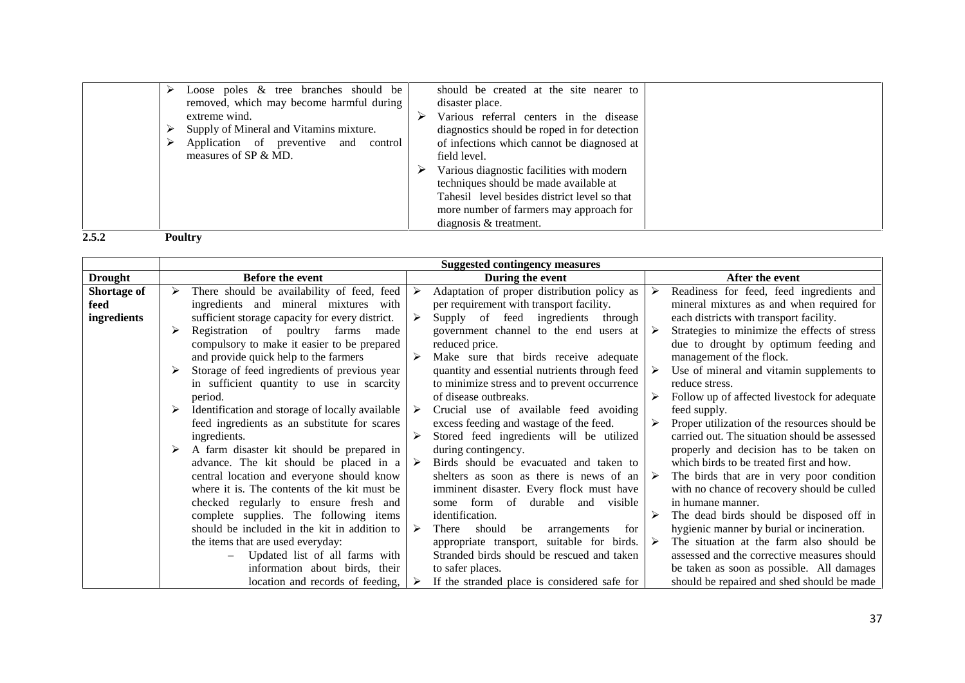|       | Loose poles $\&$ tree branches should be<br>removed, which may become harmful during<br>extreme wind.<br>Supply of Mineral and Vitamins mixture.<br>Application of preventive and control<br>measures of SP & MD. | should be created at the site nearer to<br>disaster place.<br>Various referral centers in the disease<br>diagnostics should be roped in for detection<br>of infections which cannot be diagnosed at<br>field level.<br>Various diagnostic facilities with modern<br>techniques should be made available at<br>Tahesil level besides district level so that<br>more number of farmers may approach for<br>diagnosis $&$ treatment. |  |
|-------|-------------------------------------------------------------------------------------------------------------------------------------------------------------------------------------------------------------------|-----------------------------------------------------------------------------------------------------------------------------------------------------------------------------------------------------------------------------------------------------------------------------------------------------------------------------------------------------------------------------------------------------------------------------------|--|
| 2.5.2 | <b>Poultry</b>                                                                                                                                                                                                    |                                                                                                                                                                                                                                                                                                                                                                                                                                   |  |

|                                           | <b>Suggested contingency measures</b>                                                                                                                                                                                               |                                                                                                                                                                                                                                      |                                                                                                                                                                                                                                                                                   |  |  |  |
|-------------------------------------------|-------------------------------------------------------------------------------------------------------------------------------------------------------------------------------------------------------------------------------------|--------------------------------------------------------------------------------------------------------------------------------------------------------------------------------------------------------------------------------------|-----------------------------------------------------------------------------------------------------------------------------------------------------------------------------------------------------------------------------------------------------------------------------------|--|--|--|
| <b>Drought</b>                            | <b>Before the event</b>                                                                                                                                                                                                             | During the event                                                                                                                                                                                                                     | After the event                                                                                                                                                                                                                                                                   |  |  |  |
| <b>Shortage of</b><br>feed<br>ingredients | There should be availability of feed, feed<br>➤<br>ingredients and mineral mixtures with<br>sufficient storage capacity for every district.                                                                                         | Adaptation of proper distribution policy as<br>➤<br>per requirement with transport facility.<br>Supply of feed ingredients<br>➤<br>through                                                                                           | Readiness for feed, feed ingredients and<br>➤<br>mineral mixtures as and when required for<br>each districts with transport facility.                                                                                                                                             |  |  |  |
|                                           | Registration of poultry farms made<br>➤<br>compulsory to make it easier to be prepared<br>and provide quick help to the farmers<br>Storage of feed ingredients of previous year<br>➤<br>in sufficient quantity to use in scarcity   | government channel to the end users at<br>reduced price.<br>➤<br>Make sure that birds receive adequate<br>quantity and essential nutrients through feed<br>to minimize stress and to prevent occurrence                              | Strategies to minimize the effects of stress<br>due to drought by optimum feeding and<br>management of the flock.<br>Use of mineral and vitamin supplements to<br>reduce stress.                                                                                                  |  |  |  |
|                                           | period.<br>Identification and storage of locally available<br>➤<br>feed ingredients as an substitute for scares<br>ingredients.                                                                                                     | of disease outbreaks.<br>Crucial use of available feed avoiding<br>➤<br>excess feeding and wastage of the feed.<br>Stored feed ingredients will be utilized<br>➤                                                                     | Follow up of affected livestock for adequate<br>feed supply.<br>Proper utilization of the resources should be<br>carried out. The situation should be assessed                                                                                                                    |  |  |  |
|                                           | A farm disaster kit should be prepared in<br>➤<br>advance. The kit should be placed in a<br>central location and everyone should know<br>where it is. The contents of the kit must be<br>checked regularly to ensure fresh and      | during contingency.<br>Birds should be evacuated and taken to<br>$\triangleright$<br>shelters as soon as there is news of an<br>imminent disaster. Every flock must have<br>some form of durable and visible                         | properly and decision has to be taken on<br>which birds to be treated first and how.<br>The birds that are in very poor condition<br>➤<br>with no chance of recovery should be culled<br>in humane manner.                                                                        |  |  |  |
|                                           | complete supplies. The following items<br>should be included in the kit in addition to<br>the items that are used everyday:<br>Updated list of all farms with<br>information about birds, their<br>location and records of feeding, | identification.<br>➤<br>be<br>should<br>There<br>arrangements<br>for<br>appropriate transport, suitable for birds.<br>Stranded birds should be rescued and taken<br>to safer places.<br>If the stranded place is considered safe for | The dead birds should be disposed off in<br>hygienic manner by burial or incineration.<br>The situation at the farm also should be<br>➤<br>assessed and the corrective measures should<br>be taken as soon as possible. All damages<br>should be repaired and shed should be made |  |  |  |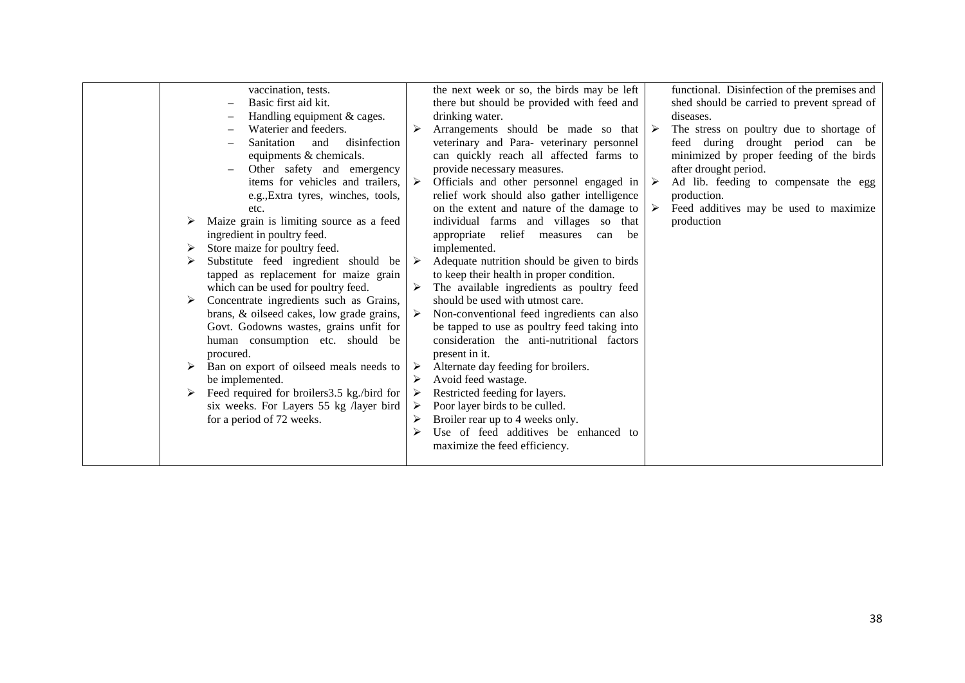| functional. Disinfection of the premises and<br>the next week or so, the birds may be left<br>vaccination, tests.<br>Basic first aid kit.<br>there but should be provided with feed and<br>shed should be carried to prevent spread of<br>Handling equipment & cages.<br>drinking water.<br>diseases.<br>Waterier and feeders.<br>Arrangements should be made so that<br>The stress on poultry due to shortage of<br>➤<br>disinfection<br>veterinary and Para- veterinary personnel<br>feed during drought period can be<br>Sanitation<br>and<br>equipments & chemicals.<br>can quickly reach all affected farms to<br>minimized by proper feeding of the birds<br>after drought period.<br>Other safety and emergency<br>provide necessary measures.<br>items for vehicles and trailers,<br>Officials and other personnel engaged in<br>Ad lib. feeding to compensate the egg<br>➤<br>relief work should also gather intelligence<br>production.<br>e.g., Extra tyres, winches, tools,<br>on the extent and nature of the damage to<br>Feed additives may be used to maximize<br>➤<br>etc.<br>Maize grain is limiting source as a feed<br>individual farms and villages so that<br>production<br>ingredient in poultry feed.<br>relief<br>appropriate<br>be<br>measures<br>can<br>Store maize for poultry feed.<br>implemented.<br>➤<br>Substitute feed ingredient should be<br>Adequate nutrition should be given to birds<br>➤ |
|-----------------------------------------------------------------------------------------------------------------------------------------------------------------------------------------------------------------------------------------------------------------------------------------------------------------------------------------------------------------------------------------------------------------------------------------------------------------------------------------------------------------------------------------------------------------------------------------------------------------------------------------------------------------------------------------------------------------------------------------------------------------------------------------------------------------------------------------------------------------------------------------------------------------------------------------------------------------------------------------------------------------------------------------------------------------------------------------------------------------------------------------------------------------------------------------------------------------------------------------------------------------------------------------------------------------------------------------------------------------------------------------------------------------------------------|
| tapped as replacement for maize grain<br>to keep their health in proper condition.<br>which can be used for poultry feed.<br>The available ingredients as poultry feed<br>Concentrate ingredients such as Grains,<br>should be used with utmost care.<br>➤<br>brans, & oilseed cakes, low grade grains,<br>Non-conventional feed ingredients can also<br>Govt. Godowns wastes, grains unfit for<br>be tapped to use as poultry feed taking into<br>human consumption etc. should be<br>consideration the anti-nutritional factors<br>procured.<br>present in it.<br>Ban on export of oilseed meals needs to<br>Alternate day feeding for broilers.<br>➤<br>➤<br>be implemented.<br>Avoid feed wastage.<br>➤<br>Feed required for broilers 3.5 kg./bird for<br>Restricted feeding for layers.<br>➤<br>➤<br>Poor layer birds to be culled.<br>six weeks. For Layers 55 kg /layer bird<br>for a period of 72 weeks.<br>Broiler rear up to 4 weeks only.                                                                                                                                                                                                                                                                                                                                                                                                                                                                              |
| Use of feed additives be enhanced to<br>➤<br>maximize the feed efficiency.                                                                                                                                                                                                                                                                                                                                                                                                                                                                                                                                                                                                                                                                                                                                                                                                                                                                                                                                                                                                                                                                                                                                                                                                                                                                                                                                                        |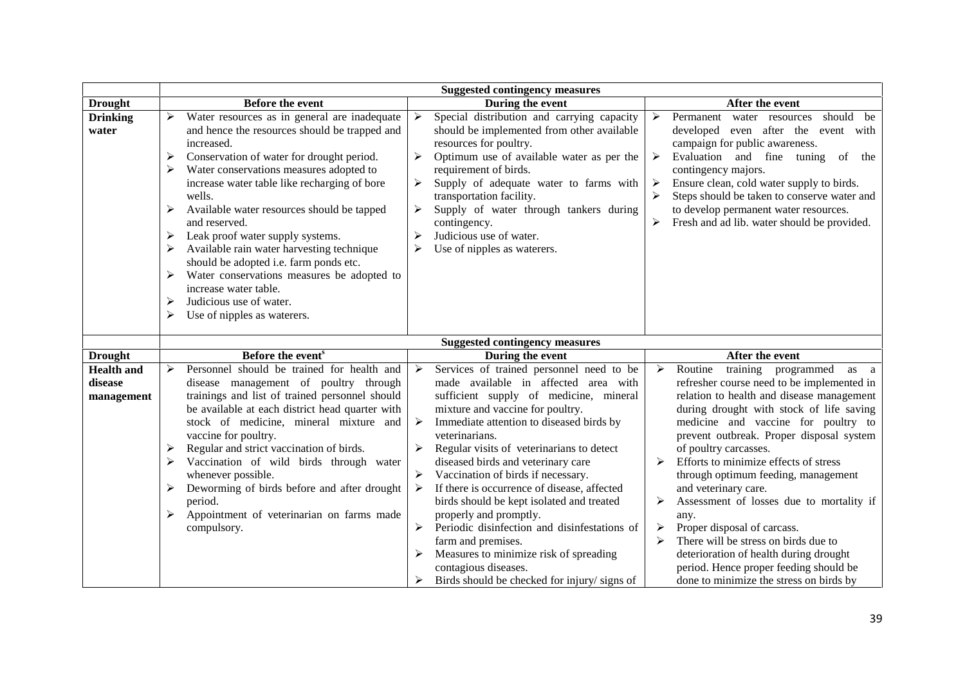|                                            | <b>Suggested contingency measures</b>                                                                                                                                                                                                                                                                                                                                                                                                                                                                                                                                                                        |                                                                                                                                                                                                                                                                                                                                                                                                                                                                                                                                                                                                                               |                                                                                                                                                                                                                                                                                                                                                                                                                                                                                                                                                                                                                                              |  |  |
|--------------------------------------------|--------------------------------------------------------------------------------------------------------------------------------------------------------------------------------------------------------------------------------------------------------------------------------------------------------------------------------------------------------------------------------------------------------------------------------------------------------------------------------------------------------------------------------------------------------------------------------------------------------------|-------------------------------------------------------------------------------------------------------------------------------------------------------------------------------------------------------------------------------------------------------------------------------------------------------------------------------------------------------------------------------------------------------------------------------------------------------------------------------------------------------------------------------------------------------------------------------------------------------------------------------|----------------------------------------------------------------------------------------------------------------------------------------------------------------------------------------------------------------------------------------------------------------------------------------------------------------------------------------------------------------------------------------------------------------------------------------------------------------------------------------------------------------------------------------------------------------------------------------------------------------------------------------------|--|--|
| <b>Drought</b>                             | <b>Before the event</b>                                                                                                                                                                                                                                                                                                                                                                                                                                                                                                                                                                                      | During the event                                                                                                                                                                                                                                                                                                                                                                                                                                                                                                                                                                                                              | After the event                                                                                                                                                                                                                                                                                                                                                                                                                                                                                                                                                                                                                              |  |  |
| <b>Drinking</b><br>water                   | Water resources as in general are inadequate<br>and hence the resources should be trapped and<br>increased.<br>Conservation of water for drought period.<br>➤<br>Water conservations measures adopted to<br>increase water table like recharging of bore<br>wells.<br>Available water resources should be tapped<br>and reserved.<br>Leak proof water supply systems.<br>Available rain water harvesting technique<br>should be adopted i.e. farm ponds etc.<br>Water conservations measures be adopted to<br>➤<br>increase water table.<br>Judicious use of water.<br>➤<br>Use of nipples as waterers.<br>➤ | Special distribution and carrying capacity<br>➤<br>should be implemented from other available<br>resources for poultry.<br>Optimum use of available water as per the<br>➤<br>requirement of birds.<br>Supply of adequate water to farms with<br>≻<br>transportation facility.<br>Supply of water through tankers during<br>➤<br>contingency.<br>➤<br>Judicious use of water.<br>≻<br>Use of nipples as waterers.                                                                                                                                                                                                              | should be<br>$\blacktriangleright$<br>Permanent water resources<br>developed even after the event with<br>campaign for public awareness.<br>Evaluation and fine tuning of<br>➤<br>the<br>contingency majors.<br>Ensure clean, cold water supply to birds.<br>➤<br>Steps should be taken to conserve water and<br>➤<br>to develop permanent water resources.<br>Fresh and ad lib. water should be provided.<br>➤                                                                                                                                                                                                                              |  |  |
|                                            |                                                                                                                                                                                                                                                                                                                                                                                                                                                                                                                                                                                                              | <b>Suggested contingency measures</b>                                                                                                                                                                                                                                                                                                                                                                                                                                                                                                                                                                                         |                                                                                                                                                                                                                                                                                                                                                                                                                                                                                                                                                                                                                                              |  |  |
| <b>Drought</b>                             | Before the event <sup>s</sup>                                                                                                                                                                                                                                                                                                                                                                                                                                                                                                                                                                                | During the event                                                                                                                                                                                                                                                                                                                                                                                                                                                                                                                                                                                                              | After the event                                                                                                                                                                                                                                                                                                                                                                                                                                                                                                                                                                                                                              |  |  |
| <b>Health and</b><br>disease<br>management | Personnel should be trained for health and<br>⋗<br>disease management of poultry through<br>trainings and list of trained personnel should<br>be available at each district head quarter with<br>stock of medicine, mineral mixture and<br>vaccine for poultry.<br>Regular and strict vaccination of birds.<br>➤<br>Vaccination of wild birds through water<br>➤<br>whenever possible.<br>Deworming of birds before and after drought<br>period.<br>Appointment of veterinarian on farms made<br>compulsory.                                                                                                 | Services of trained personnel need to be<br>➤<br>made available in affected area with<br>sufficient supply of medicine, mineral<br>mixture and vaccine for poultry.<br>Immediate attention to diseased birds by<br>➤<br>veterinarians.<br>Regular visits of veterinarians to detect<br>diseased birds and veterinary care<br>Vaccination of birds if necessary.<br>If there is occurrence of disease, affected<br>birds should be kept isolated and treated<br>properly and promptly.<br>Periodic disinfection and disinfestations of<br>farm and premises.<br>Measures to minimize risk of spreading<br>contagious diseases. | Routine<br>training programmed<br>➤<br>as<br>a<br>refresher course need to be implemented in<br>relation to health and disease management<br>during drought with stock of life saving<br>medicine and vaccine for poultry to<br>prevent outbreak. Proper disposal system<br>of poultry carcasses.<br>Efforts to minimize effects of stress<br>➤<br>through optimum feeding, management<br>and veterinary care.<br>Assessment of losses due to mortality if<br>➤<br>any.<br>Proper disposal of carcass.<br>➤<br>There will be stress on birds due to<br>➤<br>deterioration of health during drought<br>period. Hence proper feeding should be |  |  |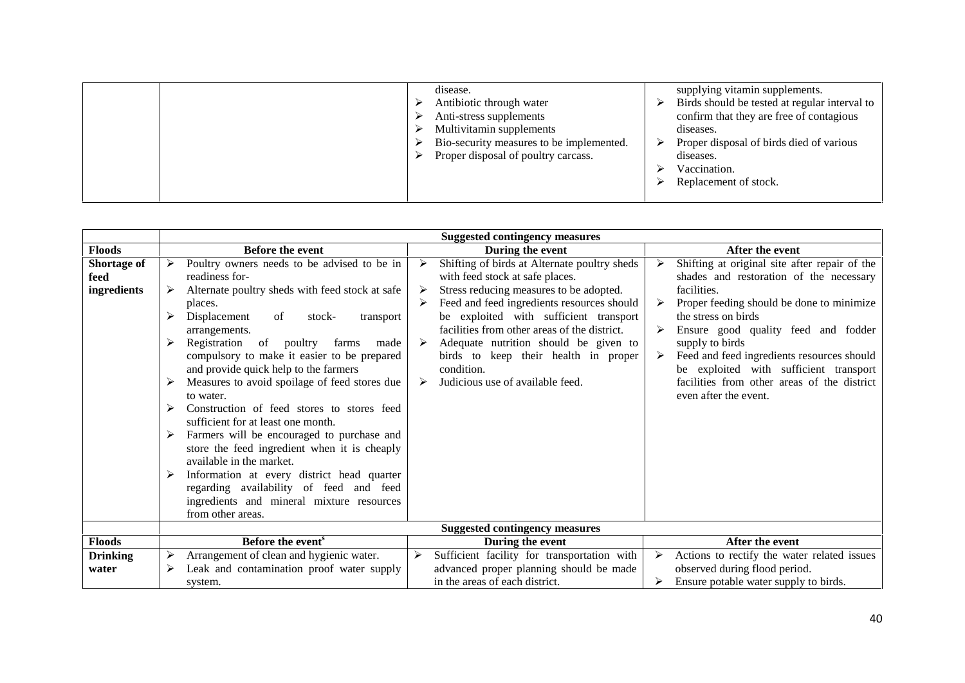| disease.<br>Antibiotic through water<br>Anti-stress supplements<br>Multivitamin supplements<br>Bio-security measures to be implemented.<br>Proper disposal of poultry carcass. | supplying vitamin supplements.<br>Birds should be tested at regular interval to<br>confirm that they are free of contagious<br>diseases.<br>Proper disposal of birds died of various<br>diseases.<br>Vaccination.<br>Replacement of stock. |
|--------------------------------------------------------------------------------------------------------------------------------------------------------------------------------|--------------------------------------------------------------------------------------------------------------------------------------------------------------------------------------------------------------------------------------------|
|--------------------------------------------------------------------------------------------------------------------------------------------------------------------------------|--------------------------------------------------------------------------------------------------------------------------------------------------------------------------------------------------------------------------------------------|

|                                    |                                                                                                                                                                                                                                                                                                                                                                                                                                                                                                                                                                                                                                                                                                                                                                                      | <b>Suggested contingency measures</b>                                                                                                                                                                                                                                                                                                                                                                                     |                                                                                                                                                                                                                                                                                                                                                                                                       |
|------------------------------------|--------------------------------------------------------------------------------------------------------------------------------------------------------------------------------------------------------------------------------------------------------------------------------------------------------------------------------------------------------------------------------------------------------------------------------------------------------------------------------------------------------------------------------------------------------------------------------------------------------------------------------------------------------------------------------------------------------------------------------------------------------------------------------------|---------------------------------------------------------------------------------------------------------------------------------------------------------------------------------------------------------------------------------------------------------------------------------------------------------------------------------------------------------------------------------------------------------------------------|-------------------------------------------------------------------------------------------------------------------------------------------------------------------------------------------------------------------------------------------------------------------------------------------------------------------------------------------------------------------------------------------------------|
| <b>Floods</b>                      | <b>Before the event</b>                                                                                                                                                                                                                                                                                                                                                                                                                                                                                                                                                                                                                                                                                                                                                              | During the event                                                                                                                                                                                                                                                                                                                                                                                                          | After the event                                                                                                                                                                                                                                                                                                                                                                                       |
| Shortage of<br>feed<br>ingredients | Poultry owners needs to be advised to be in<br>➤<br>readiness for-<br>Alternate poultry sheds with feed stock at safe<br>places.<br>Displacement<br>of<br>stock-<br>transport<br>arrangements.<br>Registration<br>of<br>➤<br>poultry<br>farms<br>made<br>compulsory to make it easier to be prepared<br>and provide quick help to the farmers<br>Measures to avoid spoilage of feed stores due<br>to water.<br>Construction of feed stores to stores feed<br>sufficient for at least one month.<br>Farmers will be encouraged to purchase and<br>store the feed ingredient when it is cheaply<br>available in the market.<br>Information at every district head quarter<br>regarding availability of feed and feed<br>ingredients and mineral mixture resources<br>from other areas. | Shifting of birds at Alternate poultry sheds<br>➤<br>with feed stock at safe places.<br>Stress reducing measures to be adopted.<br>➤<br>Feed and feed ingredients resources should<br>be exploited with sufficient transport<br>facilities from other areas of the district.<br>Adequate nutrition should be given to<br>➤<br>birds to keep their health in proper<br>condition.<br>Judicious use of available feed.<br>➤ | Shifting at original site after repair of the<br>shades and restoration of the necessary<br>facilities.<br>Proper feeding should be done to minimize<br>the stress on birds<br>Ensure good quality feed and fodder<br>supply to birds<br>Feed and feed ingredients resources should<br>be exploited with sufficient transport<br>facilities from other areas of the district<br>even after the event. |
|                                    |                                                                                                                                                                                                                                                                                                                                                                                                                                                                                                                                                                                                                                                                                                                                                                                      | <b>Suggested contingency measures</b>                                                                                                                                                                                                                                                                                                                                                                                     |                                                                                                                                                                                                                                                                                                                                                                                                       |
| <b>Floods</b>                      | Before the event <sup>s</sup>                                                                                                                                                                                                                                                                                                                                                                                                                                                                                                                                                                                                                                                                                                                                                        | During the event                                                                                                                                                                                                                                                                                                                                                                                                          | After the event                                                                                                                                                                                                                                                                                                                                                                                       |
| <b>Drinking</b><br>water           | Arrangement of clean and hygienic water.<br>Leak and contamination proof water supply<br>➤<br>system.                                                                                                                                                                                                                                                                                                                                                                                                                                                                                                                                                                                                                                                                                | Sufficient facility for transportation with<br>➤<br>advanced proper planning should be made<br>in the areas of each district.                                                                                                                                                                                                                                                                                             | Actions to rectify the water related issues<br>≻<br>observed during flood period.<br>Ensure potable water supply to birds.                                                                                                                                                                                                                                                                            |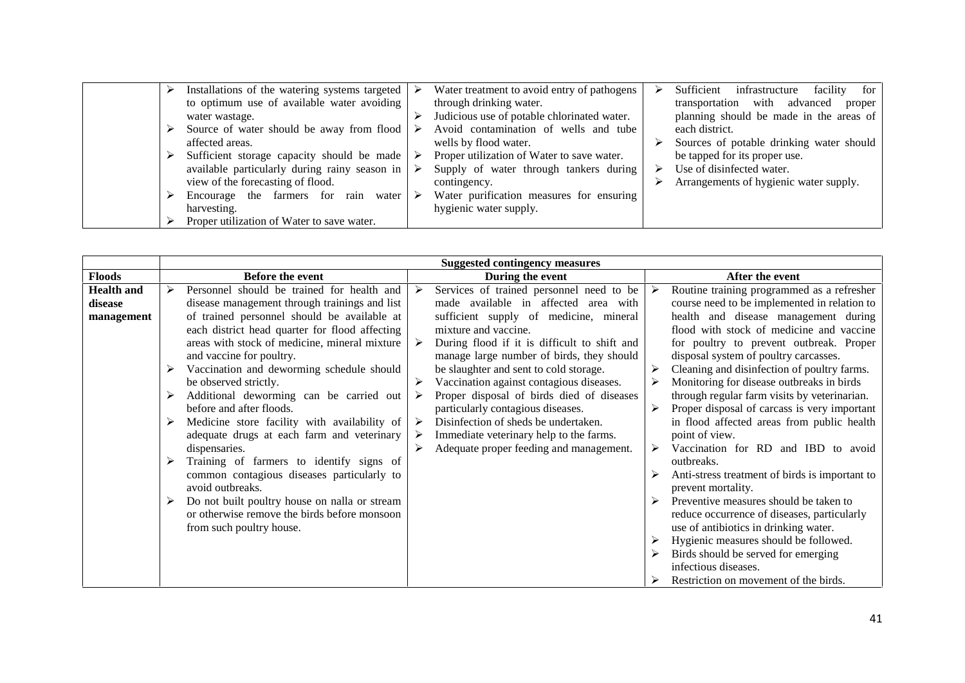| Installations of the watering systems targeted | Water treatment to avoid entry of pathogens     | infrastructure<br>Sufficient<br>facility<br>for |
|------------------------------------------------|-------------------------------------------------|-------------------------------------------------|
| to optimum use of available water avoiding     | through drinking water.                         | transportation with advanced<br>proper          |
| water wastage.                                 | Judicious use of potable chlorinated water.     | planning should be made in the areas of         |
| Source of water should be away from flood      | Avoid contamination of wells and tube           | each district.                                  |
| affected areas.                                | wells by flood water.                           | Sources of potable drinking water should        |
| Sufficient storage capacity should be made     | Proper utilization of Water to save water.<br>➤ | be tapped for its proper use.                   |
| available particularly during rainy season in  | Supply of water through tankers during          | Use of disinfected water.                       |
| view of the forecasting of flood.              | contingency.                                    | Arrangements of hygienic water supply.          |
| Encourage the farmers for rain water           | Water purification measures for ensuring<br>➤   |                                                 |
| harvesting.                                    | hygienic water supply.                          |                                                 |
| Proper utilization of Water to save water.     |                                                 |                                                 |

|                                            | <b>Suggested contingency measures</b> |                                                                                                                                                                                                                                                                                                                                                                                                                                                                                                                                                                                                                                                     |                                                |                                                                                                                                                                                                                                                                                                                                                                                                                                                                                                                                                       |   |                                                                                                                                                                                                                                                                                                                                                                                                                                                                                                                                                                                                                                                             |
|--------------------------------------------|---------------------------------------|-----------------------------------------------------------------------------------------------------------------------------------------------------------------------------------------------------------------------------------------------------------------------------------------------------------------------------------------------------------------------------------------------------------------------------------------------------------------------------------------------------------------------------------------------------------------------------------------------------------------------------------------------------|------------------------------------------------|-------------------------------------------------------------------------------------------------------------------------------------------------------------------------------------------------------------------------------------------------------------------------------------------------------------------------------------------------------------------------------------------------------------------------------------------------------------------------------------------------------------------------------------------------------|---|-------------------------------------------------------------------------------------------------------------------------------------------------------------------------------------------------------------------------------------------------------------------------------------------------------------------------------------------------------------------------------------------------------------------------------------------------------------------------------------------------------------------------------------------------------------------------------------------------------------------------------------------------------------|
| <b>Floods</b>                              |                                       | Before the event                                                                                                                                                                                                                                                                                                                                                                                                                                                                                                                                                                                                                                    |                                                | During the event                                                                                                                                                                                                                                                                                                                                                                                                                                                                                                                                      |   | After the event                                                                                                                                                                                                                                                                                                                                                                                                                                                                                                                                                                                                                                             |
| <b>Health and</b><br>disease<br>management | ➤<br>➤<br>➤<br>⋗<br>➤                 | Personnel should be trained for health and<br>disease management through trainings and list<br>of trained personnel should be available at<br>each district head quarter for flood affecting<br>areas with stock of medicine, mineral mixture<br>and vaccine for poultry.<br>Vaccination and deworming schedule should<br>be observed strictly.<br>Additional deworming can be carried out<br>before and after floods.<br>Medicine store facility with availability of<br>adequate drugs at each farm and veterinary<br>dispensaries.<br>Training of farmers to identify signs of<br>common contagious diseases particularly to<br>avoid outbreaks. | ⋗<br>$\blacktriangleright$<br>➤<br>➤<br>➤<br>➤ | Services of trained personnel need to be<br>made available in affected area with<br>sufficient supply of medicine, mineral<br>mixture and vaccine.<br>During flood if it is difficult to shift and<br>manage large number of birds, they should<br>be slaughter and sent to cold storage.<br>Vaccination against contagious diseases.<br>Proper disposal of birds died of diseases<br>particularly contagious diseases.<br>Disinfection of sheds be undertaken.<br>Immediate veterinary help to the farms.<br>Adequate proper feeding and management. | ≻ | Routine training programmed as a refresher<br>course need to be implemented in relation to<br>health and disease management during<br>flood with stock of medicine and vaccine<br>for poultry to prevent outbreak. Proper<br>disposal system of poultry carcasses.<br>Cleaning and disinfection of poultry farms.<br>Monitoring for disease outbreaks in birds<br>through regular farm visits by veterinarian.<br>Proper disposal of carcass is very important<br>in flood affected areas from public health<br>point of view.<br>Vaccination for RD and IBD to avoid<br>outbreaks.<br>Anti-stress treatment of birds is important to<br>prevent mortality. |
|                                            | ➤                                     | Do not built poultry house on nalla or stream<br>or otherwise remove the birds before monsoon<br>from such poultry house.                                                                                                                                                                                                                                                                                                                                                                                                                                                                                                                           |                                                |                                                                                                                                                                                                                                                                                                                                                                                                                                                                                                                                                       |   | Preventive measures should be taken to<br>reduce occurrence of diseases, particularly<br>use of antibiotics in drinking water.<br>Hygienic measures should be followed.<br>Birds should be served for emerging<br>infectious diseases.<br>Restriction on movement of the birds.                                                                                                                                                                                                                                                                                                                                                                             |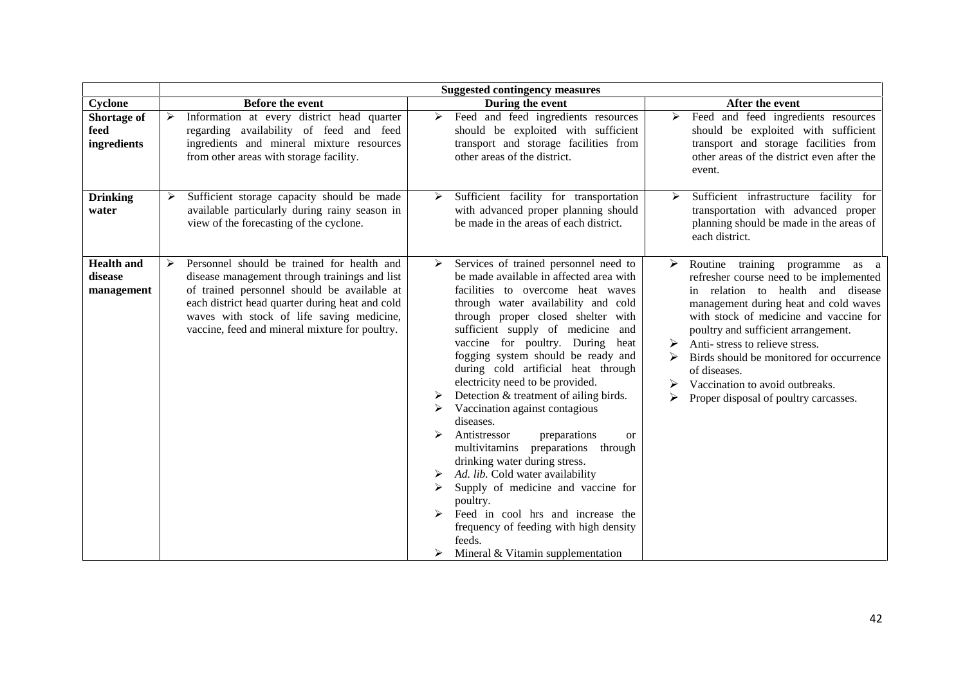|                                            | <b>Suggested contingency measures</b>                                                                                                                                                                                                                                                             |                                                                                                                                                                                                                                                                                                                                                                                                                                                                                                                                                                                                                                                                                                                                                                                                                                                                        |                                                                                                                                                                                                                                                                                                                                                                                                                          |  |  |
|--------------------------------------------|---------------------------------------------------------------------------------------------------------------------------------------------------------------------------------------------------------------------------------------------------------------------------------------------------|------------------------------------------------------------------------------------------------------------------------------------------------------------------------------------------------------------------------------------------------------------------------------------------------------------------------------------------------------------------------------------------------------------------------------------------------------------------------------------------------------------------------------------------------------------------------------------------------------------------------------------------------------------------------------------------------------------------------------------------------------------------------------------------------------------------------------------------------------------------------|--------------------------------------------------------------------------------------------------------------------------------------------------------------------------------------------------------------------------------------------------------------------------------------------------------------------------------------------------------------------------------------------------------------------------|--|--|
| Cyclone                                    | <b>Before the event</b>                                                                                                                                                                                                                                                                           | During the event                                                                                                                                                                                                                                                                                                                                                                                                                                                                                                                                                                                                                                                                                                                                                                                                                                                       | After the event                                                                                                                                                                                                                                                                                                                                                                                                          |  |  |
| Shortage of<br>feed<br>ingredients         | Information at every district head quarter<br>regarding availability of feed and feed<br>ingredients and mineral mixture resources<br>from other areas with storage facility.                                                                                                                     | Feed and feed ingredients resources<br>$\blacktriangleright$<br>should be exploited with sufficient<br>transport and storage facilities from<br>other areas of the district.                                                                                                                                                                                                                                                                                                                                                                                                                                                                                                                                                                                                                                                                                           | Feed and feed ingredients resources<br>➤<br>should be exploited with sufficient<br>transport and storage facilities from<br>other areas of the district even after the<br>event.                                                                                                                                                                                                                                         |  |  |
| <b>Drinking</b><br>water                   | Sufficient storage capacity should be made<br>available particularly during rainy season in<br>view of the forecasting of the cyclone.                                                                                                                                                            | Sufficient facility for transportation<br>➤<br>with advanced proper planning should<br>be made in the areas of each district.                                                                                                                                                                                                                                                                                                                                                                                                                                                                                                                                                                                                                                                                                                                                          | Sufficient infrastructure facility for<br>➤<br>transportation with advanced proper<br>planning should be made in the areas of<br>each district.                                                                                                                                                                                                                                                                          |  |  |
| <b>Health and</b><br>disease<br>management | Personnel should be trained for health and<br>≻<br>disease management through trainings and list<br>of trained personnel should be available at<br>each district head quarter during heat and cold<br>waves with stock of life saving medicine,<br>vaccine, feed and mineral mixture for poultry. | Services of trained personnel need to<br>$\triangleright$<br>be made available in affected area with<br>facilities to overcome heat waves<br>through water availability and cold<br>through proper closed shelter with<br>sufficient supply of medicine<br>and<br>vaccine for poultry. During heat<br>fogging system should be ready and<br>during cold artificial heat through<br>electricity need to be provided.<br>Detection & treatment of ailing birds.<br>Vaccination against contagious<br>➤<br>diseases.<br>Antistressor<br>preparations<br><b>or</b><br>preparations through<br>multivitamins<br>drinking water during stress.<br>Ad. lib. Cold water availability<br>Supply of medicine and vaccine for<br>➤<br>poultry.<br>Feed in cool hrs and increase the<br>frequency of feeding with high density<br>feeds.<br>Mineral & Vitamin supplementation<br>≻ | Routine training programme as a<br>➤<br>refresher course need to be implemented<br>in relation to health and disease<br>management during heat and cold waves<br>with stock of medicine and vaccine for<br>poultry and sufficient arrangement.<br>Anti-stress to relieve stress.<br>Birds should be monitored for occurrence<br>of diseases.<br>Vaccination to avoid outbreaks.<br>Proper disposal of poultry carcasses. |  |  |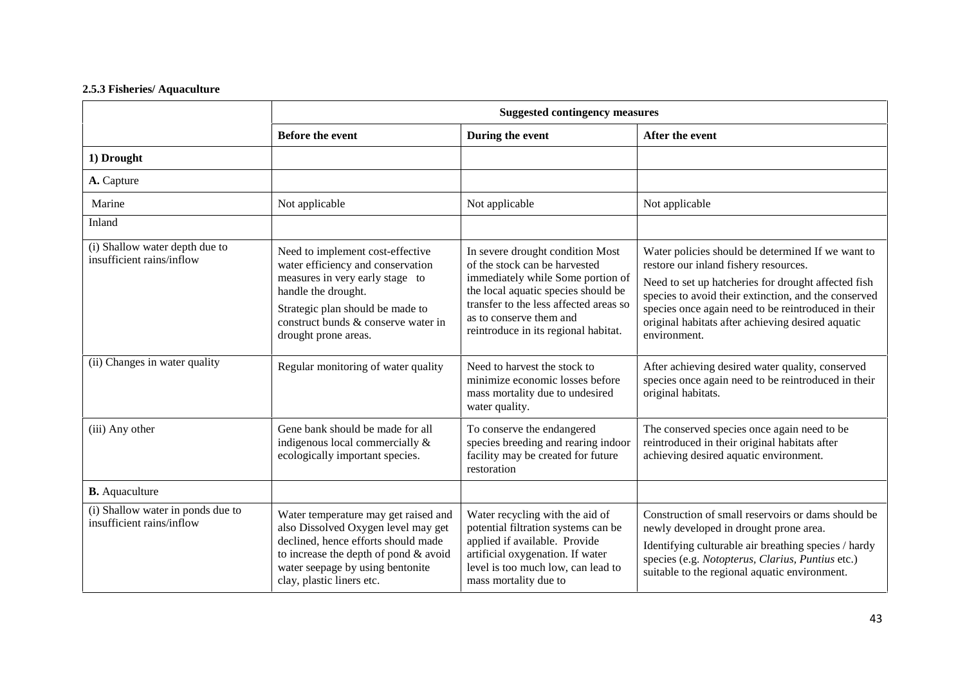### **2.5.3 Fisheries/ Aquaculture**

|                                                                | <b>Suggested contingency measures</b>                                                                                                                                                                                              |                                                                                                                                                                                                                                                            |                                                                                                                                                                                                                                                                                                                                       |
|----------------------------------------------------------------|------------------------------------------------------------------------------------------------------------------------------------------------------------------------------------------------------------------------------------|------------------------------------------------------------------------------------------------------------------------------------------------------------------------------------------------------------------------------------------------------------|---------------------------------------------------------------------------------------------------------------------------------------------------------------------------------------------------------------------------------------------------------------------------------------------------------------------------------------|
|                                                                | <b>Before the event</b>                                                                                                                                                                                                            | During the event                                                                                                                                                                                                                                           | After the event                                                                                                                                                                                                                                                                                                                       |
| 1) Drought                                                     |                                                                                                                                                                                                                                    |                                                                                                                                                                                                                                                            |                                                                                                                                                                                                                                                                                                                                       |
| A. Capture                                                     |                                                                                                                                                                                                                                    |                                                                                                                                                                                                                                                            |                                                                                                                                                                                                                                                                                                                                       |
| Marine                                                         | Not applicable                                                                                                                                                                                                                     | Not applicable                                                                                                                                                                                                                                             | Not applicable                                                                                                                                                                                                                                                                                                                        |
| Inland                                                         |                                                                                                                                                                                                                                    |                                                                                                                                                                                                                                                            |                                                                                                                                                                                                                                                                                                                                       |
| (i) Shallow water depth due to<br>insufficient rains/inflow    | Need to implement cost-effective<br>water efficiency and conservation<br>measures in very early stage to<br>handle the drought.<br>Strategic plan should be made to<br>construct bunds & conserve water in<br>drought prone areas. | In severe drought condition Most<br>of the stock can be harvested<br>immediately while Some portion of<br>the local aquatic species should be<br>transfer to the less affected areas so<br>as to conserve them and<br>reintroduce in its regional habitat. | Water policies should be determined If we want to<br>restore our inland fishery resources.<br>Need to set up hatcheries for drought affected fish<br>species to avoid their extinction, and the conserved<br>species once again need to be reintroduced in their<br>original habitats after achieving desired aquatic<br>environment. |
| (ii) Changes in water quality                                  | Regular monitoring of water quality                                                                                                                                                                                                | Need to harvest the stock to<br>minimize economic losses before<br>mass mortality due to undesired<br>water quality.                                                                                                                                       | After achieving desired water quality, conserved<br>species once again need to be reintroduced in their<br>original habitats.                                                                                                                                                                                                         |
| (iii) Any other                                                | Gene bank should be made for all<br>indigenous local commercially &<br>ecologically important species.                                                                                                                             | To conserve the endangered<br>species breeding and rearing indoor<br>facility may be created for future<br>restoration                                                                                                                                     | The conserved species once again need to be<br>reintroduced in their original habitats after<br>achieving desired aquatic environment.                                                                                                                                                                                                |
| <b>B.</b> Aquaculture                                          |                                                                                                                                                                                                                                    |                                                                                                                                                                                                                                                            |                                                                                                                                                                                                                                                                                                                                       |
| (i) Shallow water in ponds due to<br>insufficient rains/inflow | Water temperature may get raised and<br>also Dissolved Oxygen level may get<br>declined, hence efforts should made<br>to increase the depth of pond & avoid<br>water seepage by using bentonite<br>clay, plastic liners etc.       | Water recycling with the aid of<br>potential filtration systems can be<br>applied if available. Provide<br>artificial oxygenation. If water<br>level is too much low, can lead to<br>mass mortality due to                                                 | Construction of small reservoirs or dams should be<br>newly developed in drought prone area.<br>Identifying culturable air breathing species / hardy<br>species (e.g. Notopterus, Clarius, Puntius etc.)<br>suitable to the regional aquatic environment.                                                                             |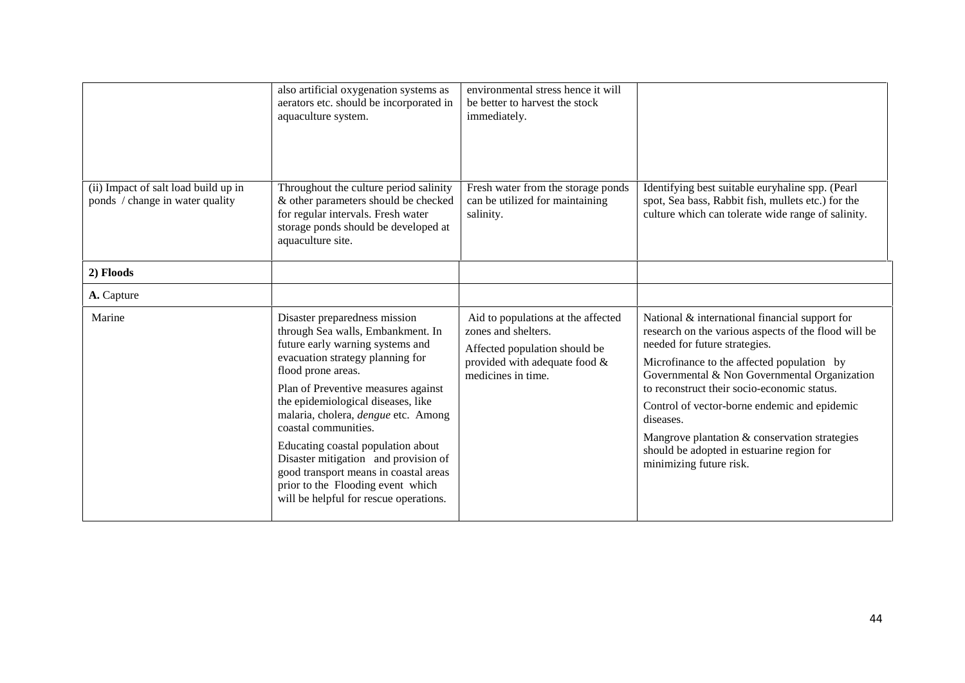|                                                                         | also artificial oxygenation systems as<br>aerators etc. should be incorporated in<br>aquaculture system.                                                                                                                                                                                                                                                                                                                                                                                                           | environmental stress hence it will<br>be better to harvest the stock<br>immediately.                                                              |                                                                                                                                                                                                                                                                                                                                                                                                                                                                            |
|-------------------------------------------------------------------------|--------------------------------------------------------------------------------------------------------------------------------------------------------------------------------------------------------------------------------------------------------------------------------------------------------------------------------------------------------------------------------------------------------------------------------------------------------------------------------------------------------------------|---------------------------------------------------------------------------------------------------------------------------------------------------|----------------------------------------------------------------------------------------------------------------------------------------------------------------------------------------------------------------------------------------------------------------------------------------------------------------------------------------------------------------------------------------------------------------------------------------------------------------------------|
| (ii) Impact of salt load build up in<br>ponds / change in water quality | Throughout the culture period salinity<br>& other parameters should be checked<br>for regular intervals. Fresh water<br>storage ponds should be developed at<br>aquaculture site.                                                                                                                                                                                                                                                                                                                                  | Fresh water from the storage ponds<br>can be utilized for maintaining<br>salinity.                                                                | Identifying best suitable euryhaline spp. (Pearl<br>spot, Sea bass, Rabbit fish, mullets etc.) for the<br>culture which can tolerate wide range of salinity.                                                                                                                                                                                                                                                                                                               |
| 2) Floods                                                               |                                                                                                                                                                                                                                                                                                                                                                                                                                                                                                                    |                                                                                                                                                   |                                                                                                                                                                                                                                                                                                                                                                                                                                                                            |
| A. Capture                                                              |                                                                                                                                                                                                                                                                                                                                                                                                                                                                                                                    |                                                                                                                                                   |                                                                                                                                                                                                                                                                                                                                                                                                                                                                            |
| Marine                                                                  | Disaster preparedness mission<br>through Sea walls, Embankment. In<br>future early warning systems and<br>evacuation strategy planning for<br>flood prone areas.<br>Plan of Preventive measures against<br>the epidemiological diseases, like<br>malaria, cholera, dengue etc. Among<br>coastal communities.<br>Educating coastal population about<br>Disaster mitigation and provision of<br>good transport means in coastal areas<br>prior to the Flooding event which<br>will be helpful for rescue operations. | Aid to populations at the affected<br>zones and shelters.<br>Affected population should be<br>provided with adequate food &<br>medicines in time. | National & international financial support for<br>research on the various aspects of the flood will be<br>needed for future strategies.<br>Microfinance to the affected population by<br>Governmental & Non Governmental Organization<br>to reconstruct their socio-economic status.<br>Control of vector-borne endemic and epidemic<br>diseases.<br>Mangrove plantation & conservation strategies<br>should be adopted in estuarine region for<br>minimizing future risk. |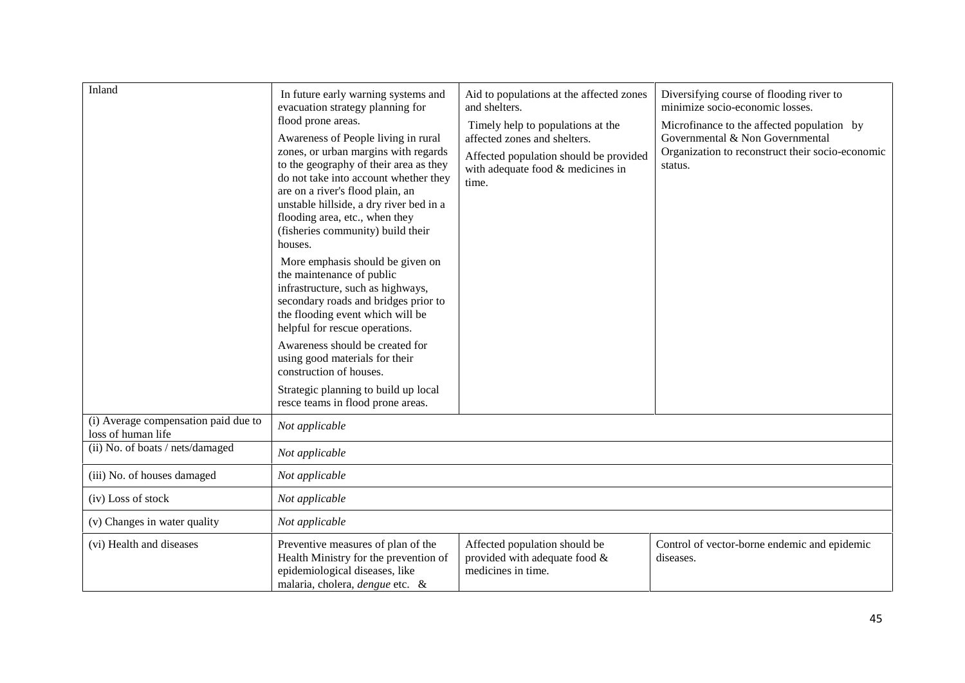| Inland                                                     | In future early warning systems and<br>evacuation strategy planning for<br>flood prone areas.<br>Awareness of People living in rural<br>zones, or urban margins with regards<br>to the geography of their area as they<br>do not take into account whether they<br>are on a river's flood plain, an<br>unstable hillside, a dry river bed in a<br>flooding area, etc., when they<br>(fisheries community) build their<br>houses. | Aid to populations at the affected zones<br>and shelters.<br>Timely help to populations at the<br>affected zones and shelters.<br>Affected population should be provided<br>with adequate food & medicines in<br>time. | Diversifying course of flooding river to<br>minimize socio-economic losses.<br>Microfinance to the affected population by<br>Governmental & Non Governmental<br>Organization to reconstruct their socio-economic<br>status. |
|------------------------------------------------------------|----------------------------------------------------------------------------------------------------------------------------------------------------------------------------------------------------------------------------------------------------------------------------------------------------------------------------------------------------------------------------------------------------------------------------------|------------------------------------------------------------------------------------------------------------------------------------------------------------------------------------------------------------------------|-----------------------------------------------------------------------------------------------------------------------------------------------------------------------------------------------------------------------------|
|                                                            | More emphasis should be given on<br>the maintenance of public<br>infrastructure, such as highways,<br>secondary roads and bridges prior to<br>the flooding event which will be<br>helpful for rescue operations.                                                                                                                                                                                                                 |                                                                                                                                                                                                                        |                                                                                                                                                                                                                             |
|                                                            | Awareness should be created for<br>using good materials for their<br>construction of houses.                                                                                                                                                                                                                                                                                                                                     |                                                                                                                                                                                                                        |                                                                                                                                                                                                                             |
|                                                            | Strategic planning to build up local<br>resce teams in flood prone areas.                                                                                                                                                                                                                                                                                                                                                        |                                                                                                                                                                                                                        |                                                                                                                                                                                                                             |
| (i) Average compensation paid due to<br>loss of human life | Not applicable                                                                                                                                                                                                                                                                                                                                                                                                                   |                                                                                                                                                                                                                        |                                                                                                                                                                                                                             |
| (ii) No. of boats / nets/damaged                           | Not applicable                                                                                                                                                                                                                                                                                                                                                                                                                   |                                                                                                                                                                                                                        |                                                                                                                                                                                                                             |
| (iii) No. of houses damaged                                | Not applicable                                                                                                                                                                                                                                                                                                                                                                                                                   |                                                                                                                                                                                                                        |                                                                                                                                                                                                                             |
| (iv) Loss of stock                                         | Not applicable                                                                                                                                                                                                                                                                                                                                                                                                                   |                                                                                                                                                                                                                        |                                                                                                                                                                                                                             |
| (v) Changes in water quality                               | Not applicable                                                                                                                                                                                                                                                                                                                                                                                                                   |                                                                                                                                                                                                                        |                                                                                                                                                                                                                             |
| (vi) Health and diseases                                   | Preventive measures of plan of the<br>Health Ministry for the prevention of<br>epidemiological diseases, like<br>malaria, cholera, <i>dengue</i> etc. &                                                                                                                                                                                                                                                                          | Affected population should be<br>provided with adequate food &<br>medicines in time.                                                                                                                                   | Control of vector-borne endemic and epidemic<br>diseases.                                                                                                                                                                   |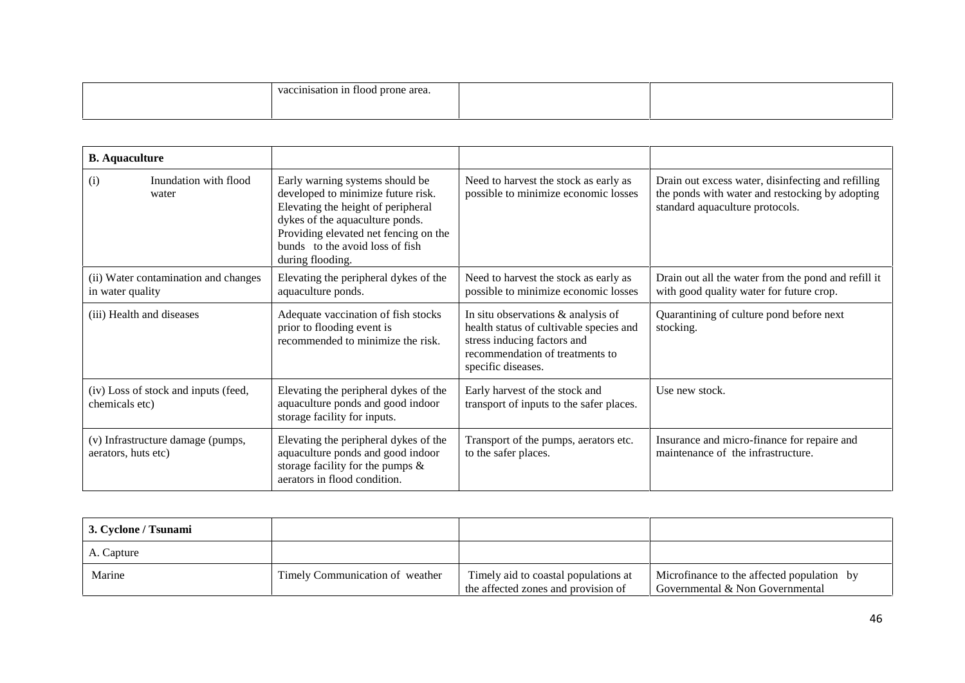|  |  | -<br>$\mathbf{r}$<br>$\epsilon$<br>.<br>. |  |  |
|--|--|-------------------------------------------|--|--|
|--|--|-------------------------------------------|--|--|

| <b>B.</b> Aquaculture                                    |                                                                                                                                                                                                                                                |                                                                                                                                                                       |                                                                                                                                          |
|----------------------------------------------------------|------------------------------------------------------------------------------------------------------------------------------------------------------------------------------------------------------------------------------------------------|-----------------------------------------------------------------------------------------------------------------------------------------------------------------------|------------------------------------------------------------------------------------------------------------------------------------------|
| Inundation with flood<br>(i)<br>water                    | Early warning systems should be<br>developed to minimize future risk.<br>Elevating the height of peripheral<br>dykes of the aquaculture ponds.<br>Providing elevated net fencing on the<br>bunds to the avoid loss of fish<br>during flooding. | Need to harvest the stock as early as<br>possible to minimize economic losses                                                                                         | Drain out excess water, disinfecting and refilling<br>the ponds with water and restocking by adopting<br>standard aquaculture protocols. |
| (ii) Water contamination and changes<br>in water quality | Elevating the peripheral dykes of the<br>aquaculture ponds.                                                                                                                                                                                    | Need to harvest the stock as early as<br>possible to minimize economic losses                                                                                         | Drain out all the water from the pond and refill it<br>with good quality water for future crop.                                          |
| (iii) Health and diseases                                | Adequate vaccination of fish stocks<br>prior to flooding event is<br>recommended to minimize the risk.                                                                                                                                         | In situ observations & analysis of<br>health status of cultivable species and<br>stress inducing factors and<br>recommendation of treatments to<br>specific diseases. | Quarantining of culture pond before next<br>stocking.                                                                                    |
| (iv) Loss of stock and inputs (feed,<br>chemicals etc)   | Elevating the peripheral dykes of the<br>aquaculture ponds and good indoor<br>storage facility for inputs.                                                                                                                                     | Early harvest of the stock and<br>transport of inputs to the safer places.                                                                                            | Use new stock.                                                                                                                           |
| (v) Infrastructure damage (pumps,<br>aerators, huts etc) | Elevating the peripheral dykes of the<br>aquaculture ponds and good indoor<br>storage facility for the pumps $\&$<br>aerators in flood condition.                                                                                              | Transport of the pumps, aerators etc.<br>to the safer places.                                                                                                         | Insurance and micro-finance for repaire and<br>maintenance of the infrastructure.                                                        |

| 3. Cyclone / Tsunami |                                 |                                                                             |                                                                               |
|----------------------|---------------------------------|-----------------------------------------------------------------------------|-------------------------------------------------------------------------------|
| A. Capture           |                                 |                                                                             |                                                                               |
| Marine               | Timely Communication of weather | Timely aid to coastal populations at<br>the affected zones and provision of | Microfinance to the affected population by<br>Governmental & Non Governmental |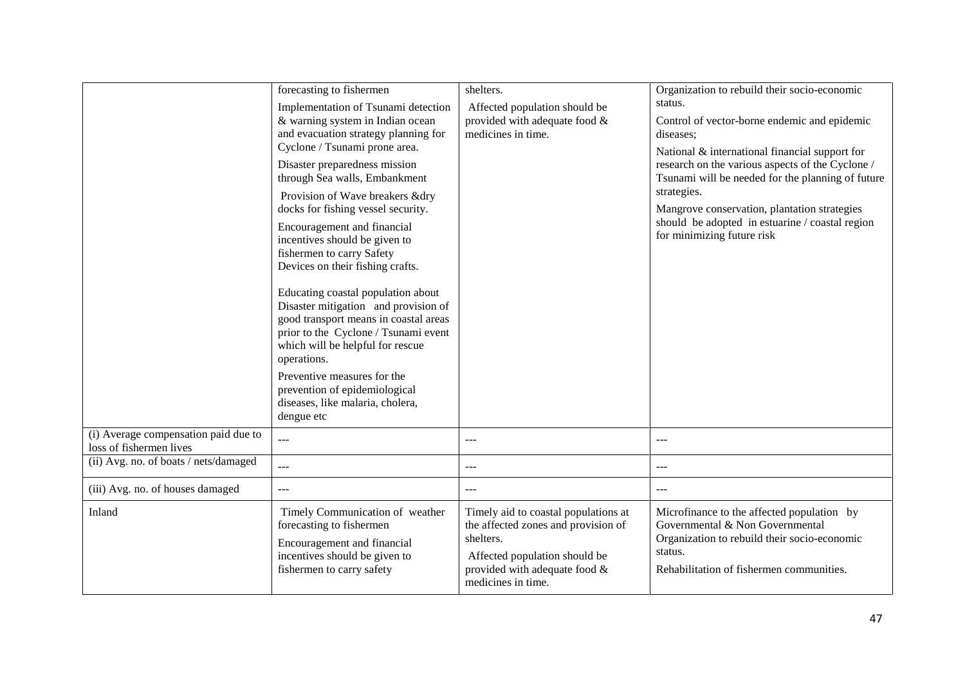|                                                                 | forecasting to fishermen<br>Implementation of Tsunami detection<br>& warning system in Indian ocean<br>and evacuation strategy planning for<br>Cyclone / Tsunami prone area.<br>Disaster preparedness mission<br>through Sea walls, Embankment<br>Provision of Wave breakers &dry<br>docks for fishing vessel security.<br>Encouragement and financial<br>incentives should be given to<br>fishermen to carry Safety<br>Devices on their fishing crafts.<br>Educating coastal population about<br>Disaster mitigation and provision of<br>good transport means in coastal areas<br>prior to the Cyclone / Tsunami event<br>which will be helpful for rescue<br>operations.<br>Preventive measures for the<br>prevention of epidemiological<br>diseases, like malaria, cholera,<br>dengue etc | shelters.<br>Affected population should be<br>provided with adequate food &<br>medicines in time.                                                                                | Organization to rebuild their socio-economic<br>status.<br>Control of vector-borne endemic and epidemic<br>diseases;<br>National & international financial support for<br>research on the various aspects of the Cyclone /<br>Tsunami will be needed for the planning of future<br>strategies.<br>Mangrove conservation, plantation strategies<br>should be adopted in estuarine / coastal region<br>for minimizing future risk |
|-----------------------------------------------------------------|----------------------------------------------------------------------------------------------------------------------------------------------------------------------------------------------------------------------------------------------------------------------------------------------------------------------------------------------------------------------------------------------------------------------------------------------------------------------------------------------------------------------------------------------------------------------------------------------------------------------------------------------------------------------------------------------------------------------------------------------------------------------------------------------|----------------------------------------------------------------------------------------------------------------------------------------------------------------------------------|---------------------------------------------------------------------------------------------------------------------------------------------------------------------------------------------------------------------------------------------------------------------------------------------------------------------------------------------------------------------------------------------------------------------------------|
| (i) Average compensation paid due to<br>loss of fishermen lives | ---                                                                                                                                                                                                                                                                                                                                                                                                                                                                                                                                                                                                                                                                                                                                                                                          | $---$                                                                                                                                                                            | $---$                                                                                                                                                                                                                                                                                                                                                                                                                           |
| (ii) Avg. no. of boats / nets/damaged                           | ---                                                                                                                                                                                                                                                                                                                                                                                                                                                                                                                                                                                                                                                                                                                                                                                          | $---$                                                                                                                                                                            | $---$                                                                                                                                                                                                                                                                                                                                                                                                                           |
| (iii) Avg. no. of houses damaged                                | ---                                                                                                                                                                                                                                                                                                                                                                                                                                                                                                                                                                                                                                                                                                                                                                                          | $---$                                                                                                                                                                            | $\frac{1}{2}$                                                                                                                                                                                                                                                                                                                                                                                                                   |
| Inland                                                          | Timely Communication of weather<br>forecasting to fishermen<br>Encouragement and financial<br>incentives should be given to<br>fishermen to carry safety                                                                                                                                                                                                                                                                                                                                                                                                                                                                                                                                                                                                                                     | Timely aid to coastal populations at<br>the affected zones and provision of<br>shelters.<br>Affected population should be<br>provided with adequate food &<br>medicines in time. | Microfinance to the affected population by<br>Governmental & Non Governmental<br>Organization to rebuild their socio-economic<br>status.<br>Rehabilitation of fishermen communities.                                                                                                                                                                                                                                            |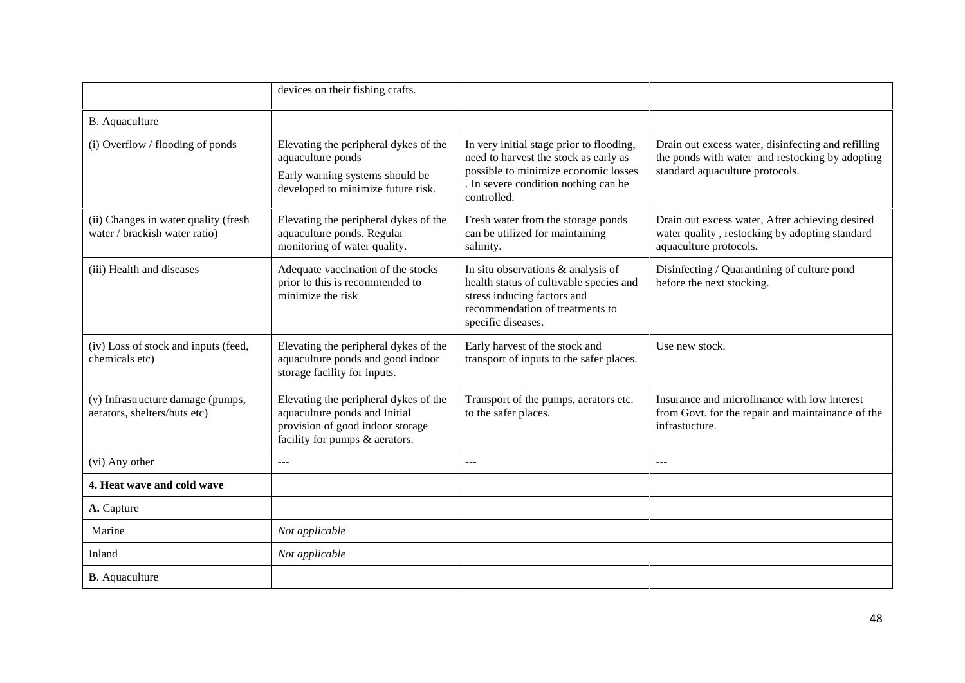|                                                                       | devices on their fishing crafts.                                                                                                             |                                                                                                                                                                                  |                                                                                                                                          |
|-----------------------------------------------------------------------|----------------------------------------------------------------------------------------------------------------------------------------------|----------------------------------------------------------------------------------------------------------------------------------------------------------------------------------|------------------------------------------------------------------------------------------------------------------------------------------|
| B. Aquaculture                                                        |                                                                                                                                              |                                                                                                                                                                                  |                                                                                                                                          |
| (i) Overflow / flooding of ponds                                      | Elevating the peripheral dykes of the<br>aquaculture ponds<br>Early warning systems should be<br>developed to minimize future risk.          | In very initial stage prior to flooding,<br>need to harvest the stock as early as<br>possible to minimize economic losses<br>. In severe condition nothing can be<br>controlled. | Drain out excess water, disinfecting and refilling<br>the ponds with water and restocking by adopting<br>standard aquaculture protocols. |
| (ii) Changes in water quality (fresh<br>water / brackish water ratio) | Elevating the peripheral dykes of the<br>aquaculture ponds. Regular<br>monitoring of water quality.                                          | Fresh water from the storage ponds<br>can be utilized for maintaining<br>salinity.                                                                                               | Drain out excess water, After achieving desired<br>water quality, restocking by adopting standard<br>aquaculture protocols.              |
| (iii) Health and diseases                                             | Adequate vaccination of the stocks<br>prior to this is recommended to<br>minimize the risk                                                   | In situ observations & analysis of<br>health status of cultivable species and<br>stress inducing factors and<br>recommendation of treatments to<br>specific diseases.            | Disinfecting / Quarantining of culture pond<br>before the next stocking.                                                                 |
| (iv) Loss of stock and inputs (feed,<br>chemicals etc)                | Elevating the peripheral dykes of the<br>aquaculture ponds and good indoor<br>storage facility for inputs.                                   | Early harvest of the stock and<br>transport of inputs to the safer places.                                                                                                       | Use new stock.                                                                                                                           |
| (v) Infrastructure damage (pumps,<br>aerators, shelters/huts etc)     | Elevating the peripheral dykes of the<br>aquaculture ponds and Initial<br>provision of good indoor storage<br>facility for pumps & aerators. | Transport of the pumps, aerators etc.<br>to the safer places.                                                                                                                    | Insurance and microfinance with low interest<br>from Govt. for the repair and maintainance of the<br>infrastucture.                      |
| (vi) Any other                                                        | $---$                                                                                                                                        | $---$                                                                                                                                                                            | ---                                                                                                                                      |
| 4. Heat wave and cold wave                                            |                                                                                                                                              |                                                                                                                                                                                  |                                                                                                                                          |
| A. Capture                                                            |                                                                                                                                              |                                                                                                                                                                                  |                                                                                                                                          |
| Marine                                                                | Not applicable                                                                                                                               |                                                                                                                                                                                  |                                                                                                                                          |
| Inland                                                                | Not applicable                                                                                                                               |                                                                                                                                                                                  |                                                                                                                                          |
| <b>B</b> . Aquaculture                                                |                                                                                                                                              |                                                                                                                                                                                  |                                                                                                                                          |